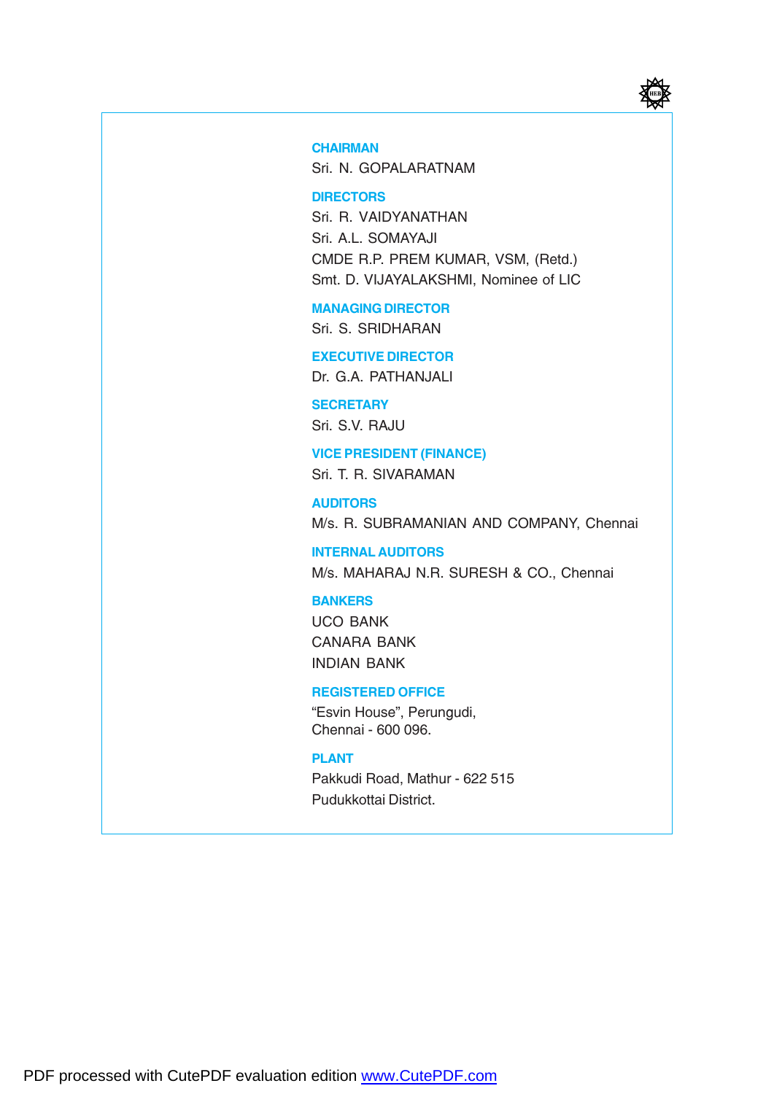

#### **CHAIRMAN**

Sri. N. GOPALARATNAM

#### **DIRECTORS**

Sri. R. VAIDYANATHAN Sri. A.L. SOMAYAJI CMDE R.P. PREM KUMAR, VSM, (Retd.) Smt. D. VIJAYALAKSHMI, Nominee of LIC

#### MANAGING DIRECTOR

Sri. S. SRIDHARAN

#### EXECUTIVE DIRECTOR

Dr. G.A. PATHANJALI

#### **SECRETARY**

Sri. S.V. RAJU

#### VICE PRESIDENT (FINANCE)

Sri. T. R. SIVARAMAN

**AUDITORS** M/s. R. SUBRAMANIAN AND COMPANY, Chennai

INTERNAL AUDITORS M/s. MAHARAJ N.R. SURESH & CO., Chennai

#### BANKERS

UCO BANK CANARA BANK INDIAN BANK

#### REGISTERED OFFICE

"Esvin House", Perungudi, Chennai - 600 096.

#### PLANT

Pakkudi Road, Mathur - 622 515 Pudukkottai District.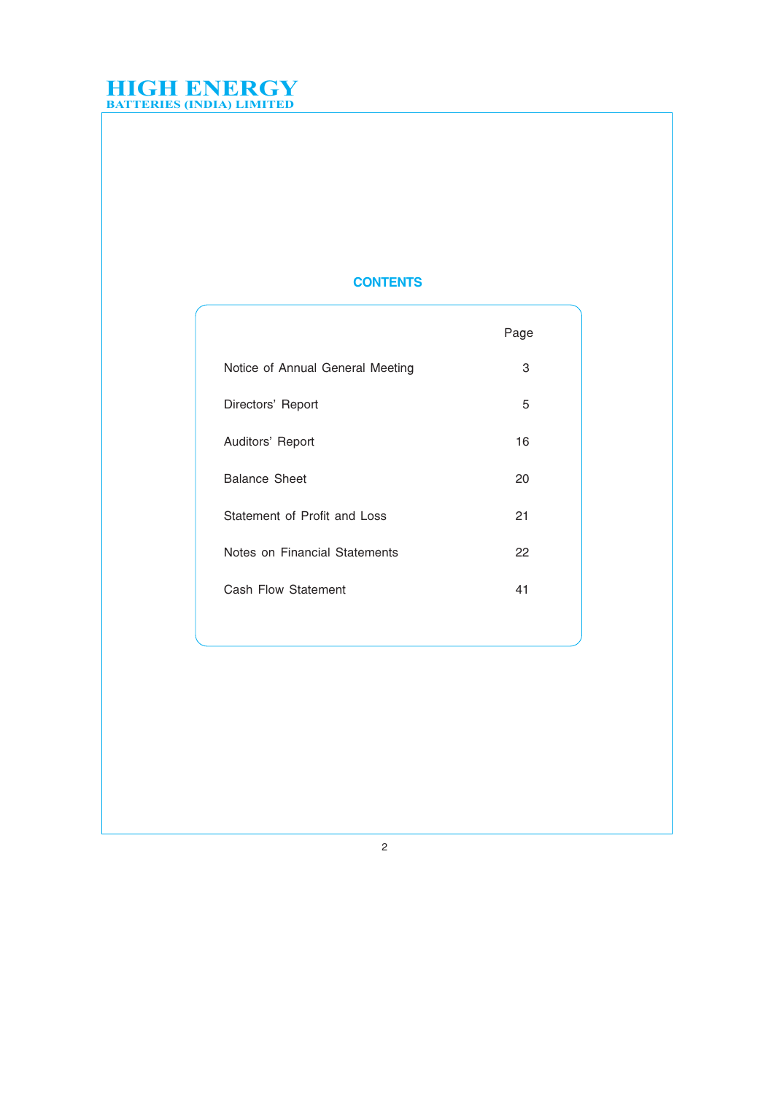#### **CONTENTS**

|                                  | Page |
|----------------------------------|------|
| Notice of Annual General Meeting | 3    |
| Directors' Report                | 5    |
| Auditors' Report                 | 16   |
| <b>Balance Sheet</b>             | 20   |
| Statement of Profit and Loss     | 21   |
| Notes on Financial Statements    | 22   |
| Cash Flow Statement              | 41   |
|                                  |      |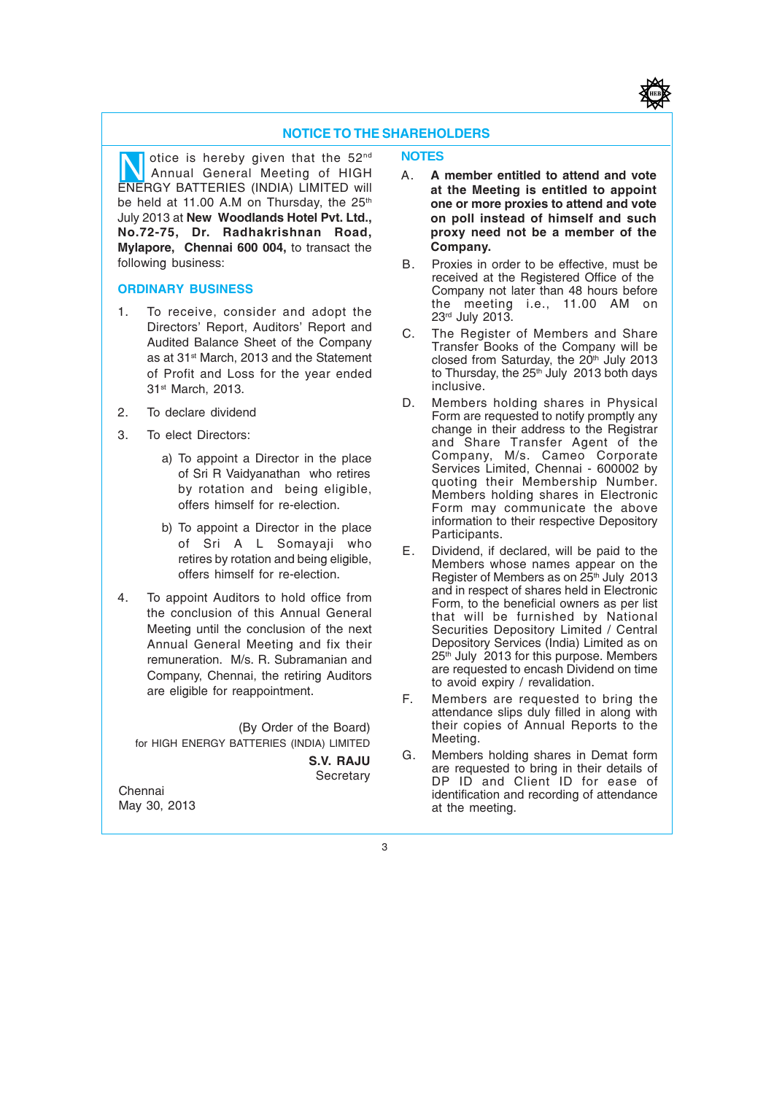#### NOTICE TO THE SHAREHOLDERS

otice is hereby given that the 52nd Otice is hereby given that the 52<sup>nd</sup> **NOTES**<br>Annual General Meeting of HIGH A. A ENERGY BATTERIES (INDIA) LIMITED will be held at 11.00 A.M on Thursday, the 25<sup>th</sup> July 2013 at New Woodlands Hotel Pvt. Ltd., No.72-75, Dr. Radhakrishnan Road, Mylapore, Chennai 600 004, to transact the following business:

#### ORDINARY BUSINESS

- 1. To receive, consider and adopt the Directors' Report, Auditors' Report and Audited Balance Sheet of the Company as at 31<sup>st</sup> March, 2013 and the Statement of Profit and Loss for the year ended 31st March, 2013.
- 2. To declare dividend
- 3. To elect Directors:
	- a) To appoint a Director in the place of Sri R Vaidyanathan who retires by rotation and being eligible, offers himself for re-election.
	- b) To appoint a Director in the place of Sri A L Somayaji who retires by rotation and being eligible, offers himself for re-election.
- 4. To appoint Auditors to hold office from the conclusion of this Annual General Meeting until the conclusion of the next Annual General Meeting and fix their remuneration. M/s. R. Subramanian and Company, Chennai, the retiring Auditors are eligible for reappointment.

(By Order of the Board) for HIGH ENERGY BATTERIES (INDIA) LIMITED

S.V. RAJU **Secretary** 

Chennai May 30, 2013

- A. A member entitled to attend and vote at the Meeting is entitled to appoint one or more proxies to attend and vote on poll instead of himself and such proxy need not be a member of the Company.
- B. Proxies in order to be effective, must be received at the Registered Office of the Company not later than 48 hours before the meeting i.e., 11.00 AM on 23rd July 2013.
- C. The Register of Members and Share Transfer Books of the Company will be closed from Saturday, the 20<sup>th</sup> July 2013 to Thursday, the 25<sup>th</sup> July 2013 both days inclusive.
- D. Members holding shares in Physical Form are requested to notify promptly any change in their address to the Registrar and Share Transfer Agent of the Company, M/s. Cameo Corporate Services Limited, Chennai - 600002 by quoting their Membership Number. Members holding shares in Electronic Form may communicate the above information to their respective Depository Participants.
- E. Dividend, if declared, will be paid to the Members whose names appear on the Register of Members as on  $25<sup>th</sup>$  July 2013 and in respect of shares held in Electronic Form, to the beneficial owners as per list that will be furnished by National Securities Depository Limited / Central Depository Services (India) Limited as on 25<sup>th</sup> July 2013 for this purpose. Members are requested to encash Dividend on time to avoid expiry / revalidation.
- F. Members are requested to bring the attendance slips duly filled in along with their copies of Annual Reports to the Meeting.
- G. Members holding shares in Demat form are requested to bring in their details of DP ID and Client ID for ease of identification and recording of attendance at the meeting.

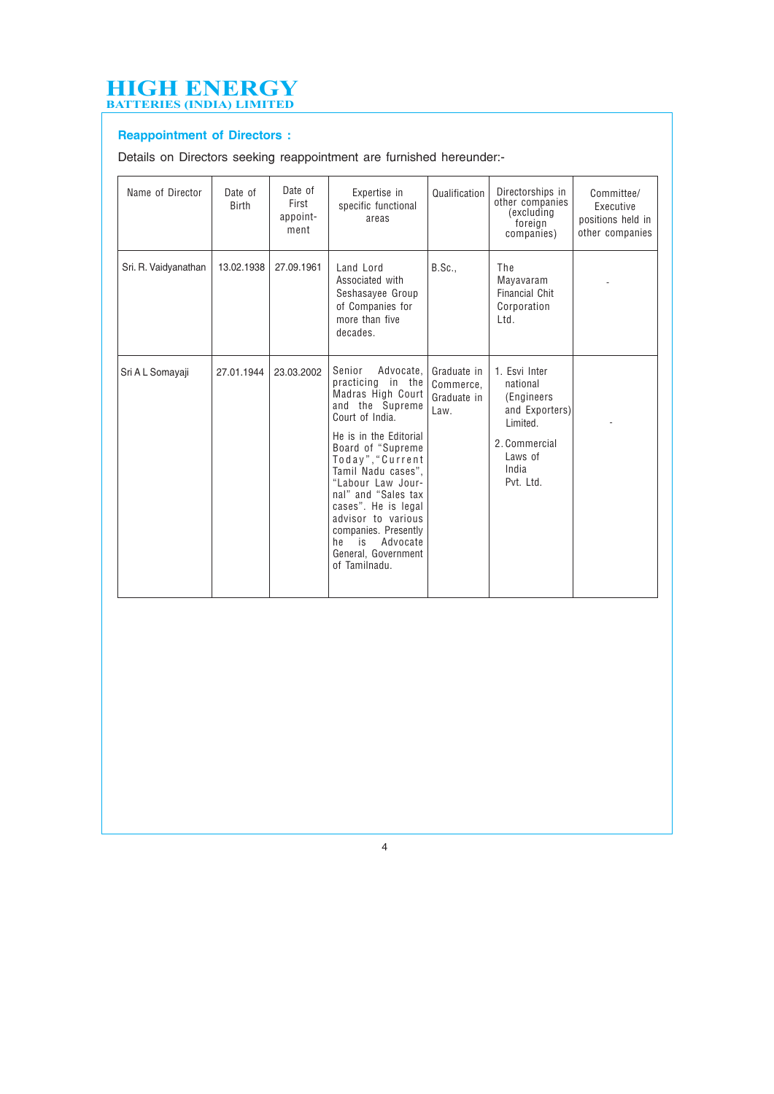#### Reappointment of Directors :

Details on Directors seeking reappointment are furnished hereunder:-

| Name of Director     | Date of<br><b>Birth</b> | Date of<br>First<br>appoint-<br>ment | Expertise in<br>specific functional<br>areas                                                                                                                                                                                                                                                                                                                                   | Qualification                                   | Directorships in<br>other companies<br>(excluding<br>foreign<br>companies)                                               | Committee/<br>Executive<br>positions held in<br>other companies |
|----------------------|-------------------------|--------------------------------------|--------------------------------------------------------------------------------------------------------------------------------------------------------------------------------------------------------------------------------------------------------------------------------------------------------------------------------------------------------------------------------|-------------------------------------------------|--------------------------------------------------------------------------------------------------------------------------|-----------------------------------------------------------------|
| Sri. R. Vaidyanathan | 13.02.1938              | 27.09.1961                           | Land Lord<br>Associated with<br>Seshasayee Group<br>of Companies for<br>more than five<br>decades.                                                                                                                                                                                                                                                                             | B.Sc.                                           | The<br>Mayavaram<br><b>Financial Chit</b><br>Corporation<br>Ltd.                                                         |                                                                 |
| Sri A L Somayaji     | 27.01.1944              | 23.03.2002                           | Senior<br>Advocate,<br>practicing in the<br>Madras High Court<br>and the Supreme<br>Court of India.<br>He is in the Editorial<br>Board of "Supreme"<br>Today", "Current<br>Tamil Nadu cases".<br>"Labour Law Jour-<br>nal" and "Sales tax<br>cases". He is legal<br>advisor to various<br>companies. Presently<br>he<br>is<br>Advocate<br>General, Government<br>of Tamilnadu. | Graduate in<br>Commerce.<br>Graduate in<br>Law. | 1. Esvi Inter<br>national<br>(Engineers)<br>and Exporters)<br>Limited.<br>2. Commercial<br>Laws of<br>India<br>Pvt. Ltd. |                                                                 |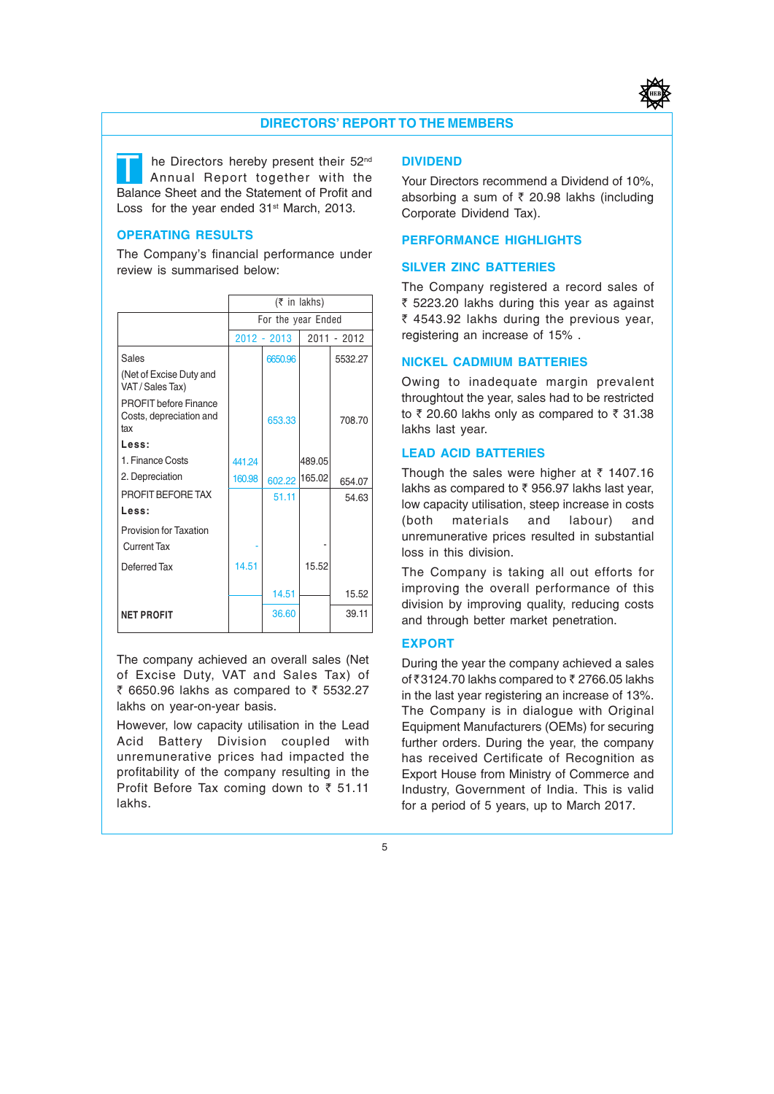

#### DIRECTORS' REPORT TO THE MEMBERS

T he Directors hereby present their 52<sup>nd</sup><br>Annual Report together with the Balance Sheet and the Statement of Profit and Loss for the year ended 31<sup>st</sup> March, 2013.

#### OPERATING RESULTS

The Company's financial performance under review is summarised below:

|                                                                | $(5$ in lakhs)     |               |        |             |
|----------------------------------------------------------------|--------------------|---------------|--------|-------------|
|                                                                | For the year Ended |               |        |             |
|                                                                |                    | $2012 - 2013$ |        | 2011 - 2012 |
| Sales                                                          |                    | 6650.96       |        | 5532.27     |
| (Net of Excise Duty and<br>VAT / Sales Tax)                    |                    |               |        |             |
| <b>PROFIT before Finance</b><br>Costs, depreciation and<br>tax |                    | 653.33        |        | 708.70      |
| Less:                                                          |                    |               |        |             |
| 1. Finance Costs                                               | 441.24             |               | 489.05 |             |
| 2. Depreciation                                                | 160.98             | 602.22 165.02 |        | 654.07      |
| PROFIT BEFORE TAX                                              |                    | 51.11         |        | 54.63       |
| Less:                                                          |                    |               |        |             |
| Provision for Taxation                                         |                    |               |        |             |
| <b>Current Tax</b>                                             |                    |               |        |             |
| Deferred Tax                                                   | 14.51              |               | 15.52  |             |
|                                                                |                    | 14.51         |        | 15.52       |
| <b>NET PROFIT</b>                                              |                    | 36.60         |        | 39.11       |

The company achieved an overall sales (Net of Excise Duty, VAT and Sales Tax) of ₹ 6650.96 lakhs as compared to ₹ 5532.27 lakhs on year-on-year basis.

However, low capacity utilisation in the Lead Acid Battery Division coupled with unremunerative prices had impacted the profitability of the company resulting in the Profit Before Tax coming down to  $\bar{z}$  51.11 lakhs.

#### DIVIDEND

Your Directors recommend a Dividend of 10%, absorbing a sum of  $\bar{\tau}$  20.98 lakhs (including Corporate Dividend Tax).

#### PERFORMANCE HIGHLIGHTS

#### SILVER ZINC BATTERIES

The Company registered a record sales of  $\bar{\tau}$  5223.20 lakhs during this year as against ₹ 4543.92 lakhs during the previous year, registering an increase of 15% .

#### NICKEL CADMIUM BATTERIES

Owing to inadequate margin prevalent throughtout the year, sales had to be restricted to  $\bar{\tau}$  20.60 lakhs only as compared to  $\bar{\tau}$  31.38 lakhs last year.

#### LEAD ACID BATTERIES

Though the sales were higher at  $\bar{\tau}$  1407.16 lakhs as compared to  $\bar{\tau}$  956.97 lakhs last year, low capacity utilisation, steep increase in costs (both materials and labour) and unremunerative prices resulted in substantial loss in this division.

The Company is taking all out efforts for improving the overall performance of this division by improving quality, reducing costs and through better market penetration.

#### EXPORT

During the year the company achieved a sales of  $\bar{\tau}$ 3124.70 lakhs compared to  $\bar{\tau}$  2766.05 lakhs in the last year registering an increase of 13%. The Company is in dialogue with Original Equipment Manufacturers (OEMs) for securing further orders. During the year, the company has received Certificate of Recognition as Export House from Ministry of Commerce and Industry, Government of India. This is valid for a period of 5 years, up to March 2017.

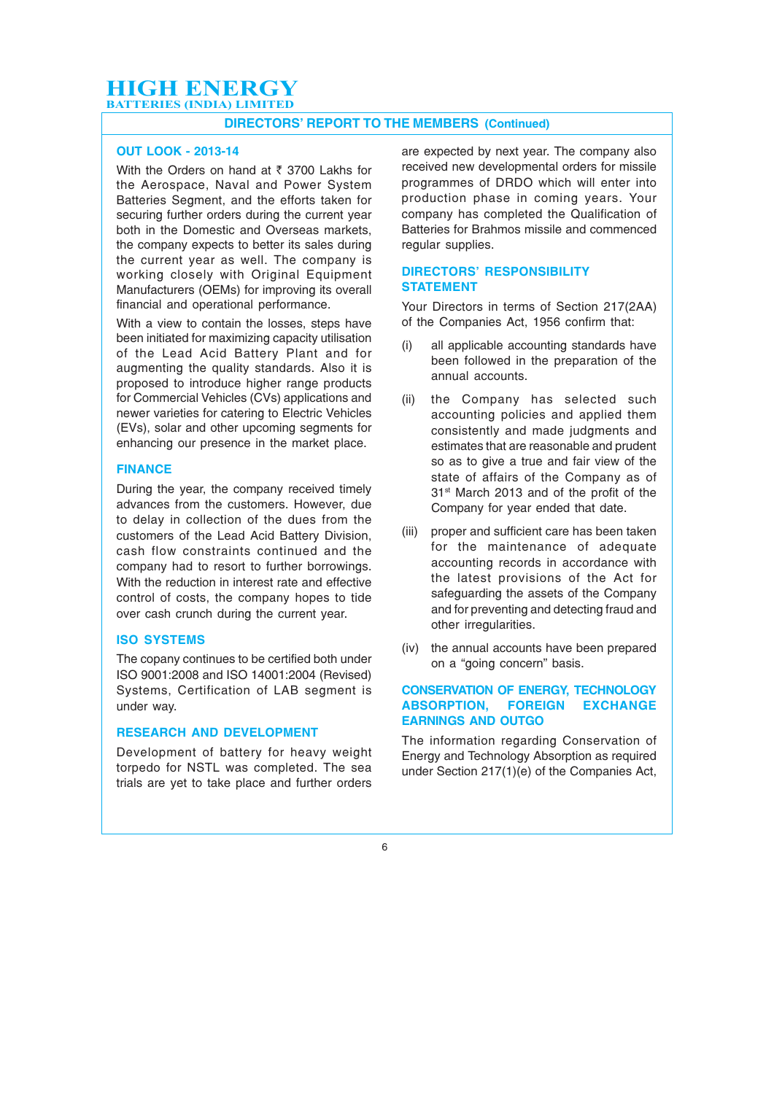#### DIRECTORS' REPORT TO THE MEMBERS (Continued)

#### OUT LOOK - 2013-14

With the Orders on hand at  $\bar{\tau}$  3700 Lakhs for the Aerospace, Naval and Power System Batteries Segment, and the efforts taken for securing further orders during the current year both in the Domestic and Overseas markets, the company expects to better its sales during the current year as well. The company is working closely with Original Equipment Manufacturers (OEMs) for improving its overall financial and operational performance.

With a view to contain the losses, steps have been initiated for maximizing capacity utilisation of the Lead Acid Battery Plant and for augmenting the quality standards. Also it is proposed to introduce higher range products for Commercial Vehicles (CVs) applications and newer varieties for catering to Electric Vehicles (EVs), solar and other upcoming segments for enhancing our presence in the market place.

#### FINANCE

During the year, the company received timely advances from the customers. However, due to delay in collection of the dues from the customers of the Lead Acid Battery Division, cash flow constraints continued and the company had to resort to further borrowings. With the reduction in interest rate and effective control of costs, the company hopes to tide over cash crunch during the current year.

#### ISO SYSTEMS

The copany continues to be certified both under ISO 9001:2008 and ISO 14001:2004 (Revised) Systems, Certification of LAB segment is under way.

#### RESEARCH AND DEVELOPMENT

Development of battery for heavy weight torpedo for NSTL was completed. The sea trials are yet to take place and further orders

are expected by next year. The company also received new developmental orders for missile programmes of DRDO which will enter into production phase in coming years. Your company has completed the Qualification of Batteries for Brahmos missile and commenced regular supplies.

#### DIRECTORS' RESPONSIBILITY **STATEMENT**

Your Directors in terms of Section 217(2AA) of the Companies Act, 1956 confirm that:

- (i) all applicable accounting standards have been followed in the preparation of the annual accounts.
- (ii) the Company has selected such accounting policies and applied them consistently and made judgments and estimates that are reasonable and prudent so as to give a true and fair view of the state of affairs of the Company as of 31st March 2013 and of the profit of the Company for year ended that date.
- (iii) proper and sufficient care has been taken for the maintenance of adequate accounting records in accordance with the latest provisions of the Act for safeguarding the assets of the Company and for preventing and detecting fraud and other irregularities.
- (iv) the annual accounts have been prepared on a "going concern" basis.

#### CONSERVATION OF ENERGY, TECHNOLOGY ABSORPTION, FOREIGN EXCHANGE EARNINGS AND OUTGO

The information regarding Conservation of Energy and Technology Absorption as required under Section 217(1)(e) of the Companies Act,

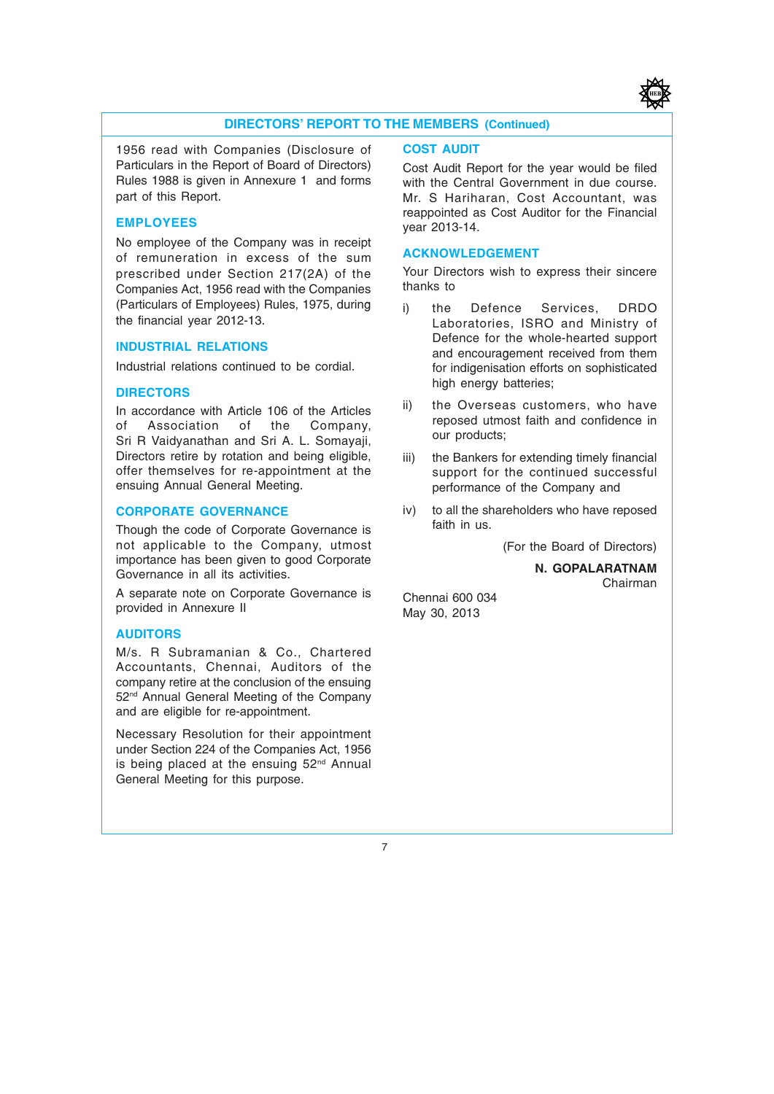

#### DIRECTORS' REPORT TO THE MEMBERS (Continued)

1956 read with Companies (Disclosure of Particulars in the Report of Board of Directors) Rules 1988 is given in Annexure 1 and forms part of this Report.

#### EMPLOYEES

No employee of the Company was in receipt of remuneration in excess of the sum prescribed under Section 217(2A) of the Companies Act, 1956 read with the Companies (Particulars of Employees) Rules, 1975, during the financial year 2012-13.

#### INDUSTRIAL RELATIONS

Industrial relations continued to be cordial.

#### **DIRECTORS**

In accordance with Article 106 of the Articles of Association of the Company, Sri R Vaidyanathan and Sri A. L. Somayaji, Directors retire by rotation and being eligible, offer themselves for re-appointment at the ensuing Annual General Meeting.

#### CORPORATE GOVERNANCE

Though the code of Corporate Governance is not applicable to the Company, utmost importance has been given to good Corporate Governance in all its activities.

A separate note on Corporate Governance is provided in Annexure II

#### AUDITORS

M/s. R Subramanian & Co., Chartered Accountants, Chennai, Auditors of the company retire at the conclusion of the ensuing 52nd Annual General Meeting of the Company and are eligible for re-appointment.

Necessary Resolution for their appointment under Section 224 of the Companies Act, 1956 is being placed at the ensuing  $52<sup>nd</sup>$  Annual General Meeting for this purpose.

#### COST AUDIT

Cost Audit Report for the year would be filed with the Central Government in due course. Mr. S Hariharan, Cost Accountant, was reappointed as Cost Auditor for the Financial year 2013-14.

#### ACKNOWLEDGEMENT

Your Directors wish to express their sincere thanks to

- i) the Defence Services, DRDO Laboratories, ISRO and Ministry of Defence for the whole-hearted support and encouragement received from them for indigenisation efforts on sophisticated high energy batteries;
- ii) the Overseas customers, who have reposed utmost faith and confidence in our products;
- iii) the Bankers for extending timely financial support for the continued successful performance of the Company and
- iv) to all the shareholders who have reposed faith in us.

(For the Board of Directors)

N. GOPALARATNAM Chairman

Chennai 600 034 May 30, 2013

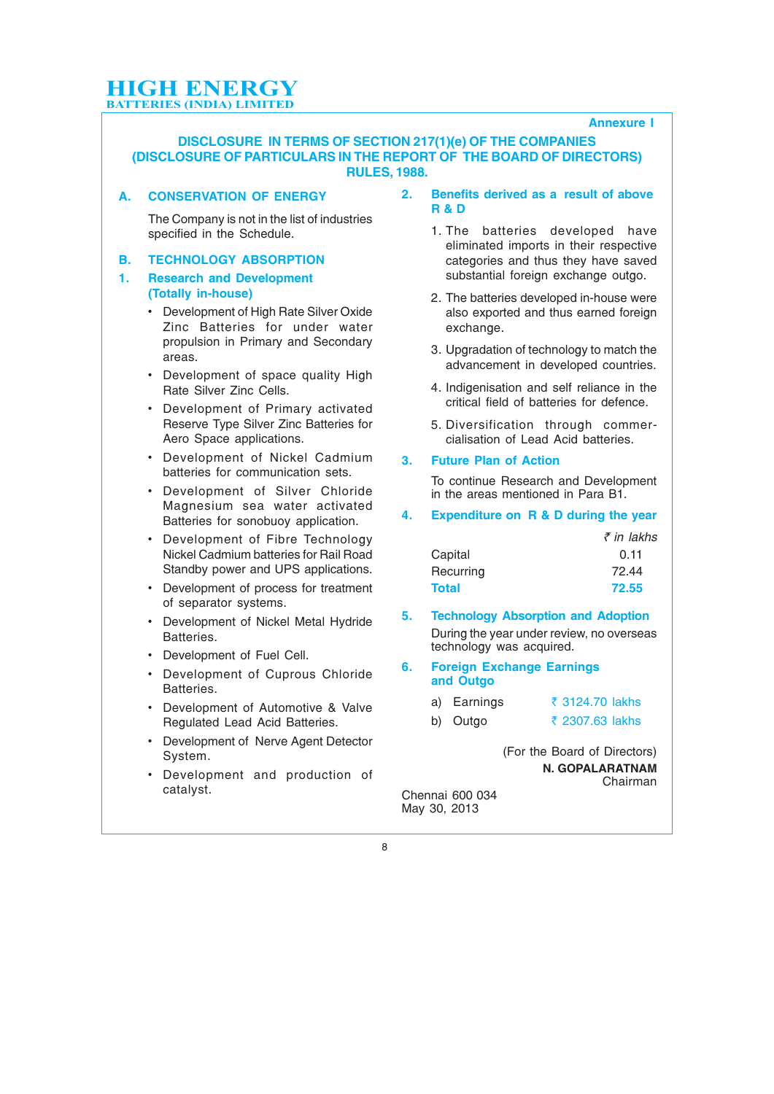#### Annexure I

#### DISCLOSURE IN TERMS OF SECTION 217(1)(e) OF THE COMPANIES (DISCLOSURE OF PARTICULARS IN THE REPORT OF THE BOARD OF DIRECTORS) RULES, 1988.

#### A. CONSERVATION OF ENERGY

The Company is not in the list of industries specified in the Schedule.

#### B. TECHNOLOGY ABSORPTION

#### 1. Research and Development (Totally in-house)

- Development of High Rate Silver Oxide Zinc Batteries for under water propulsion in Primary and Secondary areas.
- Development of space quality High Rate Silver Zinc Cells.
- Development of Primary activated Reserve Type Silver Zinc Batteries for Aero Space applications.
- Development of Nickel Cadmium batteries for communication sets.
- Development of Silver Chloride Magnesium sea water activated Batteries for sonobuoy application.
- Development of Fibre Technology Nickel Cadmium batteries for Rail Road Standby power and UPS applications.
- Development of process for treatment of separator systems.
- Development of Nickel Metal Hydride Batteries.
- Development of Fuel Cell.
- Development of Cuprous Chloride Batteries.
- Development of Automotive & Valve Regulated Lead Acid Batteries.
- Development of Nerve Agent Detector System.
- Development and production of catalyst.

#### 2. Benefits derived as a result of above R & D

- 1. The batteries developed have eliminated imports in their respective categories and thus they have saved substantial foreign exchange outgo.
- 2. The batteries developed in-house were also exported and thus earned foreign exchange.
- 3. Upgradation of technology to match the advancement in developed countries.
- 4. Indigenisation and self reliance in the critical field of batteries for defence.
- 5. Diversification through commercialisation of Lead Acid batteries.

#### 3. Future Plan of Action

To continue Research and Development in the areas mentioned in Para B1.

#### 4. Expenditure on R & D during the year

|           | ₹ in lakhs |
|-----------|------------|
| Capital   | 0.11       |
| Recurring | 72.44      |
| Total     | 72.55      |

5. Technology Absorption and Adoption During the year under review, no overseas technology was acquired.

#### 6. Foreign Exchange Earnings and Outgo

| a) Earnings | ₹ 3124.70 lakhs |
|-------------|-----------------|
| b) Outgo    | ₹ 2307.63 lakhs |

(For the Board of Directors) N. GOPALARATNAM Chairman

Chennai 600 034 May 30, 2013

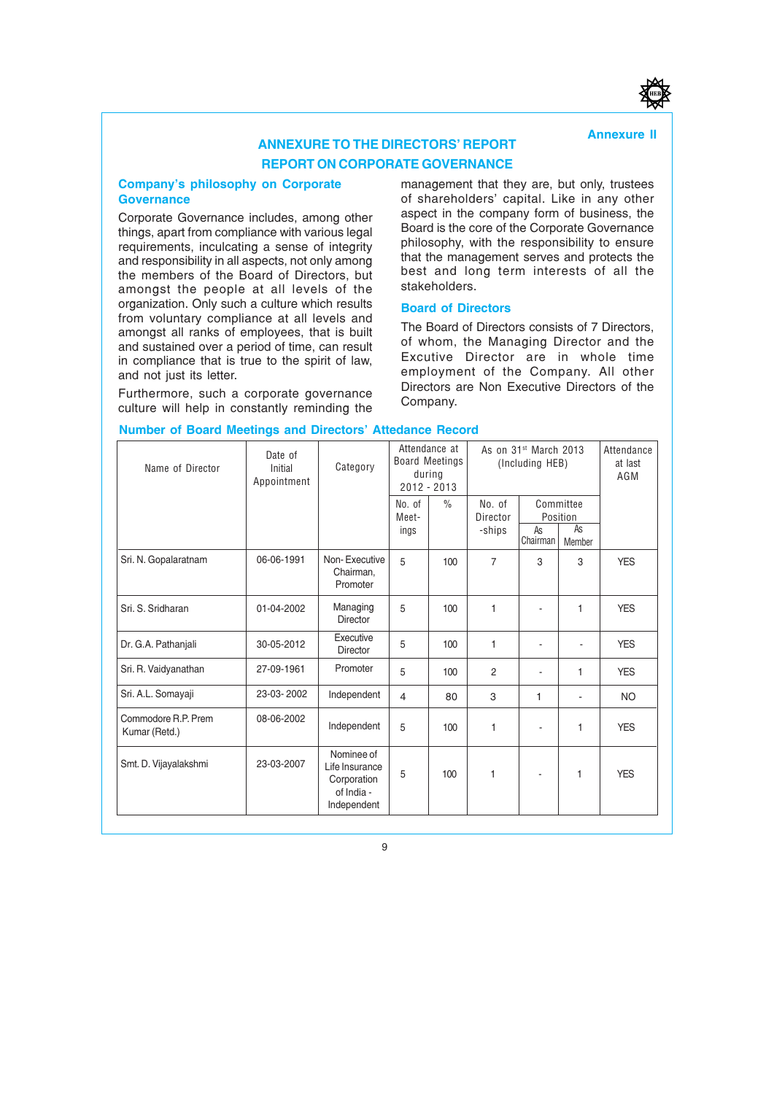#### Annexure II

#### ANNEXURE TO THE DIRECTORS' REPORT REPORT ON CORPORATE GOVERNANCE

#### Company's philosophy on Corporate **Governance**

Corporate Governance includes, among other things, apart from compliance with various legal requirements, inculcating a sense of integrity and responsibility in all aspects, not only among the members of the Board of Directors, but amongst the people at all levels of the organization. Only such a culture which results from voluntary compliance at all levels and amongst all ranks of employees, that is built and sustained over a period of time, can result in compliance that is true to the spirit of law, and not just its letter.

Furthermore, such a corporate governance culture will help in constantly reminding the management that they are, but only, trustees of shareholders' capital. Like in any other aspect in the company form of business, the Board is the core of the Corporate Governance philosophy, with the responsibility to ensure that the management serves and protects the best and long term interests of all the stakeholders.

#### Board of Directors

The Board of Directors consists of 7 Directors, of whom, the Managing Director and the Excutive Director are in whole time employment of the Company. All other Directors are Non Executive Directors of the Company.

| Name of Director                     | Date of<br>Initial<br>Appointment | Category                                                                 |                         | Attendance at<br><b>Board Meetings</b><br>during<br>$2012 - 2013$ |                              | As on 31 <sup>st</sup> March 2013<br>(Including HEB) |                                       | Attendance<br>at last<br>AGM |
|--------------------------------------|-----------------------------------|--------------------------------------------------------------------------|-------------------------|-------------------------------------------------------------------|------------------------------|------------------------------------------------------|---------------------------------------|------------------------------|
|                                      |                                   |                                                                          | No. of<br>Meet-<br>ings | $\frac{0}{0}$                                                     | No. of<br>Director<br>-ships | As<br>Chairman                                       | Committee<br>Position<br>As<br>Member |                              |
| Sri. N. Gopalaratnam                 | 06-06-1991                        | Non-Executive<br>Chairman,<br>Promoter                                   | 5                       | 100                                                               | $\overline{7}$               | 3                                                    | 3                                     | <b>YES</b>                   |
| Sri, S. Sridharan                    | 01-04-2002                        | Managing<br><b>Director</b>                                              | 5                       | 100                                                               | 1                            |                                                      | 1                                     | <b>YES</b>                   |
| Dr. G.A. Pathanjali                  | 30-05-2012                        | Executive<br><b>Director</b>                                             | 5                       | 100                                                               | 1                            |                                                      |                                       | <b>YES</b>                   |
| Sri. R. Vaidyanathan                 | 27-09-1961                        | Promoter                                                                 | 5                       | 100                                                               | $\overline{2}$               |                                                      | 1                                     | <b>YES</b>                   |
| Sri. A.L. Somayaji                   | 23-03-2002                        | Independent                                                              | $\overline{4}$          | 80                                                                | 3                            | 1                                                    |                                       | <b>NO</b>                    |
| Commodore R.P. Prem<br>Kumar (Retd.) | 08-06-2002                        | Independent                                                              | 5                       | 100                                                               | 1                            |                                                      | 1                                     | <b>YES</b>                   |
| Smt. D. Vijayalakshmi                | 23-03-2007                        | Nominee of<br>Life Insurance<br>Corporation<br>of India -<br>Independent | 5                       | 100                                                               | 1                            |                                                      | 1                                     | <b>YES</b>                   |

#### Number of Board Meetings and Directors' Attedance Record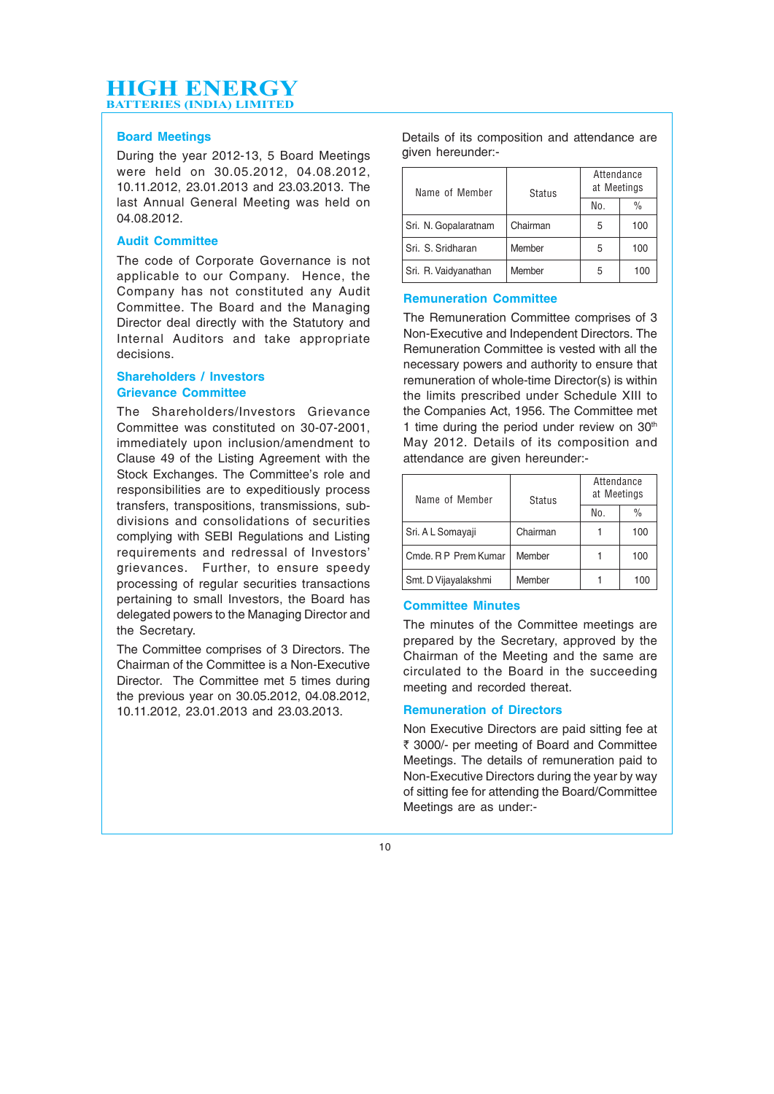#### Board Meetings

During the year 2012-13, 5 Board Meetings were held on 30.05.2012, 04.08.2012, 10.11.2012, 23.01.2013 and 23.03.2013. The last Annual General Meeting was held on 04.08.2012.

#### Audit Committee

The code of Corporate Governance is not applicable to our Company. Hence, the Company has not constituted any Audit Committee. The Board and the Managing Director deal directly with the Statutory and Internal Auditors and take appropriate decisions.

#### Shareholders / Investors Grievance Committee

The Shareholders/Investors Grievance Committee was constituted on 30-07-2001, immediately upon inclusion/amendment to Clause 49 of the Listing Agreement with the Stock Exchanges. The Committee's role and responsibilities are to expeditiously process transfers, transpositions, transmissions, subdivisions and consolidations of securities complying with SEBI Regulations and Listing requirements and redressal of Investors' grievances. Further, to ensure speedy processing of regular securities transactions pertaining to small Investors, the Board has delegated powers to the Managing Director and the Secretary.

The Committee comprises of 3 Directors. The Chairman of the Committee is a Non-Executive Director. The Committee met 5 times during the previous year on 30.05.2012, 04.08.2012, 10.11.2012, 23.01.2013 and 23.03.2013.

Details of its composition and attendance are given hereunder:-

| Name of Member       |          | Attendance<br>at Meetings<br><b>Status</b> |               |  |
|----------------------|----------|--------------------------------------------|---------------|--|
|                      |          | No.                                        | $\frac{0}{0}$ |  |
| Sri. N. Gopalaratnam | Chairman | 5                                          | 100           |  |
| Sri, S. Sridharan    | Member   | 5                                          | 100           |  |
| Sri. R. Vaidyanathan | Member   | 5                                          | 100           |  |

#### Remuneration Committee

The Remuneration Committee comprises of 3 Non-Executive and Independent Directors. The Remuneration Committee is vested with all the necessary powers and authority to ensure that remuneration of whole-time Director(s) is within the limits prescribed under Schedule XIII to the Companies Act, 1956. The Committee met 1 time during the period under review on  $30<sup>th</sup>$ May 2012. Details of its composition and attendance are given hereunder:-

| Name of Member       | <b>Status</b> | Attendance<br>at Meetings |               |  |
|----------------------|---------------|---------------------------|---------------|--|
|                      |               | No.                       | $\frac{0}{0}$ |  |
| Sri. A L Somayaji    | Chairman      |                           | 100           |  |
| Cmde, R P Prem Kumar | Member        |                           | 100           |  |
| Smt. D Vijavalakshmi | Member        |                           | 100           |  |

#### Committee Minutes

The minutes of the Committee meetings are prepared by the Secretary, approved by the Chairman of the Meeting and the same are circulated to the Board in the succeeding meeting and recorded thereat.

#### Remuneration of Directors

Non Executive Directors are paid sitting fee at ₹ 3000/- per meeting of Board and Committee Meetings. The details of remuneration paid to Non-Executive Directors during the year by way of sitting fee for attending the Board/Committee Meetings are as under:-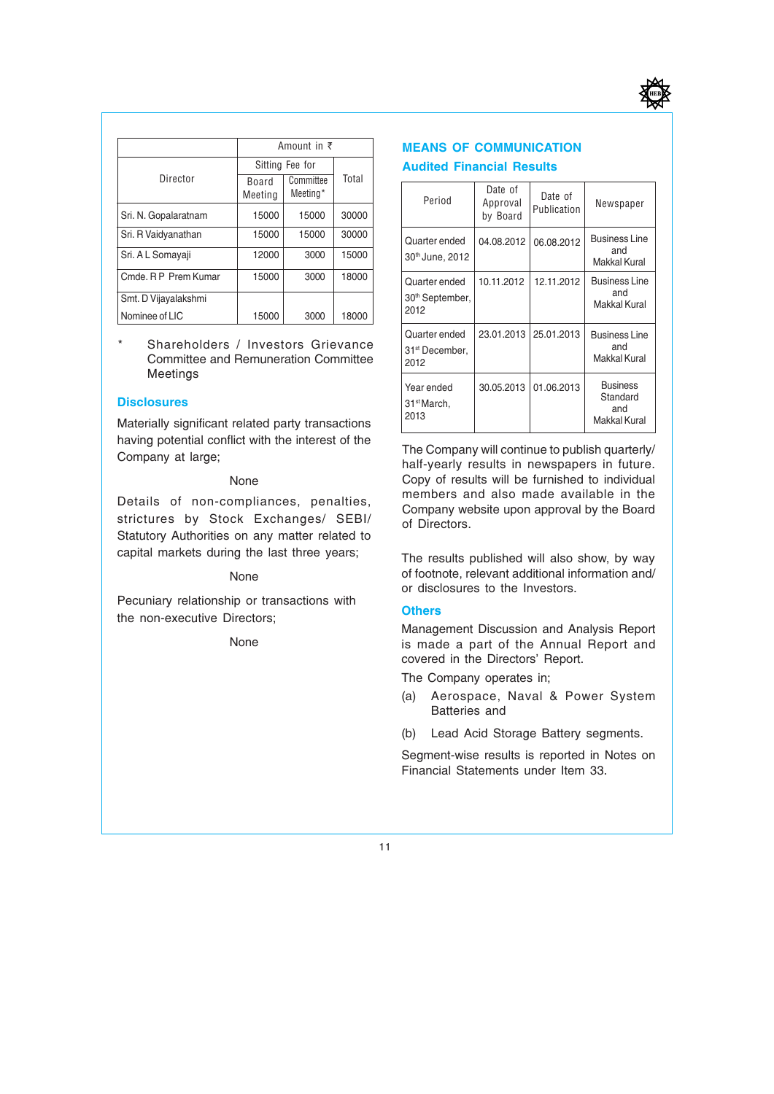

|                      |                  | Amount in $\bar{z}$   |       |  |
|----------------------|------------------|-----------------------|-------|--|
|                      |                  | Sitting Fee for       |       |  |
| Director             | Board<br>Meeting | Committee<br>Meeting* | Total |  |
| Sri. N. Gopalaratnam | 15000            | 15000                 | 30000 |  |
| Sri. R Vaidyanathan  | 15000            | 15000                 | 30000 |  |
| Sri. A L Somayaji    | 12000            | 3000                  | 15000 |  |
| Cmde, R P Prem Kumar | 15000            | 3000                  | 18000 |  |
| Smt. D Vijayalakshmi |                  |                       |       |  |
| Nominee of LIC       | 15000            | 3000                  | 18000 |  |

Shareholders / Investors Grievance Committee and Remuneration Committee Meetings

#### **Disclosures**

Materially significant related party transactions having potential conflict with the interest of the Company at large;

#### None

Details of non-compliances, penalties, strictures by Stock Exchanges/ SEBI/ Statutory Authorities on any matter related to capital markets during the last three years;

#### None

Pecuniary relationship or transactions with the non-executive Directors;

None

#### **MEANS OF COMMUNICATION** Audited Financial Results

| Period                                               | Date of<br>Approval<br>by Board | Date of<br>Publication | Newspaper                                          |
|------------------------------------------------------|---------------------------------|------------------------|----------------------------------------------------|
| Quarter ended<br>30th June, 2012                     | 04.08.2012                      | 06.08.2012             | <b>Business Line</b><br>and<br>Makkal Kural        |
| Quarter ended<br>30 <sup>th</sup> September,<br>2012 | 10.11.2012                      | 12.11.2012             | <b>Business Line</b><br>and<br>Makkal Kural        |
| Quarter ended<br>31 <sup>st</sup> December,<br>2012  | 23.01.2013                      | 25.01.2013             | <b>Business Line</b><br>and<br>Makkal Kural        |
| Year ended<br>31 <sup>st</sup> March,<br>2013        | 30.05.2013                      | 01.06.2013             | <b>Business</b><br>Standard<br>and<br>Makkal Kural |

The Company will continue to publish quarterly/ half-yearly results in newspapers in future. Copy of results will be furnished to individual members and also made available in the Company website upon approval by the Board of Directors.

The results published will also show, by way of footnote, relevant additional information and/ or disclosures to the Investors.

#### **Others**

Management Discussion and Analysis Report is made a part of the Annual Report and covered in the Directors' Report.

The Company operates in;

- (a) Aerospace, Naval & Power System Batteries and
- (b) Lead Acid Storage Battery segments.

Segment-wise results is reported in Notes on Financial Statements under Item 33.

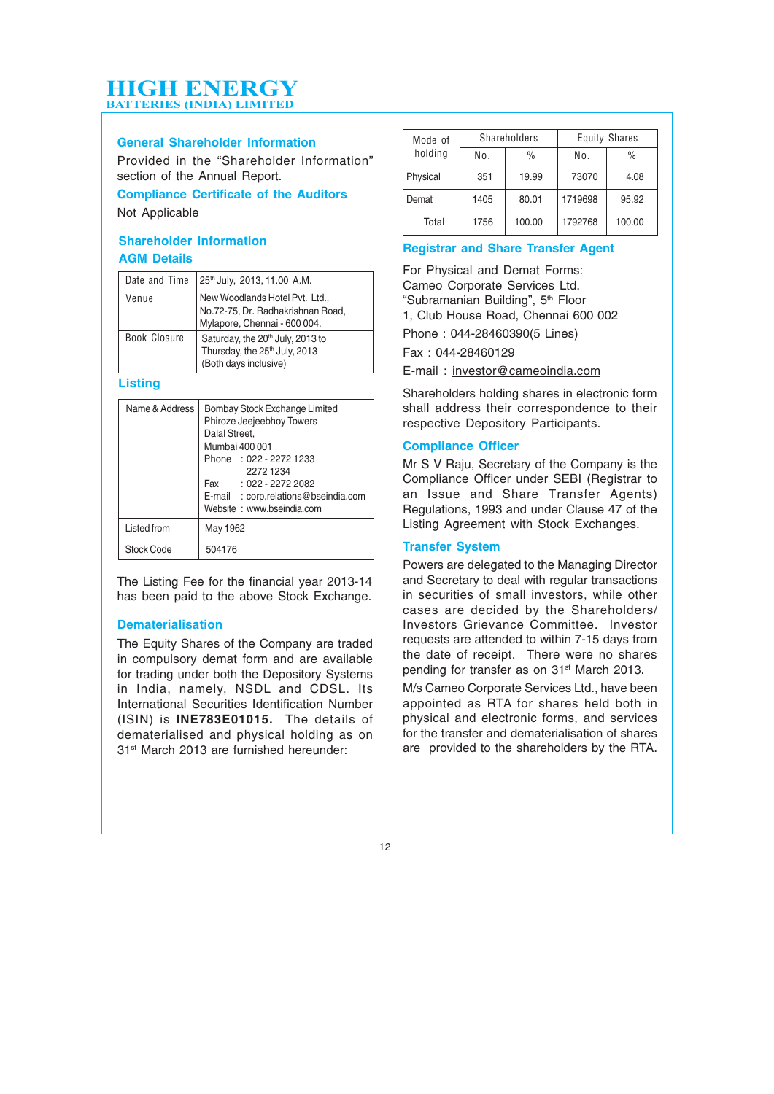#### General Shareholder Information

Provided in the "Shareholder Information" section of the Annual Report.

#### Compliance Certificate of the Auditors

Not Applicable

#### Shareholder Information AGM Details

| Date and Time | 25th July, 2013, 11.00 A.M.                                                                                        |
|---------------|--------------------------------------------------------------------------------------------------------------------|
| Venue         | New Woodlands Hotel Pvt. Ltd.,<br>No.72-75, Dr. Radhakrishnan Road,<br>Mylapore, Chennai - 600 004.                |
| Book Closure  | Saturday, the 20 <sup>th</sup> July, 2013 to<br>Thursday, the 25 <sup>th</sup> July, 2013<br>(Both days inclusive) |

#### **Listing**

| Name & Address | Bombay Stock Exchange Limited<br>Phiroze Jeejeebhoy Towers<br>Dalal Street,<br>Mumbai 400 001<br>Phone : 022 - 2272 1233<br>2272 1234<br>Fax: 022 - 2272 2082<br>E-mail : corp.relations@bseindia.com<br>Website: www.bseindia.com |
|----------------|------------------------------------------------------------------------------------------------------------------------------------------------------------------------------------------------------------------------------------|
| Listed from    | May 1962                                                                                                                                                                                                                           |
| Stock Code     | 504176                                                                                                                                                                                                                             |

The Listing Fee for the financial year 2013-14 has been paid to the above Stock Exchange.

#### Dematerialisation

The Equity Shares of the Company are traded in compulsory demat form and are available for trading under both the Depository Systems in India, namely, NSDL and CDSL. Its International Securities Identification Number (ISIN) is INE783E01015. The details of dematerialised and physical holding as on 31st March 2013 are furnished hereunder:

| Mode of  |              | Shareholders  | <b>Equity Shares</b> |        |  |
|----------|--------------|---------------|----------------------|--------|--|
| holding  | No.          | $\frac{0}{0}$ | No.                  | $\%$   |  |
| Physical | 19.99<br>351 |               | 73070                | 4.08   |  |
| Demat    | 1405         | 80.01         | 1719698              | 95.92  |  |
| Total    | 1756         | 100.00        | 1792768              | 100.00 |  |

#### Registrar and Share Transfer Agent

For Physical and Demat Forms: Cameo Corporate Services Ltd. "Subramanian Building", 5<sup>th</sup> Floor 1, Club House Road, Chennai 600 002 Phone : 044-28460390(5 Lines) Fax : 044-28460129

E-mail : investor@cameoindia.com

Shareholders holding shares in electronic form shall address their correspondence to their respective Depository Participants.

#### Compliance Officer

Mr S V Raju, Secretary of the Company is the Compliance Officer under SEBI (Registrar to an Issue and Share Transfer Agents) Regulations, 1993 and under Clause 47 of the Listing Agreement with Stock Exchanges.

#### Transfer System

Powers are delegated to the Managing Director and Secretary to deal with regular transactions in securities of small investors, while other cases are decided by the Shareholders/ Investors Grievance Committee. Investor requests are attended to within 7-15 days from the date of receipt. There were no shares pending for transfer as on 31<sup>st</sup> March 2013.

M/s Cameo Corporate Services Ltd., have been appointed as RTA for shares held both in physical and electronic forms, and services for the transfer and dematerialisation of shares are provided to the shareholders by the RTA.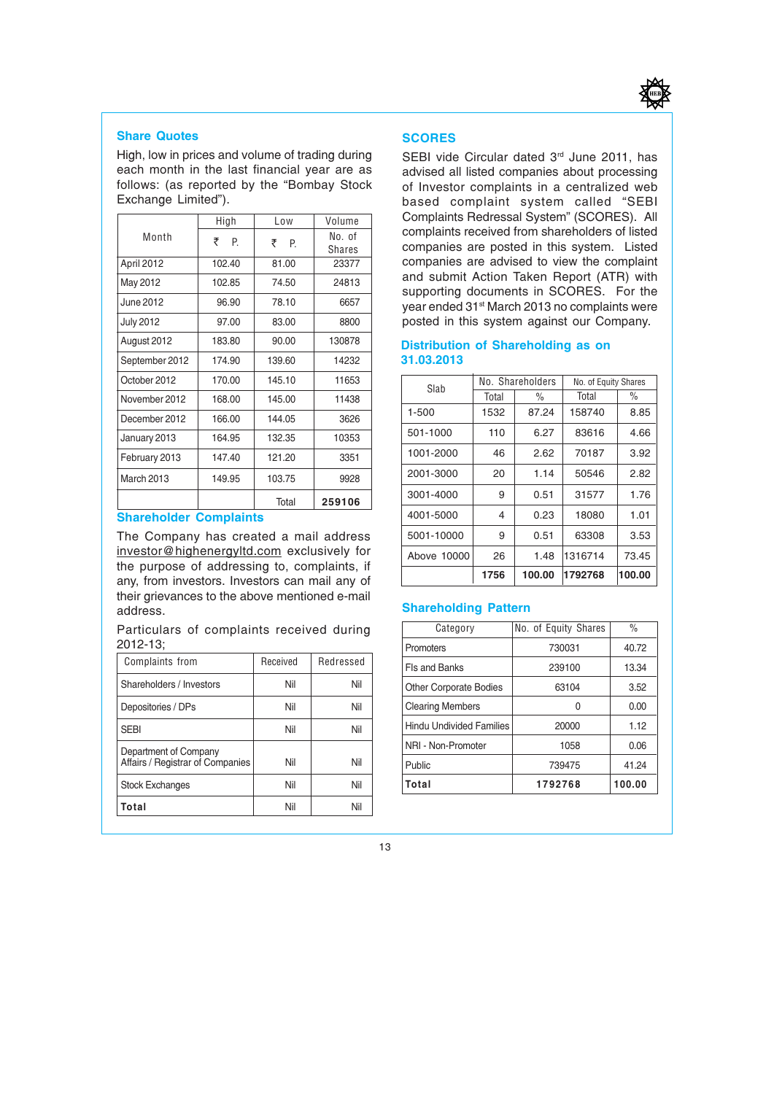

#### Share Quotes

High, low in prices and volume of trading during each month in the last financial year are as follows: (as reported by the "Bombay Stock Exchange Limited").

|                  | High    | Low     | Volume           |
|------------------|---------|---------|------------------|
| Month            | ₹<br>P. | ₹<br>P. | No. of<br>Shares |
| April 2012       | 102.40  | 81.00   | 23377            |
| May 2012         | 102.85  | 74.50   | 24813            |
| June 2012        | 96.90   | 78.10   | 6657             |
| <b>July 2012</b> | 97.00   | 83.00   | 8800             |
| August 2012      | 183.80  | 90.00   | 130878           |
| September 2012   | 174.90  | 139.60  | 14232            |
| October 2012     | 170.00  | 145.10  | 11653            |
| November 2012    | 168.00  | 145.00  | 11438            |
| December 2012    | 166.00  | 144.05  | 3626             |
| January 2013     | 164.95  | 132.35  | 10353            |
| February 2013    | 147.40  | 121.20  | 3351             |
| March 2013       | 149.95  | 103.75  | 9928             |
|                  |         | Total   | 259106           |

#### Shareholder Complaints

The Company has created a mail address investor@highenergyltd.com exclusively for the purpose of addressing to, complaints, if any, from investors. Investors can mail any of their grievances to the above mentioned e-mail address.

Particulars of complaints received during 2012-13;

| <b>Complaints from</b>                                    | Received | Redressed |
|-----------------------------------------------------------|----------|-----------|
| Shareholders / Investors                                  | Nil      | Nil       |
| Depositories / DPs                                        | Nil      | Nil       |
| <b>SEBI</b>                                               | Nil      | Nil       |
| Department of Company<br>Affairs / Registrar of Companies | Nil      | Nil       |
| <b>Stock Exchanges</b>                                    | Nil      | Nil       |
| Total                                                     | Nil      | Nil       |

#### **SCORES**

SEBI vide Circular dated 3<sup>rd</sup> June 2011, has advised all listed companies about processing of Investor complaints in a centralized web based complaint system called "SEBI Complaints Redressal System" (SCORES). All complaints received from shareholders of listed companies are posted in this system. Listed companies are advised to view the complaint and submit Action Taken Report (ATR) with supporting documents in SCORES. For the year ended 31st March 2013 no complaints were posted in this system against our Company.

#### Distribution of Shareholding as on 31.03.2013

| Slab        |                        | No. Shareholders | No. of Equity Shares |        |  |
|-------------|------------------------|------------------|----------------------|--------|--|
|             | Total<br>$\frac{0}{0}$ |                  | Total                | $\%$   |  |
| 1-500       | 1532                   | 87.24            | 158740               | 8.85   |  |
| 501-1000    | 6.27<br>110            |                  | 83616                | 4.66   |  |
| 1001-2000   | 46<br>2.62             |                  | 70187                | 3.92   |  |
| 2001-3000   | 20                     | 1.14             | 50546                | 2.82   |  |
| 3001-4000   | 9                      | 0.51             | 31577                | 1.76   |  |
| 4001-5000   | 4                      | 0.23             | 18080                | 1.01   |  |
| 5001-10000  | 9                      | 0.51             | 63308                | 3.53   |  |
| Above 10000 | 26<br>1.48             |                  | 1316714              | 73.45  |  |
|             | 1756<br>100.00         |                  | 1792768              | 100.00 |  |

#### Shareholding Pattern

| Category                      | No. of Equity Shares | $\%$   |
|-------------------------------|----------------------|--------|
| Promoters                     | 730031               | 40.72  |
| Fls and Banks                 | 239100               | 13.34  |
| <b>Other Corporate Bodies</b> | 63104                | 3.52   |
| <b>Clearing Members</b>       | U                    | 0.00   |
| Hindu Undivided Families      | 20000                | 1.12   |
| NRI - Non-Promoter            | 1058                 | 0.06   |
| Public                        | 739475               | 41.24  |
| Total                         | 1792768              | 100.00 |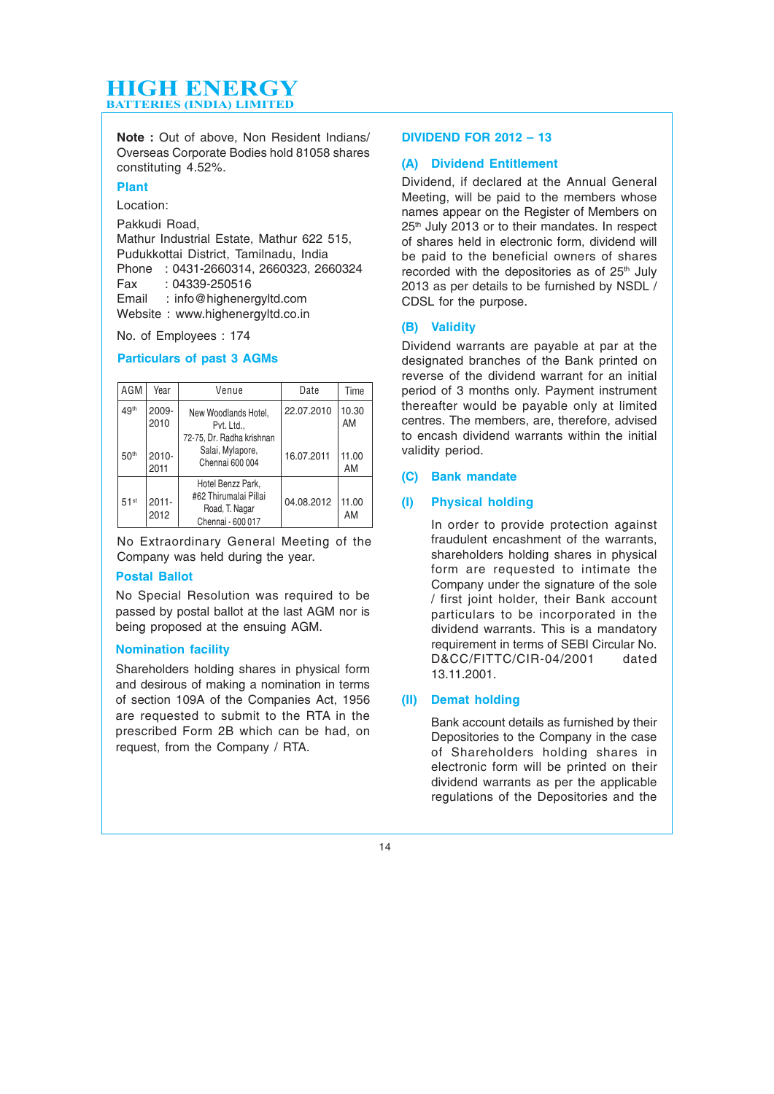Note : Out of above, Non Resident Indians/ Overseas Corporate Bodies hold 81058 shares constituting 4.52%.

#### Plant

Location:

Pakkudi Road,

Mathur Industrial Estate, Mathur 622 515, Pudukkottai District, Tamilnadu, India Phone : 0431-2660314, 2660323, 2660324 Fax : 04339-250516 Email : info@highenergyltd.com Website : www.highenergyltd.co.in

No. of Employees : 174

#### Particulars of past 3 AGMs

| AGM              | Year             | Venue                                                                             | Date       | Time        |
|------------------|------------------|-----------------------------------------------------------------------------------|------------|-------------|
| 49th             | 2009-<br>2010    | New Woodlands Hotel.<br>Pvt. Ltd.,                                                | 22.07.2010 | 10.30<br>AM |
| 50 <sup>th</sup> | $2010 -$<br>2011 | 72-75, Dr. Radha krishnan<br>Salai, Mylapore,<br>Chennai 600 004                  | 16.07.2011 | 11.00<br>AM |
| 51 <sup>st</sup> | $2011 -$<br>2012 | Hotel Benzz Park,<br>#62 Thirumalai Pillai<br>Road, T. Nagar<br>Chennai - 600 017 | 04.08.2012 | 11.00<br>AM |

No Extraordinary General Meeting of the Company was held during the year.

#### Postal Ballot

No Special Resolution was required to be passed by postal ballot at the last AGM nor is being proposed at the ensuing AGM.

#### Nomination facility

Shareholders holding shares in physical form and desirous of making a nomination in terms of section 109A of the Companies Act, 1956 are requested to submit to the RTA in the prescribed Form 2B which can be had, on request, from the Company / RTA.

#### DIVIDEND FOR 2012 – 13

#### (A) Dividend Entitlement

Dividend, if declared at the Annual General Meeting, will be paid to the members whose names appear on the Register of Members on 25<sup>th</sup> July 2013 or to their mandates. In respect of shares held in electronic form, dividend will be paid to the beneficial owners of shares recorded with the depositories as of 25<sup>th</sup> July 2013 as per details to be furnished by NSDL / CDSL for the purpose.

#### (B) Validity

Dividend warrants are payable at par at the designated branches of the Bank printed on reverse of the dividend warrant for an initial period of 3 months only. Payment instrument thereafter would be payable only at limited centres. The members, are, therefore, advised to encash dividend warrants within the initial validity period.

#### (C) Bank mandate

#### (I) Physical holding

In order to provide protection against fraudulent encashment of the warrants, shareholders holding shares in physical form are requested to intimate the Company under the signature of the sole / first joint holder, their Bank account particulars to be incorporated in the dividend warrants. This is a mandatory requirement in terms of SEBI Circular No. D&CC/FITTC/CIR-04/2001 dated 13.11.2001.

#### (II) Demat holding

Bank account details as furnished by their Depositories to the Company in the case of Shareholders holding shares in electronic form will be printed on their dividend warrants as per the applicable regulations of the Depositories and the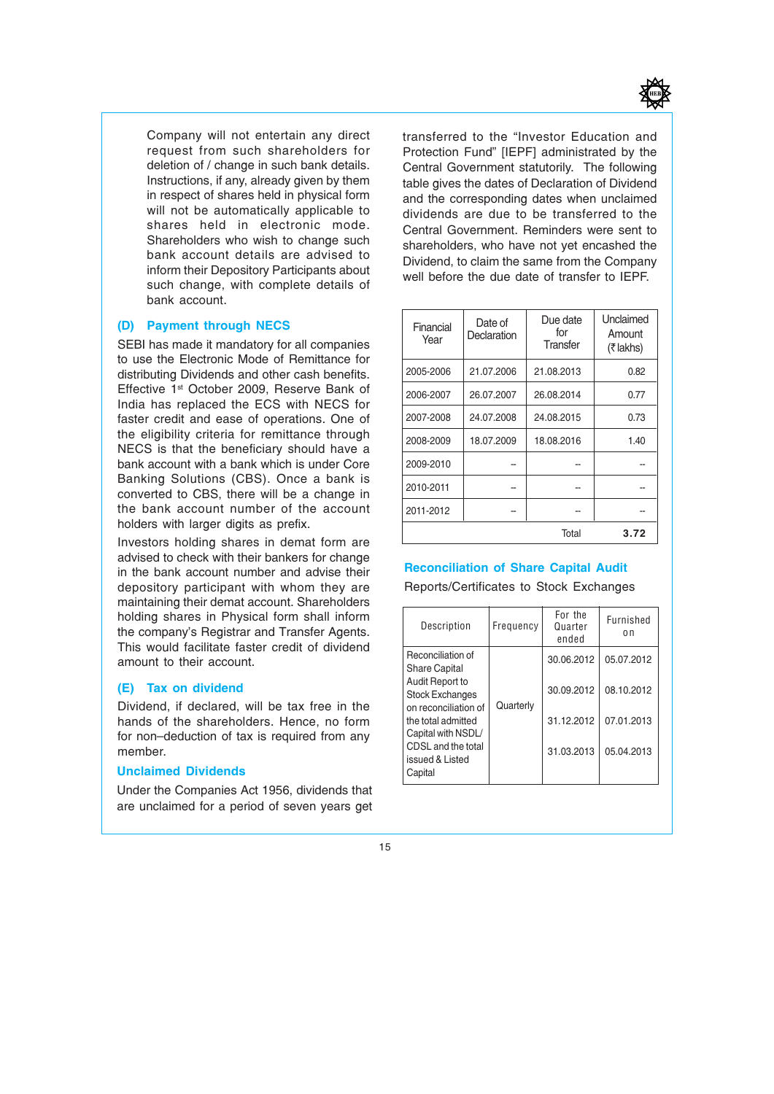

Company will not entertain any direct request from such shareholders for deletion of / change in such bank details. Instructions, if any, already given by them in respect of shares held in physical form will not be automatically applicable to shares held in electronic mode. Shareholders who wish to change such bank account details are advised to inform their Depository Participants about such change, with complete details of bank account.

#### (D) Payment through NECS

SEBI has made it mandatory for all companies to use the Electronic Mode of Remittance for distributing Dividends and other cash benefits. Effective 1<sup>st</sup> October 2009, Reserve Bank of India has replaced the ECS with NECS for faster credit and ease of operations. One of the eligibility criteria for remittance through NECS is that the beneficiary should have a bank account with a bank which is under Core Banking Solutions (CBS). Once a bank is converted to CBS, there will be a change in the bank account number of the account holders with larger digits as prefix.

Investors holding shares in demat form are advised to check with their bankers for change in the bank account number and advise their depository participant with whom they are maintaining their demat account. Shareholders holding shares in Physical form shall inform the company's Registrar and Transfer Agents. This would facilitate faster credit of dividend amount to their account.

#### (E) Tax on dividend

Dividend, if declared, will be tax free in the hands of the shareholders. Hence, no form for non–deduction of tax is required from any member.

#### Unclaimed Dividends

Under the Companies Act 1956, dividends that are unclaimed for a period of seven years get transferred to the "Investor Education and Protection Fund" [IEPF] administrated by the Central Government statutorily. The following table gives the dates of Declaration of Dividend and the corresponding dates when unclaimed dividends are due to be transferred to the Central Government. Reminders were sent to shareholders, who have not yet encashed the Dividend, to claim the same from the Company well before the due date of transfer to IEPF.

| Financial<br>Year | Date of<br>Declaration | Due date<br>for<br>Transfer | Unclaimed<br>Amount<br>$(7$ lakhs) |  |
|-------------------|------------------------|-----------------------------|------------------------------------|--|
| 2005-2006         | 21.07.2006             | 21.08.2013                  | 0.82                               |  |
| 2006-2007         | 26.07.2007             | 26.08.2014                  | 0.77                               |  |
| 2007-2008         | 24.07.2008             | 24.08.2015                  | 0.73                               |  |
| 2008-2009         | 18.07.2009             | 18.08.2016                  | 1.40                               |  |
| 2009-2010         |                        |                             |                                    |  |
| 2010-2011         |                        |                             |                                    |  |
| 2011-2012         |                        |                             |                                    |  |
| Total<br>3.72     |                        |                             |                                    |  |

#### Reconciliation of Share Capital Audit

Reports/Certificates to Stock Exchanges

| Description                                                       | Frequency  | For the<br>Quarter<br>ended | Furnished<br>0n |
|-------------------------------------------------------------------|------------|-----------------------------|-----------------|
| Reconciliation of<br><b>Share Capital</b>                         |            | 30.06.2012                  | 05.07.2012      |
| Audit Report to<br><b>Stock Exchanges</b><br>on reconciliation of | Quarterly  | 30.09.2012                  | 08.10.2012      |
| the total admitted<br>Capital with NSDL/                          |            | 31.12.2012                  | 07.01.2013      |
| CDSL and the total<br>issued & Listed<br>Capital                  | 31.03.2013 | 05.04.2013                  |                 |

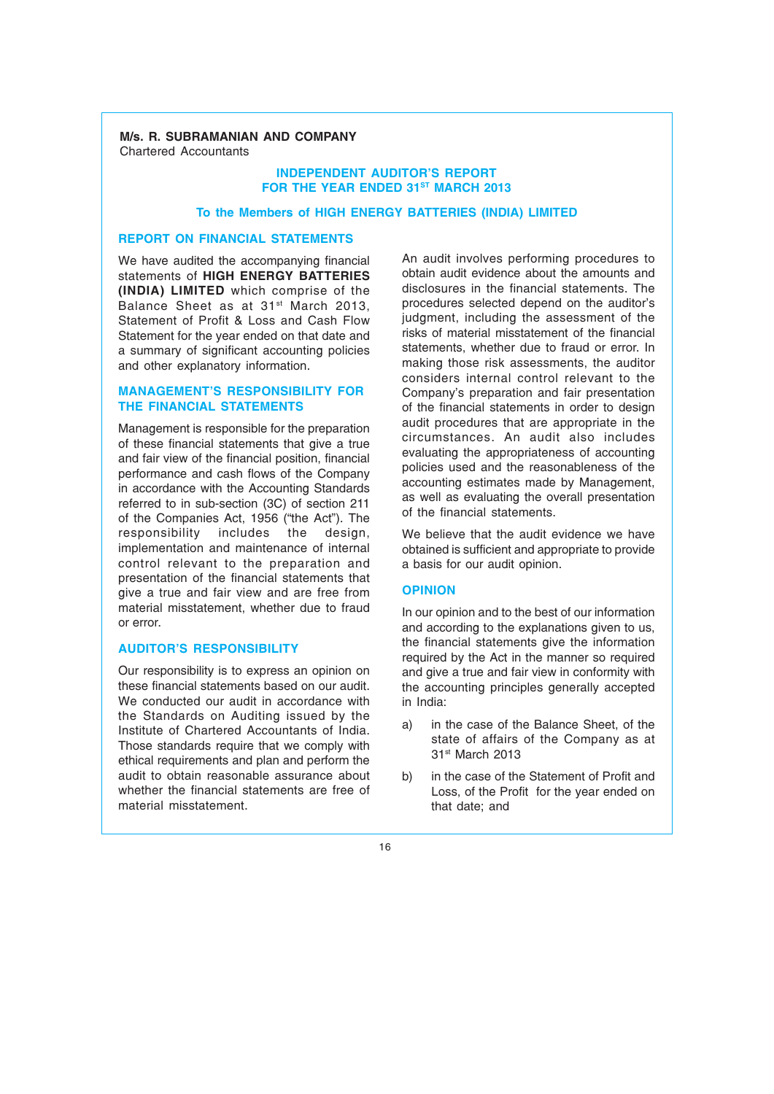#### M/s. R. SUBRAMANIAN AND COMPANY Chartered Accountants

#### INDEPENDENT AUDITOR'S REPORT FOR THE YEAR ENDED 31ST MARCH 2013

#### To the Members of HIGH ENERGY BATTERIES (INDIA) LIMITED

#### REPORT ON FINANCIAL STATEMENTS

We have audited the accompanying financial statements of HIGH ENERGY BATTERIES (INDIA) LIMITED which comprise of the Balance Sheet as at 31<sup>st</sup> March 2013, Statement of Profit & Loss and Cash Flow Statement for the year ended on that date and a summary of significant accounting policies and other explanatory information.

#### MANAGEMENT'S RESPONSIBILITY FOR THE FINANCIAL STATEMENTS

Management is responsible for the preparation of these financial statements that give a true and fair view of the financial position, financial performance and cash flows of the Company in accordance with the Accounting Standards referred to in sub-section (3C) of section 211 of the Companies Act, 1956 ("the Act"). The responsibility includes the design. responsibility includes the design, implementation and maintenance of internal control relevant to the preparation and presentation of the financial statements that give a true and fair view and are free from material misstatement, whether due to fraud or error.

#### AUDITOR'S RESPONSIBILITY

Our responsibility is to express an opinion on these financial statements based on our audit. We conducted our audit in accordance with the Standards on Auditing issued by the Institute of Chartered Accountants of India. Those standards require that we comply with ethical requirements and plan and perform the audit to obtain reasonable assurance about whether the financial statements are free of material misstatement.

An audit involves performing procedures to obtain audit evidence about the amounts and disclosures in the financial statements. The procedures selected depend on the auditor's judgment, including the assessment of the risks of material misstatement of the financial statements, whether due to fraud or error. In making those risk assessments, the auditor considers internal control relevant to the Company's preparation and fair presentation of the financial statements in order to design audit procedures that are appropriate in the circumstances. An audit also includes evaluating the appropriateness of accounting policies used and the reasonableness of the accounting estimates made by Management, as well as evaluating the overall presentation of the financial statements.

We believe that the audit evidence we have obtained is sufficient and appropriate to provide a basis for our audit opinion.

#### **OPINION**

In our opinion and to the best of our information and according to the explanations given to us, the financial statements give the information required by the Act in the manner so required and give a true and fair view in conformity with the accounting principles generally accepted in India:

- a) in the case of the Balance Sheet, of the state of affairs of the Company as at 31st March 2013
- b) in the case of the Statement of Profit and Loss, of the Profit for the year ended on that date; and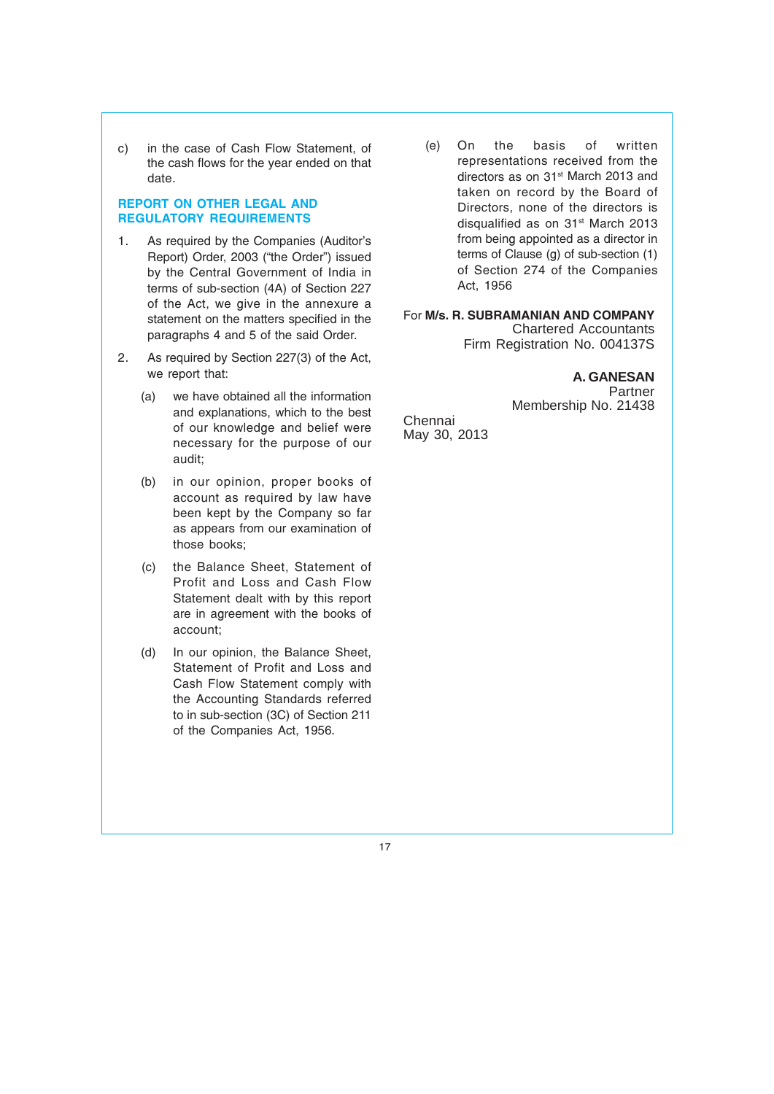c) in the case of Cash Flow Statement, of the cash flows for the year ended on that date.

#### REPORT ON OTHER LEGAL AND REGULATORY REQUIREMENTS

- 1. As required by the Companies (Auditor's Report) Order, 2003 ("the Order") issued by the Central Government of India in terms of sub-section (4A) of Section 227 of the Act, we give in the annexure a statement on the matters specified in the paragraphs 4 and 5 of the said Order.
- 2. As required by Section 227(3) of the Act, we report that:
	- (a) we have obtained all the information and explanations, which to the best of our knowledge and belief were necessary for the purpose of our audit;
	- (b) in our opinion, proper books of account as required by law have been kept by the Company so far as appears from our examination of those books;
	- (c) the Balance Sheet, Statement of Profit and Loss and Cash Flow Statement dealt with by this report are in agreement with the books of account;
	- (d) In our opinion, the Balance Sheet, Statement of Profit and Loss and Cash Flow Statement comply with the Accounting Standards referred to in sub-section (3C) of Section 211 of the Companies Act, 1956.

 (e) On the basis of written representations received from the directors as on 31<sup>st</sup> March 2013 and taken on record by the Board of Directors, none of the directors is disqualified as on 31<sup>st</sup> March 2013 from being appointed as a director in terms of Clause (g) of sub-section (1) of Section 274 of the Companies Act, 1956

For M/s. R. SUBRAMANIAN AND COMPANY Chartered Accountants Firm Registration No. 004137S

> **A. GANESAN** Partner Membership No. 21438

Chennai May 30, 2013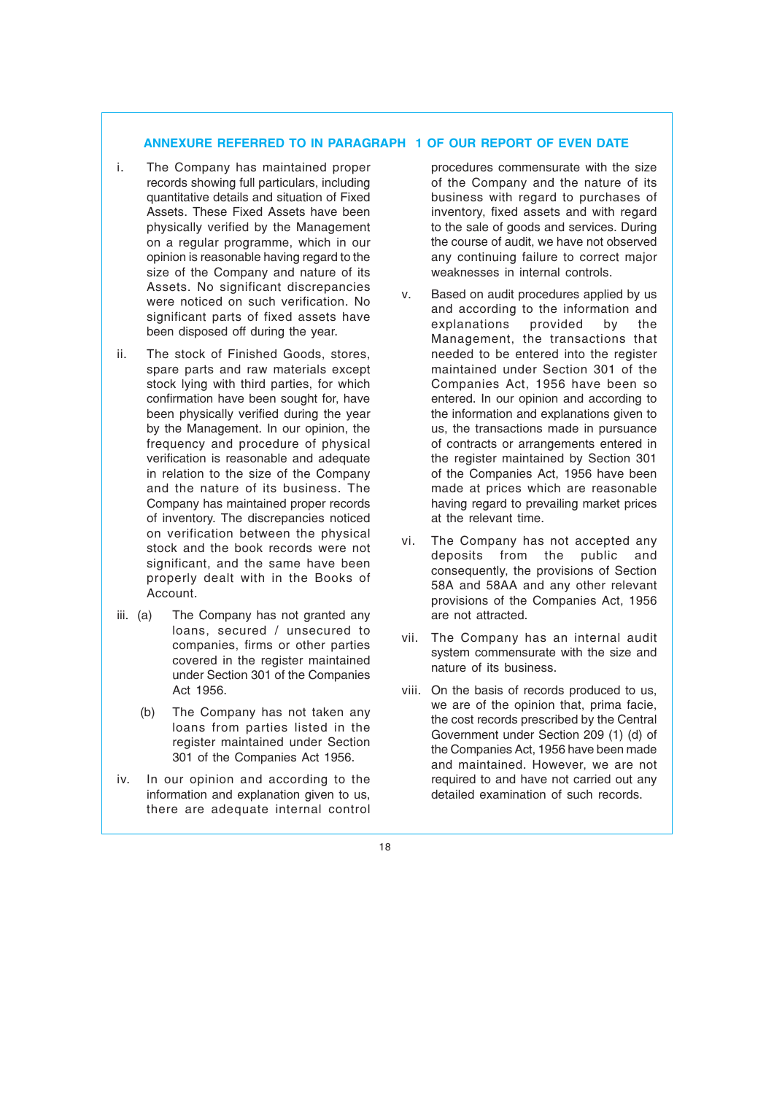#### ANNEXURE REFERRED TO IN PARAGRAPH 1 OF OUR REPORT OF EVEN DATE

- i. The Company has maintained proper records showing full particulars, including quantitative details and situation of Fixed Assets. These Fixed Assets have been physically verified by the Management on a regular programme, which in our opinion is reasonable having regard to the size of the Company and nature of its Assets. No significant discrepancies were noticed on such verification. No significant parts of fixed assets have been disposed off during the year.
- ii. The stock of Finished Goods, stores, spare parts and raw materials except stock lying with third parties, for which confirmation have been sought for, have been physically verified during the year by the Management. In our opinion, the frequency and procedure of physical verification is reasonable and adequate in relation to the size of the Company and the nature of its business. The Company has maintained proper records of inventory. The discrepancies noticed on verification between the physical stock and the book records were not significant, and the same have been properly dealt with in the Books of Account.
- iii. (a) The Company has not granted any loans, secured / unsecured to companies, firms or other parties covered in the register maintained under Section 301 of the Companies Act 1956.
	- (b) The Company has not taken any loans from parties listed in the register maintained under Section 301 of the Companies Act 1956.
- iv. In our opinion and according to the information and explanation given to us, there are adequate internal control

procedures commensurate with the size of the Company and the nature of its business with regard to purchases of inventory, fixed assets and with regard to the sale of goods and services. During the course of audit, we have not observed any continuing failure to correct major weaknesses in internal controls.

- v. Based on audit procedures applied by us and according to the information and explanations provided by the Management, the transactions that needed to be entered into the register maintained under Section 301 of the Companies Act, 1956 have been so entered. In our opinion and according to the information and explanations given to us, the transactions made in pursuance of contracts or arrangements entered in the register maintained by Section 301 of the Companies Act, 1956 have been made at prices which are reasonable having regard to prevailing market prices at the relevant time.
- vi. The Company has not accepted any deposits from the public and consequently, the provisions of Section 58A and 58AA and any other relevant provisions of the Companies Act, 1956 are not attracted.
- vii. The Company has an internal audit system commensurate with the size and nature of its business.
- viii. On the basis of records produced to us, we are of the opinion that, prima facie, the cost records prescribed by the Central Government under Section 209 (1) (d) of the Companies Act, 1956 have been made and maintained. However, we are not required to and have not carried out any detailed examination of such records.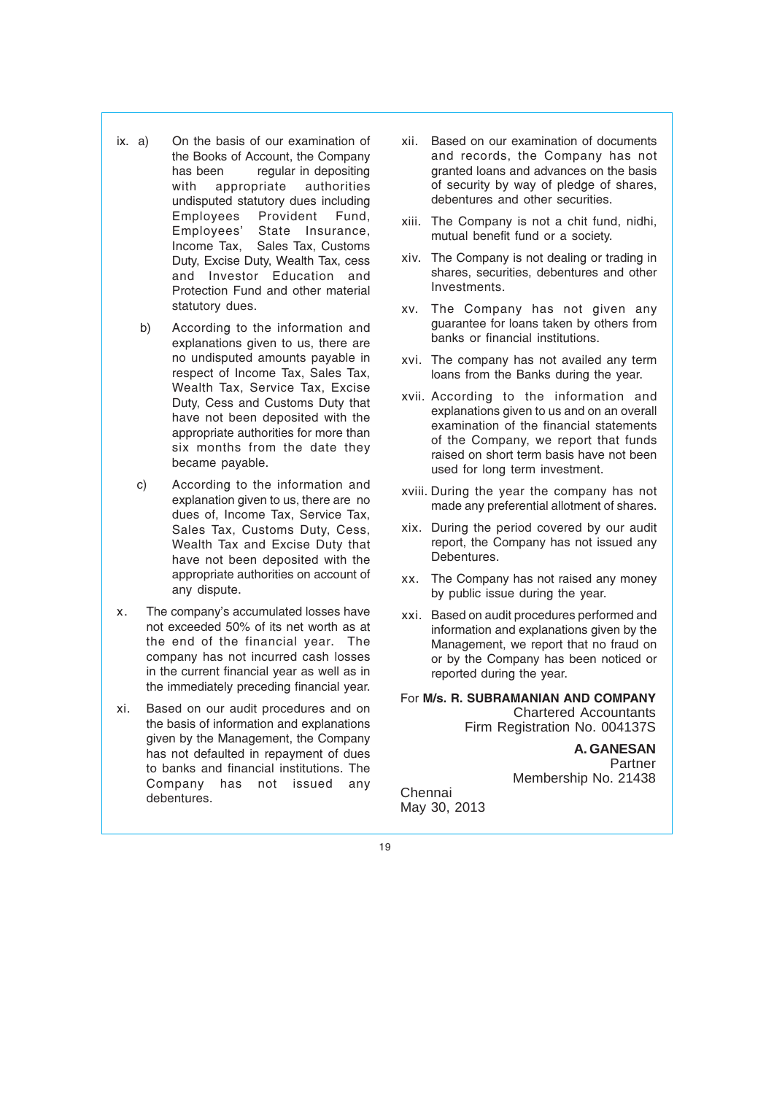- ix. a) On the basis of our examination of the Books of Account, the Company has been regular in depositing with appropriate authorities undisputed statutory dues including Employees Provident Fund, Employees' State Insurance, Income Tax, Sales Tax, Customs Duty, Excise Duty, Wealth Tax, cess and Investor Education and Protection Fund and other material statutory dues.
	- b) According to the information and explanations given to us, there are no undisputed amounts payable in respect of Income Tax, Sales Tax, Wealth Tax, Service Tax, Excise Duty, Cess and Customs Duty that have not been deposited with the appropriate authorities for more than six months from the date they became payable.
	- c) According to the information and explanation given to us, there are no dues of, Income Tax, Service Tax, Sales Tax, Customs Duty, Cess, Wealth Tax and Excise Duty that have not been deposited with the appropriate authorities on account of any dispute.
- x. The company's accumulated losses have not exceeded 50% of its net worth as at the end of the financial year. The company has not incurred cash losses in the current financial year as well as in the immediately preceding financial year.
- xi. Based on our audit procedures and on the basis of information and explanations given by the Management, the Company has not defaulted in repayment of dues to banks and financial institutions. The Company has not issued any debentures.
- xii. Based on our examination of documents and records, the Company has not granted loans and advances on the basis of security by way of pledge of shares, debentures and other securities.
- xiii. The Company is not a chit fund, nidhi, mutual benefit fund or a society.
- xiv. The Company is not dealing or trading in shares, securities, debentures and other Investments.
- xv. The Company has not given any guarantee for loans taken by others from banks or financial institutions.
- xvi. The company has not availed any term loans from the Banks during the year.
- xvii. According to the information and explanations given to us and on an overall examination of the financial statements of the Company, we report that funds raised on short term basis have not been used for long term investment.
- xviii. During the year the company has not made any preferential allotment of shares.
- xix. During the period covered by our audit report, the Company has not issued any Debentures.
- xx. The Company has not raised any money by public issue during the year.
- xxi. Based on audit procedures performed and information and explanations given by the Management, we report that no fraud on or by the Company has been noticed or reported during the year.

For M/s. R. SUBRAMANIAN AND COMPANY Chartered Accountants Firm Registration No. 004137S

> **A. GANESAN** Partner Membership No. 21438

Chennai May 30, 2013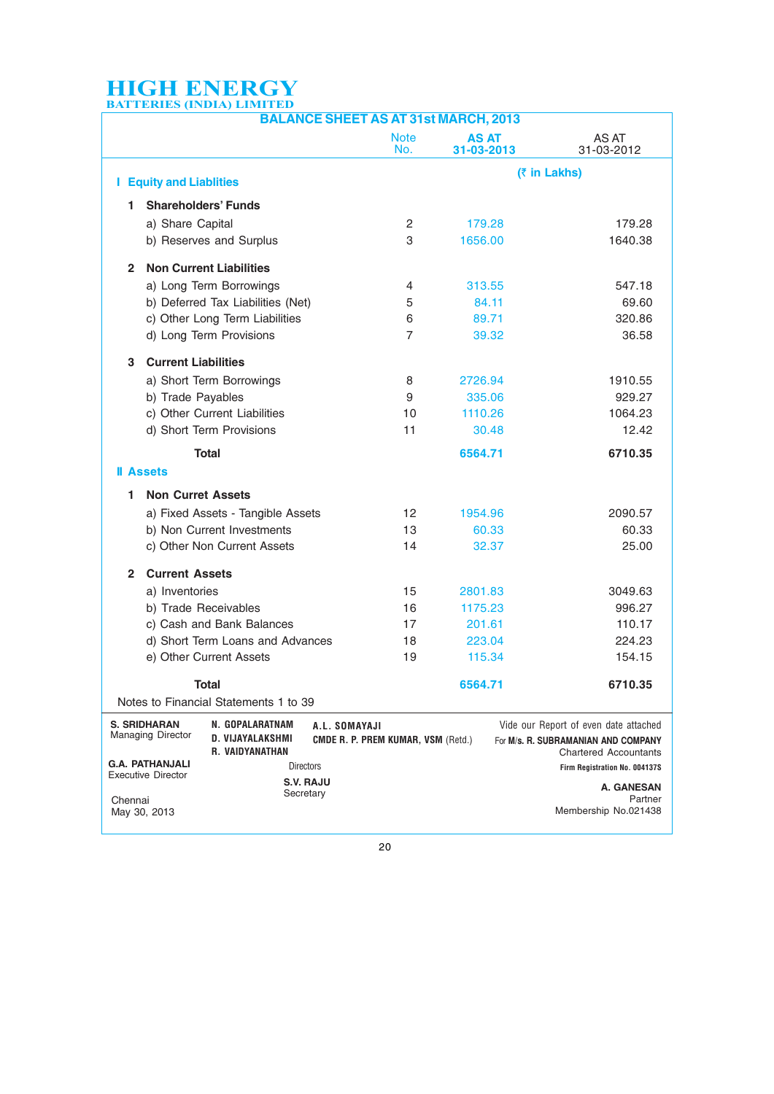| <b>BALANCE SHEET AS AT 31st MARCH, 2013</b> |                                                     |                                                        |                                                            |                    |                            |                                                                                                              |
|---------------------------------------------|-----------------------------------------------------|--------------------------------------------------------|------------------------------------------------------------|--------------------|----------------------------|--------------------------------------------------------------------------------------------------------------|
|                                             |                                                     |                                                        |                                                            | <b>Note</b><br>No. | <b>AS AT</b><br>31-03-2013 | AS AT<br>31-03-2012                                                                                          |
|                                             | <b>I</b> Equity and Liablities                      |                                                        |                                                            |                    |                            | (₹ in Lakhs)                                                                                                 |
| 1.                                          | <b>Shareholders' Funds</b>                          |                                                        |                                                            |                    |                            |                                                                                                              |
|                                             | a) Share Capital                                    |                                                        |                                                            | 2                  | 179.28                     | 179.28                                                                                                       |
|                                             |                                                     | b) Reserves and Surplus                                |                                                            | 3                  | 1656.00                    | 1640.38                                                                                                      |
| $\mathbf{2}$                                |                                                     | <b>Non Current Liabilities</b>                         |                                                            |                    |                            |                                                                                                              |
|                                             |                                                     | a) Long Term Borrowings                                |                                                            | 4                  | 313.55                     | 547.18                                                                                                       |
|                                             |                                                     | b) Deferred Tax Liabilities (Net)                      |                                                            | 5                  | 84.11                      | 69.60                                                                                                        |
|                                             |                                                     | c) Other Long Term Liabilities                         |                                                            | 6                  | 89.71                      | 320.86                                                                                                       |
|                                             |                                                     | d) Long Term Provisions                                |                                                            | 7                  | 39.32                      | 36.58                                                                                                        |
| 3                                           | <b>Current Liabilities</b>                          |                                                        |                                                            |                    |                            |                                                                                                              |
|                                             |                                                     | a) Short Term Borrowings                               |                                                            | 8                  | 2726.94                    | 1910.55                                                                                                      |
|                                             | b) Trade Payables                                   |                                                        |                                                            | 9                  | 335.06                     | 929.27                                                                                                       |
|                                             |                                                     | c) Other Current Liabilities                           |                                                            | 10                 | 1110.26                    | 1064.23                                                                                                      |
|                                             |                                                     | d) Short Term Provisions                               |                                                            | 11                 | 30.48                      | 12.42                                                                                                        |
|                                             |                                                     | <b>Total</b>                                           |                                                            |                    | 6564.71                    | 6710.35                                                                                                      |
|                                             | <b>Il Assets</b>                                    |                                                        |                                                            |                    |                            |                                                                                                              |
| 1.                                          | <b>Non Curret Assets</b>                            |                                                        |                                                            |                    |                            |                                                                                                              |
|                                             |                                                     | a) Fixed Assets - Tangible Assets                      |                                                            | 12                 | 1954.96                    | 2090.57                                                                                                      |
|                                             |                                                     | b) Non Current Investments                             |                                                            | 13                 | 60.33                      | 60.33                                                                                                        |
|                                             |                                                     | c) Other Non Current Assets                            |                                                            | 14                 | 32.37                      | 25.00                                                                                                        |
| $\mathbf{2}$                                | <b>Current Assets</b>                               |                                                        |                                                            |                    |                            |                                                                                                              |
|                                             | a) Inventories                                      |                                                        |                                                            | 15                 | 2801.83                    | 3049.63                                                                                                      |
|                                             | b) Trade Receivables                                |                                                        |                                                            | 16                 | 1175.23                    | 996.27                                                                                                       |
|                                             |                                                     | c) Cash and Bank Balances                              |                                                            | 17                 | 201.61                     | 110.17                                                                                                       |
|                                             |                                                     | d) Short Term Loans and Advances                       |                                                            | 18                 | 223.04                     | 224.23                                                                                                       |
|                                             |                                                     | e) Other Current Assets                                |                                                            | 19                 | 115.34                     | 154.15                                                                                                       |
|                                             |                                                     | Total                                                  |                                                            |                    | 6564.71                    | 6710.35                                                                                                      |
|                                             |                                                     | Notes to Financial Statements 1 to 39                  |                                                            |                    |                            |                                                                                                              |
|                                             | <b>S. SRIDHARAN</b><br><b>Managing Director</b>     | N. GOPALARATNAM<br>D. VIJAYALAKSHMI<br>R. VAIDYANATHAN | A.L. SOMAYAJI<br><b>CMDE R. P. PREM KUMAR, VSM (Retd.)</b> |                    |                            | Vide our Report of even date attached<br>For M/s. R. SUBRAMANIAN AND COMPANY<br><b>Chartered Accountants</b> |
|                                             | <b>G.A. PATHANJALI</b><br><b>Executive Director</b> | <b>Directors</b>                                       |                                                            |                    |                            | Firm Registration No. 004137S                                                                                |
|                                             |                                                     | <b>S.V. RAJU</b><br>Secretary                          |                                                            |                    |                            | A. GANESAN                                                                                                   |
| Chennai                                     | May 30, 2013                                        |                                                        |                                                            |                    |                            | Partner<br>Membership No.021438                                                                              |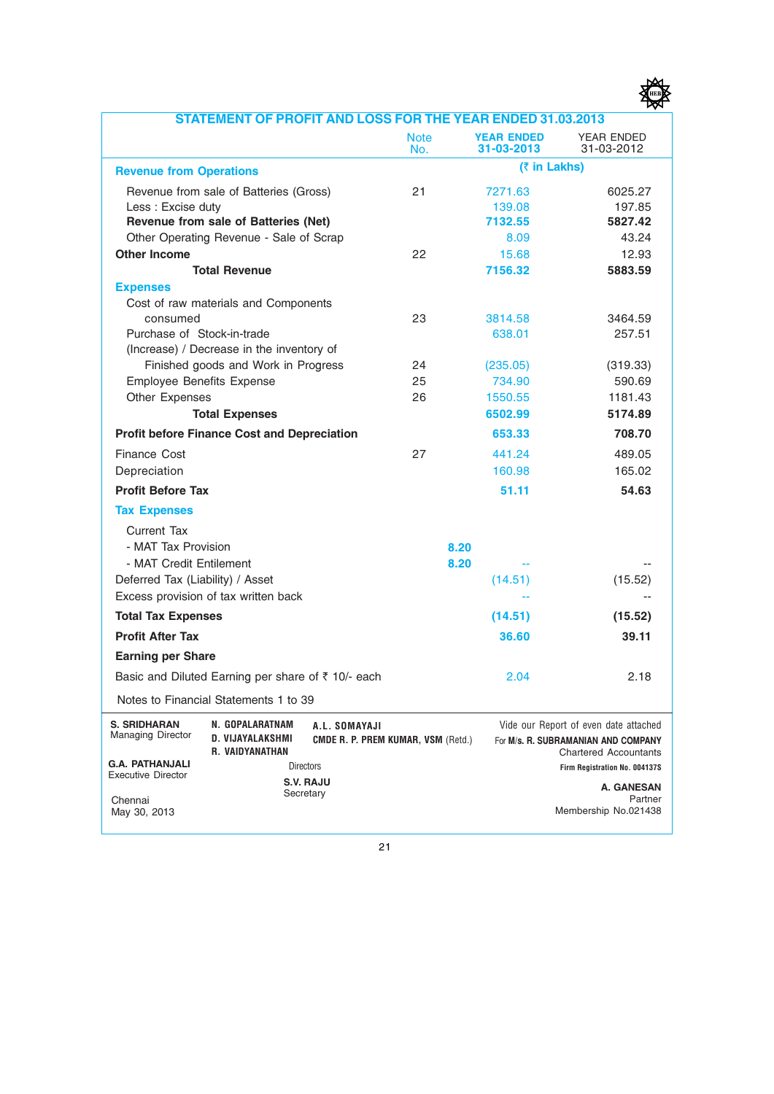

| <b>STATEMENT OF PROFIT AND LOSS FOR THE YEAR ENDED 31.03.2013</b> |                                                               |                                                            |                    |                                 |                                                                                                              |
|-------------------------------------------------------------------|---------------------------------------------------------------|------------------------------------------------------------|--------------------|---------------------------------|--------------------------------------------------------------------------------------------------------------|
|                                                                   |                                                               |                                                            | <b>Note</b><br>No. | <b>YEAR ENDED</b><br>31-03-2013 | YEAR ENDED<br>31-03-2012                                                                                     |
| <b>Revenue from Operations</b>                                    |                                                               |                                                            |                    | (₹ in Lakhs)                    |                                                                                                              |
|                                                                   | Revenue from sale of Batteries (Gross)                        |                                                            | 21                 | 7271.63                         | 6025.27                                                                                                      |
| Less: Excise duty                                                 |                                                               |                                                            |                    | 139.08                          | 197.85                                                                                                       |
|                                                                   | Revenue from sale of Batteries (Net)                          |                                                            |                    | 7132.55                         | 5827.42                                                                                                      |
|                                                                   | Other Operating Revenue - Sale of Scrap                       |                                                            |                    | 8.09                            | 43.24                                                                                                        |
| <b>Other Income</b>                                               |                                                               |                                                            | 22                 | 15.68                           | 12.93                                                                                                        |
| <b>Total Revenue</b>                                              |                                                               |                                                            |                    | 7156.32                         | 5883.59                                                                                                      |
| <b>Expenses</b>                                                   |                                                               |                                                            |                    |                                 |                                                                                                              |
|                                                                   | Cost of raw materials and Components                          |                                                            |                    |                                 |                                                                                                              |
| consumed                                                          |                                                               |                                                            | 23                 | 3814.58                         | 3464.59                                                                                                      |
| Purchase of Stock-in-trade                                        |                                                               |                                                            |                    | 638.01                          | 257.51                                                                                                       |
|                                                                   | (Increase) / Decrease in the inventory of                     |                                                            |                    |                                 |                                                                                                              |
|                                                                   | Finished goods and Work in Progress                           |                                                            | 24                 | (235.05)                        | (319.33)                                                                                                     |
| <b>Employee Benefits Expense</b>                                  |                                                               |                                                            | 25                 | 734.90                          | 590.69                                                                                                       |
| Other Expenses                                                    |                                                               |                                                            | 26                 | 1550.55                         | 1181.43                                                                                                      |
|                                                                   | <b>Total Expenses</b>                                         |                                                            |                    | 6502.99                         | 5174.89                                                                                                      |
|                                                                   | <b>Profit before Finance Cost and Depreciation</b>            |                                                            |                    | 653.33                          | 708.70                                                                                                       |
| Finance Cost                                                      |                                                               |                                                            | 27                 | 441.24                          | 489.05                                                                                                       |
| Depreciation                                                      |                                                               |                                                            |                    | 160.98                          | 165.02                                                                                                       |
| <b>Profit Before Tax</b>                                          |                                                               |                                                            |                    | 51.11                           | 54.63                                                                                                        |
| <b>Tax Expenses</b>                                               |                                                               |                                                            |                    |                                 |                                                                                                              |
| Current Tax                                                       |                                                               |                                                            |                    |                                 |                                                                                                              |
| - MAT Tax Provision                                               |                                                               |                                                            |                    | 8.20                            |                                                                                                              |
| - MAT Credit Entilement                                           |                                                               |                                                            |                    | 8.20                            |                                                                                                              |
| Deferred Tax (Liability) / Asset                                  |                                                               |                                                            |                    | (14.51)                         | (15.52)                                                                                                      |
|                                                                   | Excess provision of tax written back                          |                                                            |                    |                                 |                                                                                                              |
| <b>Total Tax Expenses</b>                                         |                                                               |                                                            |                    | (14.51)                         | (15.52)                                                                                                      |
| <b>Profit After Tax</b>                                           |                                                               |                                                            |                    | 36.60                           | 39.11                                                                                                        |
| <b>Earning per Share</b>                                          |                                                               |                                                            |                    |                                 |                                                                                                              |
|                                                                   | Basic and Diluted Earning per share of ₹ 10/- each            |                                                            |                    | 2.04                            | 2.18                                                                                                         |
|                                                                   | Notes to Financial Statements 1 to 39                         |                                                            |                    |                                 |                                                                                                              |
| <b>S. SRIDHARAN</b><br><b>Managing Director</b>                   | N. GOPALARATNAM<br>D. VIJAYALAKSHMI<br><b>R. VAIDYANATHAN</b> | A.L. SOMAYAJI<br><b>CMDE R. P. PREM KUMAR, VSM (Retd.)</b> |                    |                                 | Vide our Report of even date attached<br>For M/s. R. SUBRAMANIAN AND COMPANY<br><b>Chartered Accountants</b> |
| <b>G.A. PATHANJALI</b>                                            | <b>Directors</b>                                              |                                                            |                    |                                 | Firm Registration No. 004137S                                                                                |
| <b>Executive Director</b>                                         |                                                               | <b>S.V. RAJU</b>                                           |                    |                                 | A. GANESAN                                                                                                   |
| Chennai<br>May 30, 2013                                           |                                                               | Secretary                                                  |                    |                                 | Partner<br>Membership No.021438                                                                              |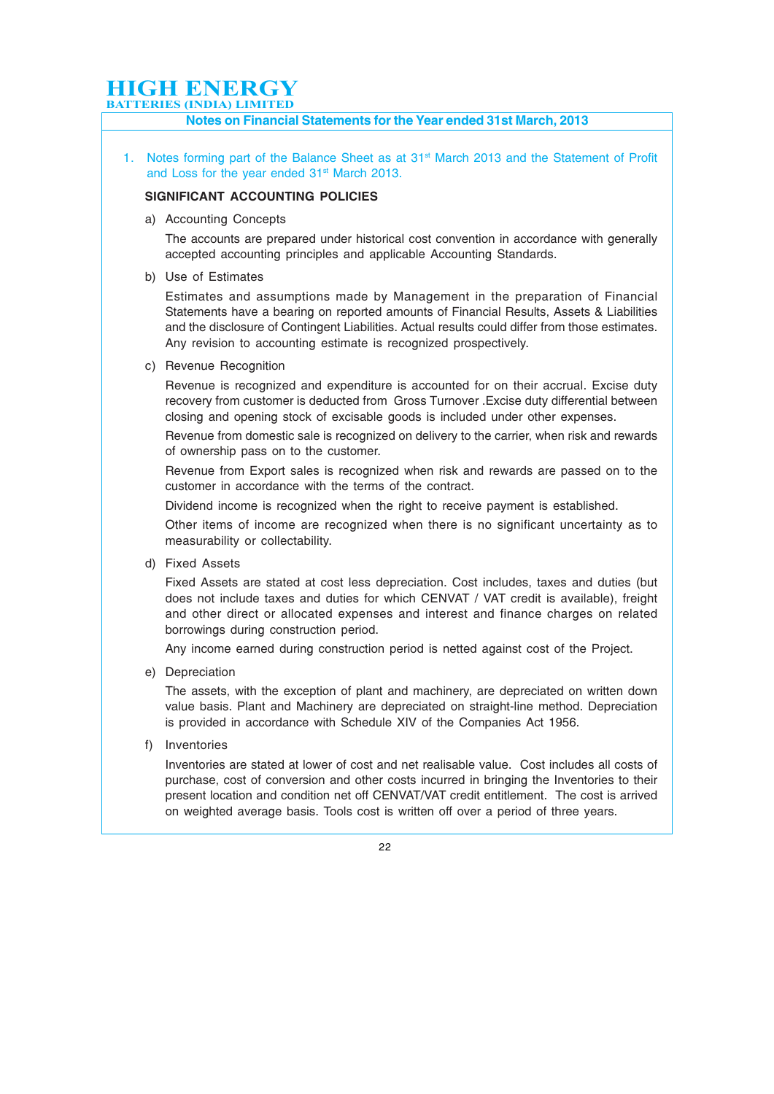### **HIGH ENERGY**

**BATTERIES (INDIA) LIMITED**

#### Notes on Financial Statements for the Year ended 31st March, 2013

1. Notes forming part of the Balance Sheet as at 31<sup>st</sup> March 2013 and the Statement of Profit and Loss for the year ended 31<sup>st</sup> March 2013.

#### SIGNIFICANT ACCOUNTING POLICIES

a) Accounting Concepts

The accounts are prepared under historical cost convention in accordance with generally accepted accounting principles and applicable Accounting Standards.

b) Use of Estimates

Estimates and assumptions made by Management in the preparation of Financial Statements have a bearing on reported amounts of Financial Results, Assets & Liabilities and the disclosure of Contingent Liabilities. Actual results could differ from those estimates. Any revision to accounting estimate is recognized prospectively.

c) Revenue Recognition

Revenue is recognized and expenditure is accounted for on their accrual. Excise duty recovery from customer is deducted from Gross Turnover .Excise duty differential between closing and opening stock of excisable goods is included under other expenses.

Revenue from domestic sale is recognized on delivery to the carrier, when risk and rewards of ownership pass on to the customer.

Revenue from Export sales is recognized when risk and rewards are passed on to the customer in accordance with the terms of the contract.

Dividend income is recognized when the right to receive payment is established.

Other items of income are recognized when there is no significant uncertainty as to measurability or collectability.

d) Fixed Assets

Fixed Assets are stated at cost less depreciation. Cost includes, taxes and duties (but does not include taxes and duties for which CENVAT / VAT credit is available), freight and other direct or allocated expenses and interest and finance charges on related borrowings during construction period.

Any income earned during construction period is netted against cost of the Project.

e) Depreciation

The assets, with the exception of plant and machinery, are depreciated on written down value basis. Plant and Machinery are depreciated on straight-line method. Depreciation is provided in accordance with Schedule XIV of the Companies Act 1956.

f) Inventories

Inventories are stated at lower of cost and net realisable value. Cost includes all costs of purchase, cost of conversion and other costs incurred in bringing the Inventories to their present location and condition net off CENVAT/VAT credit entitlement. The cost is arrived on weighted average basis. Tools cost is written off over a period of three years.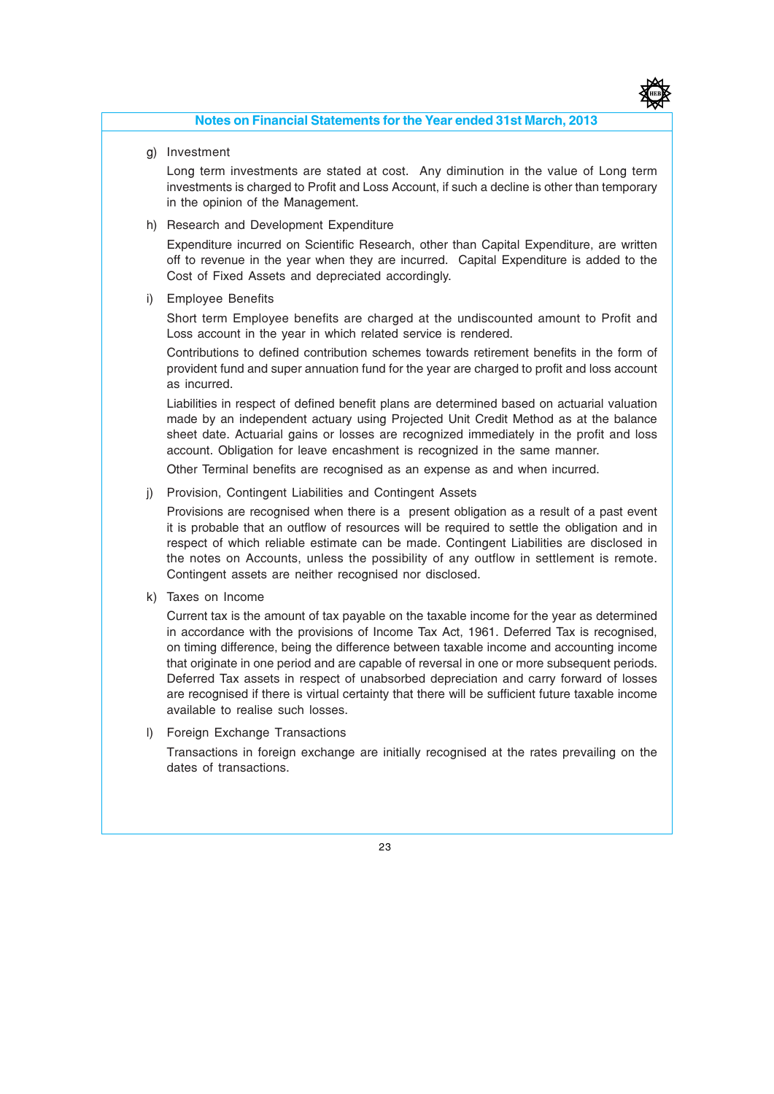

#### Notes on Financial Statements for the Year ended 31st March, 2013

g) Investment

Long term investments are stated at cost. Any diminution in the value of Long term investments is charged to Profit and Loss Account, if such a decline is other than temporary in the opinion of the Management.

h) Research and Development Expenditure

Expenditure incurred on Scientific Research, other than Capital Expenditure, are written off to revenue in the year when they are incurred. Capital Expenditure is added to the Cost of Fixed Assets and depreciated accordingly.

i) Employee Benefits

Short term Employee benefits are charged at the undiscounted amount to Profit and Loss account in the year in which related service is rendered.

Contributions to defined contribution schemes towards retirement benefits in the form of provident fund and super annuation fund for the year are charged to profit and loss account as incurred.

Liabilities in respect of defined benefit plans are determined based on actuarial valuation made by an independent actuary using Projected Unit Credit Method as at the balance sheet date. Actuarial gains or losses are recognized immediately in the profit and loss account. Obligation for leave encashment is recognized in the same manner.

Other Terminal benefits are recognised as an expense as and when incurred.

j) Provision, Contingent Liabilities and Contingent Assets

Provisions are recognised when there is a present obligation as a result of a past event it is probable that an outflow of resources will be required to settle the obligation and in respect of which reliable estimate can be made. Contingent Liabilities are disclosed in the notes on Accounts, unless the possibility of any outflow in settlement is remote. Contingent assets are neither recognised nor disclosed.

k) Taxes on Income

Current tax is the amount of tax payable on the taxable income for the year as determined in accordance with the provisions of Income Tax Act, 1961. Deferred Tax is recognised, on timing difference, being the difference between taxable income and accounting income that originate in one period and are capable of reversal in one or more subsequent periods. Deferred Tax assets in respect of unabsorbed depreciation and carry forward of losses are recognised if there is virtual certainty that there will be sufficient future taxable income available to realise such losses.

l) Foreign Exchange Transactions

Transactions in foreign exchange are initially recognised at the rates prevailing on the dates of transactions.

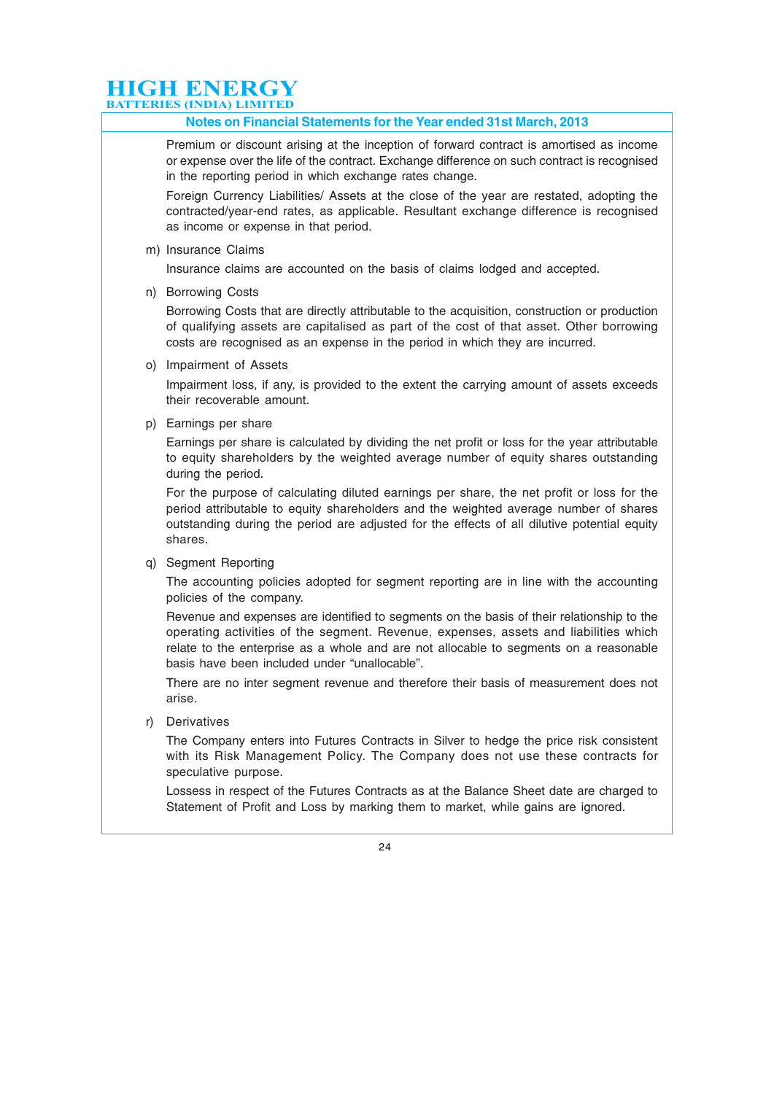#### Notes on Financial Statements for the Year ended 31st March, 2013

Premium or discount arising at the inception of forward contract is amortised as income or expense over the life of the contract. Exchange difference on such contract is recognised in the reporting period in which exchange rates change.

Foreign Currency Liabilities/ Assets at the close of the year are restated, adopting the contracted/year-end rates, as applicable. Resultant exchange difference is recognised as income or expense in that period.

m) Insurance Claims

Insurance claims are accounted on the basis of claims lodged and accepted.

n) Borrowing Costs

Borrowing Costs that are directly attributable to the acquisition, construction or production of qualifying assets are capitalised as part of the cost of that asset. Other borrowing costs are recognised as an expense in the period in which they are incurred.

o) Impairment of Assets

Impairment loss, if any, is provided to the extent the carrying amount of assets exceeds their recoverable amount.

p) Earnings per share

Earnings per share is calculated by dividing the net profit or loss for the year attributable to equity shareholders by the weighted average number of equity shares outstanding during the period.

For the purpose of calculating diluted earnings per share, the net profit or loss for the period attributable to equity shareholders and the weighted average number of shares outstanding during the period are adjusted for the effects of all dilutive potential equity shares.

q) Segment Reporting

The accounting policies adopted for segment reporting are in line with the accounting policies of the company.

Revenue and expenses are identified to segments on the basis of their relationship to the operating activities of the segment. Revenue, expenses, assets and liabilities which relate to the enterprise as a whole and are not allocable to segments on a reasonable basis have been included under "unallocable".

There are no inter segment revenue and therefore their basis of measurement does not arise.

r) Derivatives

The Company enters into Futures Contracts in Silver to hedge the price risk consistent with its Risk Management Policy. The Company does not use these contracts for speculative purpose.

Lossess in respect of the Futures Contracts as at the Balance Sheet date are charged to Statement of Profit and Loss by marking them to market, while gains are ignored.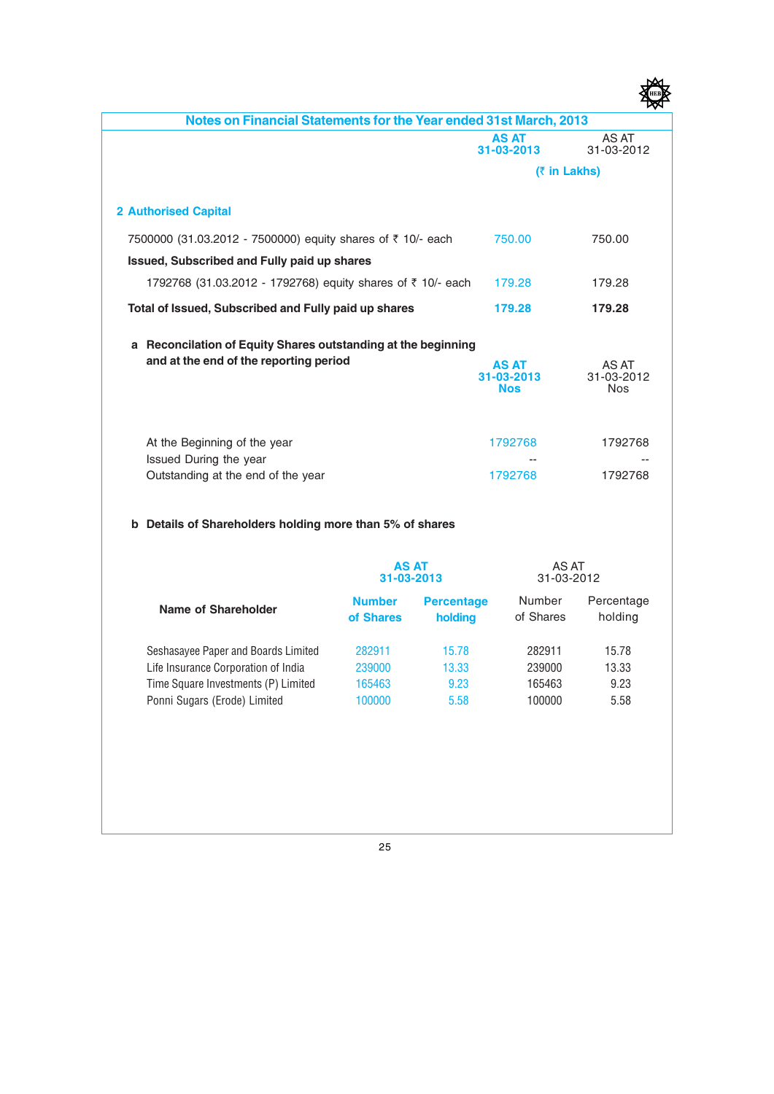| Notes on Financial Statements for the Year ended 31st March, 2013 |                                          |                                   |
|-------------------------------------------------------------------|------------------------------------------|-----------------------------------|
|                                                                   | <b>AS AT</b><br>31-03-2013               | AS AT<br>31-03-2012               |
|                                                                   |                                          | (₹ in Lakhs)                      |
| <b>2 Authorised Capital</b>                                       |                                          |                                   |
| 7500000 (31.03.2012 - 7500000) equity shares of ₹ 10/- each       | 750.00                                   | 750.00                            |
| Issued, Subscribed and Fully paid up shares                       |                                          |                                   |
| 1792768 (31.03.2012 - 1792768) equity shares of ₹ 10/- each       | 179.28                                   | 179.28                            |
| Total of Issued, Subscribed and Fully paid up shares              | 179.28                                   | 179.28                            |
| Reconcilation of Equity Shares outstanding at the beginning<br>a  |                                          |                                   |
| and at the end of the reporting period                            | <b>AS AT</b><br>31-03-2013<br><b>Nos</b> | AS AT<br>31-03-2012<br><b>Nos</b> |
|                                                                   | 1792768                                  | 1792768                           |
| At the Beginning of the year<br>Issued During the year            |                                          |                                   |
| Outstanding at the end of the year                                | 1792768                                  | 1792768                           |

#### b Details of Shareholders holding more than 5% of shares

|                                     | <b>AS AT</b><br>31-03-2013 |                              | AS AT<br>31-03-2012 |                       |
|-------------------------------------|----------------------------|------------------------------|---------------------|-----------------------|
| Name of Shareholder                 | <b>Number</b><br>of Shares | <b>Percentage</b><br>holding | Number<br>of Shares | Percentage<br>holding |
| Seshasayee Paper and Boards Limited | 282911                     | 15.78                        | 282911              | 15.78                 |
| Life Insurance Corporation of India | 239000                     | 13.33                        | 239000              | 13.33                 |
| Time Square Investments (P) Limited | 165463                     | 9.23                         | 165463              | 9.23                  |
| Ponni Sugars (Erode) Limited        | 100000                     | 5.58                         | 100000              | 5.58                  |

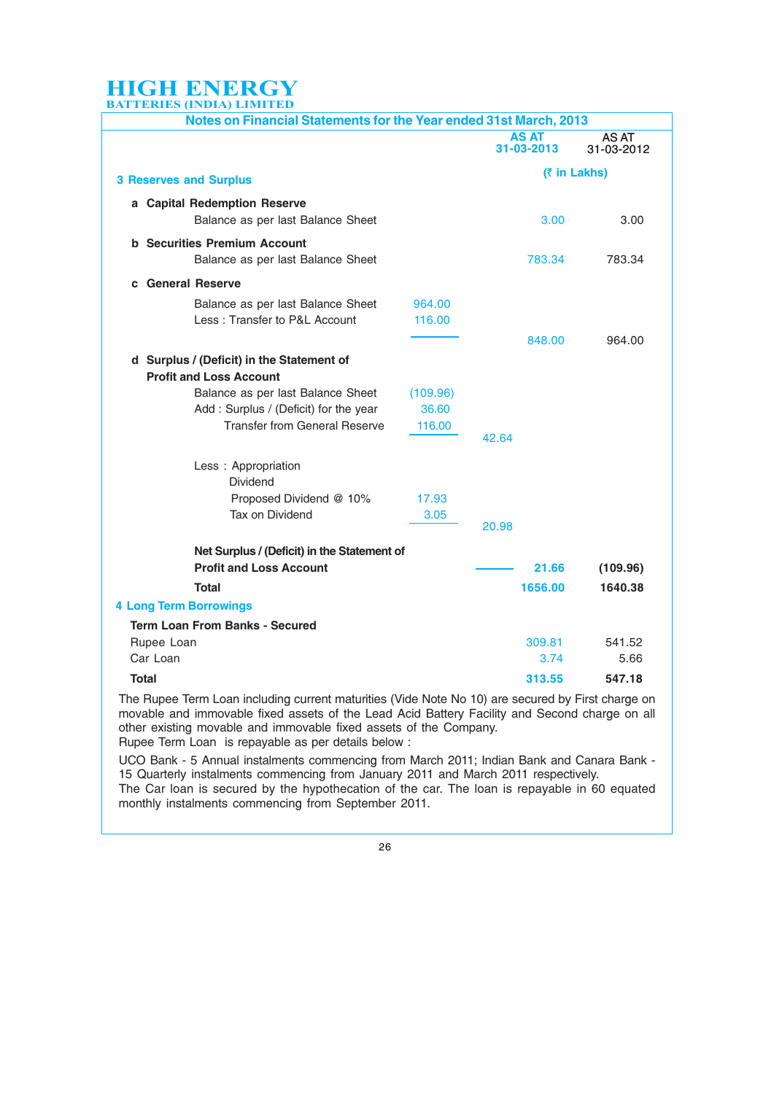| <u>I BRIBS</u> (II DIIX) BINITI BD                                                                               |                  |                            |                                            |
|------------------------------------------------------------------------------------------------------------------|------------------|----------------------------|--------------------------------------------|
| Notes on Financial Statements for the Year ended 31st March, 2013                                                |                  |                            |                                            |
|                                                                                                                  |                  | <b>AS AT</b><br>31-03-2013 | AS AT<br>31-03-2012                        |
| <b>3 Reserves and Surplus</b>                                                                                    |                  |                            | (₹ in Lakhs)                               |
| a Capital Redemption Reserve<br>Balance as per last Balance Sheet                                                |                  | 3.00                       | 3.00                                       |
| <b>b</b> Securities Premium Account<br>Balance as per last Balance Sheet                                         |                  | 783.34                     | 783.34                                     |
| c General Reserve                                                                                                |                  |                            |                                            |
| Balance as per last Balance Sheet<br>Less: Transfer to P&L Account                                               | 964.00<br>116.00 |                            |                                            |
| d Surplus / (Deficit) in the Statement of<br><b>Profit and Loss Account</b><br>Balance as per last Balance Sheet | (109.96)         | 848,00                     | 964.00                                     |
| Add: Surplus / (Deficit) for the year<br><b>Transfer from General Reserve</b>                                    | 36.60<br>116.00  | 42.64                      |                                            |
| Less : Appropriation<br><b>Dividend</b><br>Proposed Dividend @ 10%<br>Tax on Dividend                            | 17.93<br>3.05    | 20.98                      |                                            |
| Net Surplus / (Deficit) in the Statement of<br><b>Profit and Loss Account</b>                                    |                  | 21.66                      | (109.96)                                   |
| <b>Total</b>                                                                                                     |                  | 1656.00                    | 1640.38                                    |
| <b>4 Long Term Borrowings</b>                                                                                    |                  |                            |                                            |
| <b>Term Loan From Banks - Secured</b>                                                                            |                  |                            |                                            |
| Rupee Loan<br>Car Loan                                                                                           |                  | 309.81                     | 541.52                                     |
| <b>Total</b>                                                                                                     |                  | 3.74<br>313.55             | 5.66<br>547.18                             |
|                                                                                                                  | $\sqrt{2}$       |                            | the state of the state of the state of the |

The Rupee Term Loan including current maturities (Vide Note No 10) are secured by First charge on movable and immovable fixed assets of the Lead Acid Battery Facility and Second charge on all other existing movable and immovable fixed assets of the Company. Rupee Term Loan is repayable as per details below :

UCO Bank - 5 Annual instalments commencing from March 2011; Indian Bank and Canara Bank - 15 Quarterly instalments commencing from January 2011 and March 2011 respectively. The Car loan is secured by the hypothecation of the car. The loan is repayable in 60 equated monthly instalments commencing from September 2011.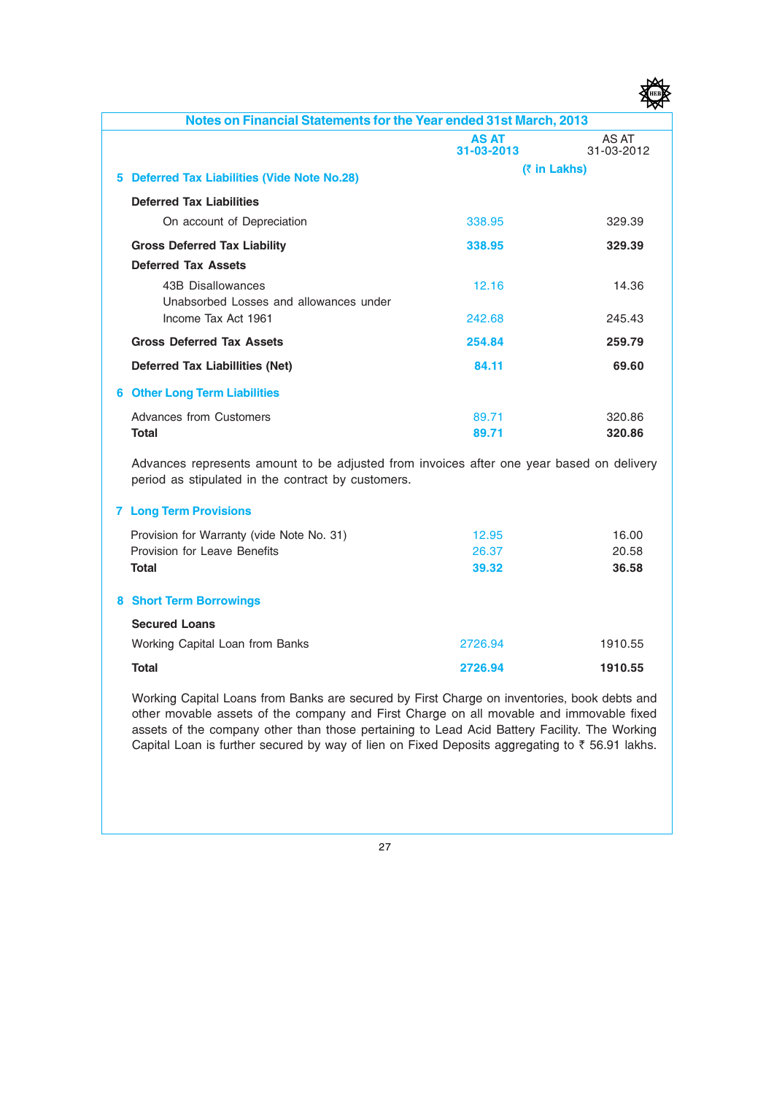| Notes on Financial Statements for the Year ended 31st March, 2013                                                                              |                            |                     |
|------------------------------------------------------------------------------------------------------------------------------------------------|----------------------------|---------------------|
|                                                                                                                                                | <b>AS AT</b><br>31-03-2013 | AS AT<br>31-03-2012 |
| 5 Deferred Tax Liabilities (Vide Note No.28)                                                                                                   | (₹ in Lakhs)               |                     |
| <b>Deferred Tax Liabilities</b>                                                                                                                |                            |                     |
| On account of Depreciation                                                                                                                     | 338.95                     | 329.39              |
| <b>Gross Deferred Tax Liability</b>                                                                                                            | 338.95                     | 329.39              |
| <b>Deferred Tax Assets</b>                                                                                                                     |                            |                     |
| 43B Disallowances                                                                                                                              | 12.16                      | 14.36               |
| Unabsorbed Losses and allowances under                                                                                                         |                            |                     |
| Income Tax Act 1961                                                                                                                            | 242.68                     | 245.43              |
| <b>Gross Deferred Tax Assets</b>                                                                                                               | 254.84                     | 259.79              |
| <b>Deferred Tax Liabillities (Net)</b>                                                                                                         | 84.11                      | 69.60               |
| <b>6 Other Long Term Liabilities</b>                                                                                                           |                            |                     |
| Advances from Customers                                                                                                                        | 89.71                      | 320.86              |
| <b>Total</b>                                                                                                                                   | 89.71                      | 320.86              |
| Advances represents amount to be adjusted from invoices after one year based on delivery<br>period as stipulated in the contract by customers. |                            |                     |
| <b>7 Long Term Provisions</b>                                                                                                                  |                            |                     |
| Provision for Warranty (vide Note No. 31)                                                                                                      | 12.95                      | 16.00               |
| Provision for Leave Benefits                                                                                                                   | 26.37                      | 20.58               |
| <b>Total</b>                                                                                                                                   | 39.32                      | 36.58               |
| <b>8 Short Term Borrowings</b>                                                                                                                 |                            |                     |
| <b>Secured Loans</b>                                                                                                                           |                            |                     |
| Working Capital Loan from Banks                                                                                                                | 2726.94                    | 1910.55             |
| <b>Total</b>                                                                                                                                   | 2726.94                    | 1910.55             |

Working Capital Loans from Banks are secured by First Charge on inventories, book debts and other movable assets of the company and First Charge on all movable and immovable fixed assets of the company other than those pertaining to Lead Acid Battery Facility. The Working Capital Loan is further secured by way of lien on Fixed Deposits aggregating to  $\bar{\tau}$  56.91 lakhs.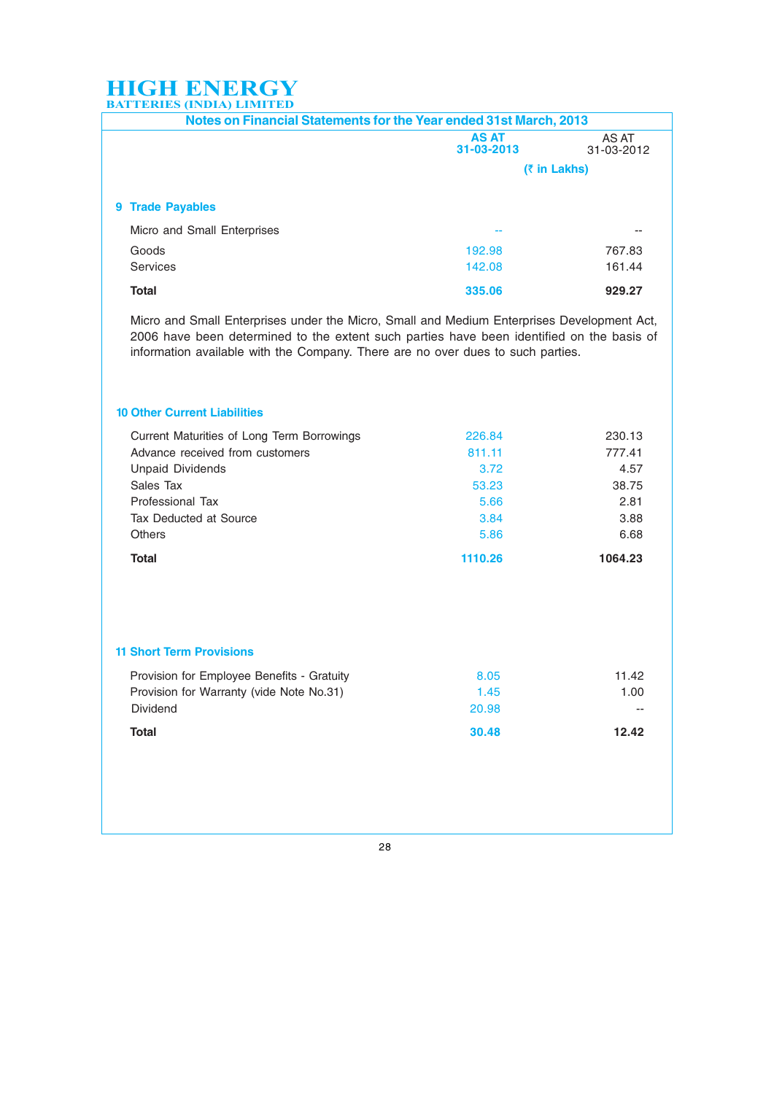| <b>AS AT</b><br>31-03-2013 | AS AT<br>31-03-2012                                               |  |
|----------------------------|-------------------------------------------------------------------|--|
| (₹ in Lakhs)               |                                                                   |  |
|                            |                                                                   |  |
| --                         |                                                                   |  |
| 192.98                     | 767.83                                                            |  |
| 142.08                     | 161.44                                                            |  |
| 335.06                     | 929.27                                                            |  |
|                            | Notes on Financial Statements for the Year ended 31st March, 2013 |  |

Micro and Small Enterprises under the Micro, Small and Medium Enterprises Development Act, 2006 have been determined to the extent such parties have been identified on the basis of information available with the Company. There are no over dues to such parties.

#### 10 Other Current Liabilities

| 3.88<br>6.68 |
|--------------|
|              |
|              |
| 2.81         |
| 38.75        |
| 4.57         |
| 777.41       |
| 230.13       |
|              |

#### 11 Short Term Provisions

| Provision for Employee Benefits - Gratuity | 8.05  | 11.42 |
|--------------------------------------------|-------|-------|
| Provision for Warranty (vide Note No.31)   | 1.45  | 1.00  |
| <b>Dividend</b>                            | 20.98 | $- -$ |
| Total                                      | 30.48 | 12.42 |

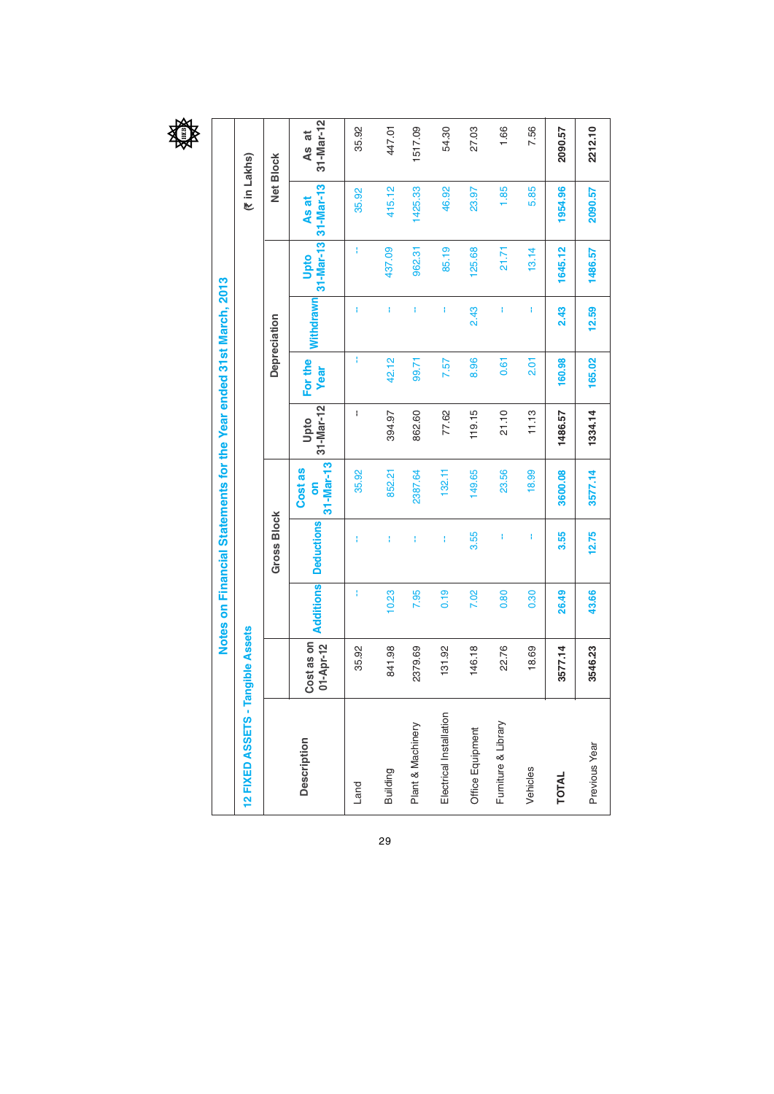

|                         |                         |           | Notes on Financial Statements for the Year ended 31st March, 2013 |                           |                   |                        |                  |                   |                    |                         |
|-------------------------|-------------------------|-----------|-------------------------------------------------------------------|---------------------------|-------------------|------------------------|------------------|-------------------|--------------------|-------------------------|
| 12 FIXED ASSETS - T     | angible Assets          |           |                                                                   |                           |                   |                        |                  |                   | (₹in Lakhs)        |                         |
|                         |                         |           | <b>Gross Block</b>                                                |                           |                   |                        | Depreciation     |                   |                    | Net Block               |
| <b>Description</b>      | 01-Apr-12<br>Cost as on | Additions | <b>Deductions</b>                                                 | 31-Mar-13<br>Cost as<br>õ | 31-Mar-12<br>Upto | For the<br><b>Year</b> | <b>Withdrawn</b> | 31-Mar-13<br>Upto | 31-Mar-13<br>As at | $31 - $ Mar-12<br>As at |
| Land                    | 35.92                   | ŧ         | Ŧ                                                                 | 35.92                     | ł                 | Ŧ                      | Ŧ                | ł                 | 35.92              | 35.92                   |
| Building                | 841.98                  | 10.23     | ŧ                                                                 | 852.21                    | 394.97            | 42.12                  | ł.               | 437.09            | 415.12             | 447.01                  |
| Plant & Machinery       | 2379.69                 | 7.95      | ŧ                                                                 | 2387.64                   | 862.60            | 99.71                  | Ł                | 962.31            | 1425.33            | 1517.09                 |
| Electrical Installation | 131.92                  | 0.19      | ŧ                                                                 | 132.11                    | 77.62             | 7.57                   | ł                | 85.19             | 46.92              | 54.30                   |
| Office Equipment        | 146.18                  | 7.02      | 3.55                                                              | 149.65                    | 119.15            | 8.96                   | 2.43             | 125.68            | 23.97              | 27.03                   |
| Fumiture & Library      | 22.76                   | 0.80      | ł                                                                 | 23.56                     | 21.10             | 0.61                   | ł                | 21.71             | 1.85               | 1.66                    |
| Vehicles                | 18.69                   | 0.30      | ł                                                                 | 18.99                     | 11.13             | $\frac{5}{2}$          | Ŧ                | 13.14             | 5.85               | 7.56                    |
| TOTAL                   | 3577.14                 | 26.49     | 3.55                                                              | 3600.08                   | 1486.57           | 160.98                 | 2.43             | 1645.12           | 1954.96            | 2090.57                 |
| Previous Year           | 3546.23                 | 43.66     | 12.75                                                             | 3577.14                   | 1334.14           | 165.02                 | 12.59            | 1486.57           | 2090.57            | 2212.10                 |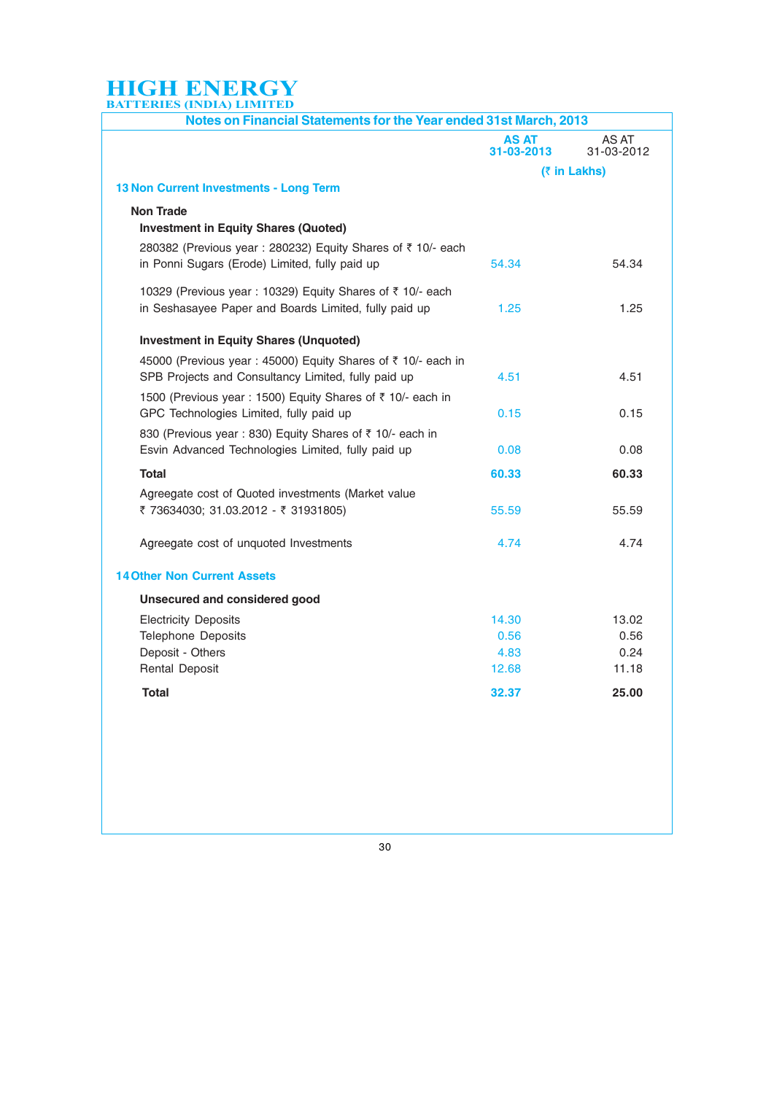| Notes on Financial Statements for the Year ended 31st March, 2013                                                   |                            |                     |  |
|---------------------------------------------------------------------------------------------------------------------|----------------------------|---------------------|--|
|                                                                                                                     | <b>AS AT</b><br>31-03-2013 | AS AT<br>31-03-2012 |  |
|                                                                                                                     |                            | (₹ in Lakhs)        |  |
| 13 Non Current Investments - Long Term                                                                              |                            |                     |  |
| <b>Non Trade</b><br><b>Investment in Equity Shares (Quoted)</b>                                                     |                            |                     |  |
| 280382 (Previous year: 280232) Equity Shares of ₹ 10/- each<br>in Ponni Sugars (Erode) Limited, fully paid up       | 54.34                      | 54.34               |  |
| 10329 (Previous year: 10329) Equity Shares of ₹ 10/- each<br>in Seshasayee Paper and Boards Limited, fully paid up  | 1.25                       | 1.25                |  |
| <b>Investment in Equity Shares (Unquoted)</b>                                                                       |                            |                     |  |
| 45000 (Previous year: 45000) Equity Shares of ₹ 10/- each in<br>SPB Projects and Consultancy Limited, fully paid up | 4.51                       | 4.51                |  |
| 1500 (Previous year: 1500) Equity Shares of ₹ 10/- each in<br>GPC Technologies Limited, fully paid up               | 0.15                       | 0.15                |  |
| 830 (Previous year : 830) Equity Shares of ₹ 10/- each in<br>Esvin Advanced Technologies Limited, fully paid up     | 0.08                       | 0.08                |  |
| <b>Total</b>                                                                                                        | 60.33                      | 60.33               |  |
| Agreegate cost of Quoted investments (Market value<br>₹ 73634030; 31.03.2012 - ₹ 31931805)                          | 55.59                      | 55.59               |  |
| Agreegate cost of unquoted Investments                                                                              | 4.74                       | 4.74                |  |
| <b>14 Other Non Current Assets</b>                                                                                  |                            |                     |  |
| Unsecured and considered good                                                                                       |                            |                     |  |
| <b>Electricity Deposits</b>                                                                                         | 14.30                      | 13.02               |  |
| <b>Telephone Deposits</b>                                                                                           | 0.56                       | 0.56                |  |
| Deposit - Others                                                                                                    | 4.83                       | 0.24                |  |
| <b>Rental Deposit</b>                                                                                               | 12.68                      | 11.18               |  |
| <b>Total</b>                                                                                                        | 32.37                      | 25.00               |  |
|                                                                                                                     |                            |                     |  |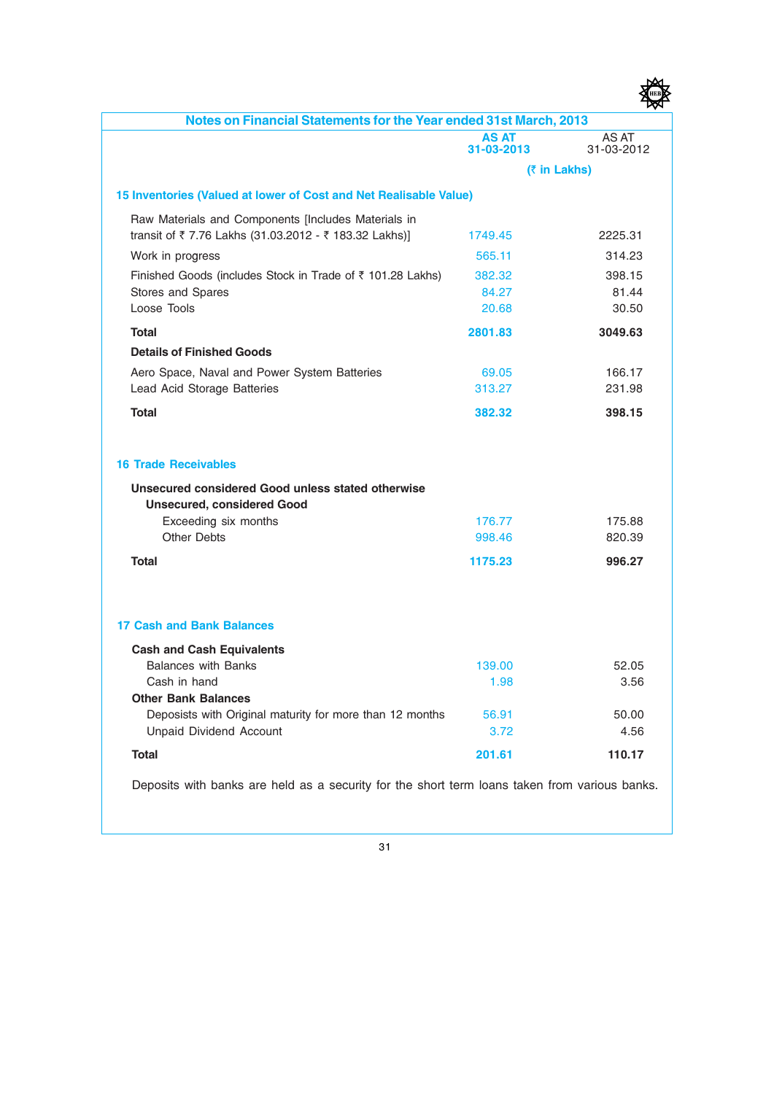| Notes on Financial Statements for the Year ended 31st March, 2013                      |                            |                     |
|----------------------------------------------------------------------------------------|----------------------------|---------------------|
|                                                                                        | <b>AS AT</b><br>31-03-2013 | AS AT<br>31-03-2012 |
|                                                                                        |                            | (₹ in Lakhs)        |
| 15 Inventories (Valued at lower of Cost and Net Realisable Value)                      |                            |                     |
| Raw Materials and Components [Includes Materials in                                    |                            |                     |
| transit of ₹7.76 Lakhs (31.03.2012 - ₹183.32 Lakhs)]                                   | 1749.45                    | 2225.31             |
| Work in progress                                                                       | 565.11                     | 314.23              |
| Finished Goods (includes Stock in Trade of ₹ 101.28 Lakhs)                             | 382.32                     | 398.15              |
| Stores and Spares                                                                      | 84.27                      | 81.44               |
| Loose Tools                                                                            | 20.68                      | 30.50               |
| <b>Total</b>                                                                           | 2801.83                    | 3049.63             |
| <b>Details of Finished Goods</b>                                                       |                            |                     |
| Aero Space, Naval and Power System Batteries                                           | 69.05                      | 166.17              |
| Lead Acid Storage Batteries                                                            | 313.27                     | 231.98              |
| <b>Total</b>                                                                           | 382.32                     | 398.15              |
| <b>16 Trade Receivables</b>                                                            |                            |                     |
| Unsecured considered Good unless stated otherwise<br><b>Unsecured, considered Good</b> |                            |                     |
| Exceeding six months                                                                   | 176.77                     | 175.88              |
| <b>Other Debts</b>                                                                     | 998.46                     | 820.39              |
| <b>Total</b>                                                                           | 1175.23                    | 996.27              |
|                                                                                        |                            |                     |
| 17 Cash and Bank Balances                                                              |                            |                     |
| <b>Cash and Cash Equivalents</b>                                                       |                            |                     |
| <b>Balances with Banks</b>                                                             | 139.00                     | 52.05               |
| Cash in hand                                                                           | 1.98                       | 3.56                |
| <b>Other Bank Balances</b>                                                             |                            |                     |
| Deposists with Original maturity for more than 12 months                               | 56.91                      | 50.00               |
| <b>Unpaid Dividend Account</b>                                                         | 3.72                       | 4.56                |
| <b>Total</b>                                                                           | 201.61                     | 110.17              |

Deposits with banks are held as a security for the short term loans taken from various banks.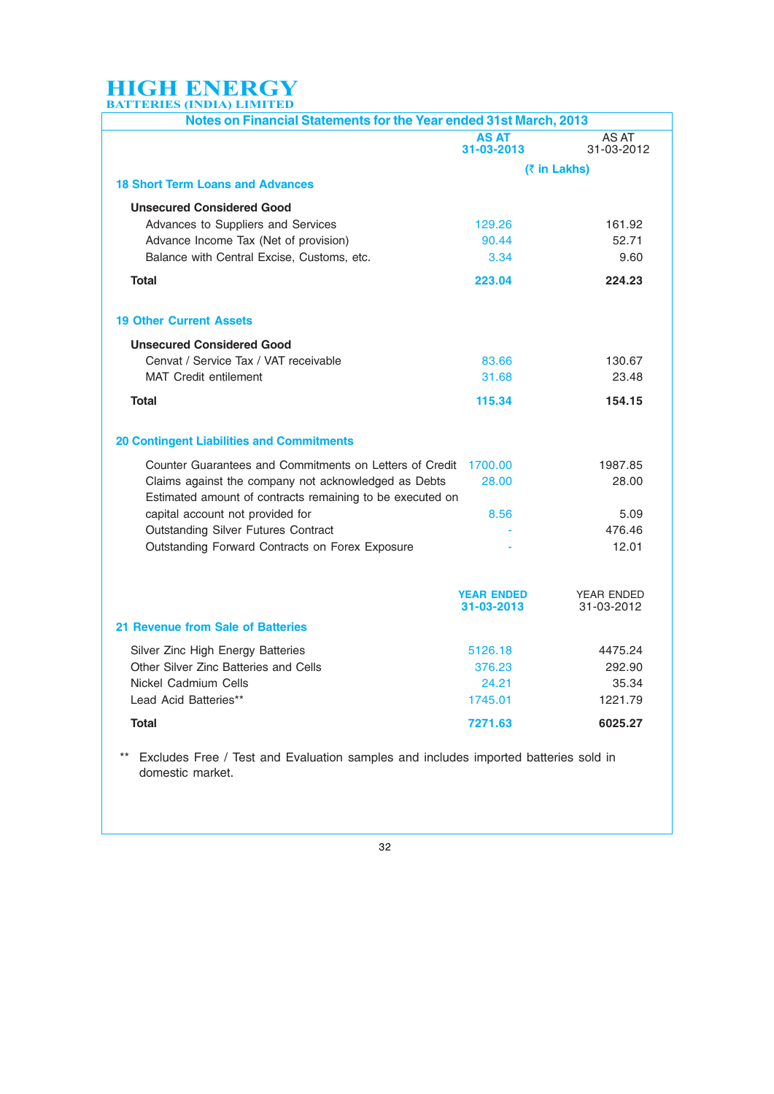| Notes on Financial Statements for the Year ended 31st March, 2013                                                 |                            |                     |
|-------------------------------------------------------------------------------------------------------------------|----------------------------|---------------------|
|                                                                                                                   | <b>AS AT</b><br>31-03-2013 | AS AT<br>31-03-2012 |
|                                                                                                                   |                            | (₹ in Lakhs)        |
| <b>18 Short Term Loans and Advances</b>                                                                           |                            |                     |
| <b>Unsecured Considered Good</b>                                                                                  |                            |                     |
| Advances to Suppliers and Services                                                                                | 129.26                     | 161.92              |
| Advance Income Tax (Net of provision)                                                                             | 90.44                      | 52.71               |
| Balance with Central Excise, Customs, etc.                                                                        | 3.34                       | 9.60                |
| Total                                                                                                             | 223.04                     | 224.23              |
| <b>19 Other Current Assets</b>                                                                                    |                            |                     |
| <b>Unsecured Considered Good</b>                                                                                  |                            |                     |
| Cenvat / Service Tax / VAT receivable                                                                             | 83.66                      | 130.67              |
| <b>MAT Credit entilement</b>                                                                                      | 31.68                      | 23.48               |
| <b>Total</b>                                                                                                      | 115.34                     | 154.15              |
|                                                                                                                   |                            |                     |
| <b>20 Contingent Liabilities and Commitments</b>                                                                  |                            |                     |
| Counter Guarantees and Commitments on Letters of Credit                                                           | 1700.00                    | 1987.85             |
| Claims against the company not acknowledged as Debts<br>Estimated amount of contracts remaining to be executed on | 28.00                      | 28.00               |
| capital account not provided for                                                                                  | 8.56                       | 5.09                |
| <b>Outstanding Silver Futures Contract</b>                                                                        |                            | 476.46              |
| Outstanding Forward Contracts on Forex Exposure                                                                   |                            | 12.01               |
|                                                                                                                   | <b>YEAR ENDED</b>          | <b>YEAR ENDED</b>   |
|                                                                                                                   | 31-03-2013                 | 31-03-2012          |
| 21 Revenue from Sale of Batteries                                                                                 |                            |                     |
| Silver Zinc High Energy Batteries                                                                                 | 5126.18                    | 4475.24             |
| Other Silver Zinc Batteries and Cells                                                                             | 376.23                     | 292.90              |
| Nickel Cadmium Cells                                                                                              | 24.21                      | 35.34               |
| Lead Acid Batteries**                                                                                             | 1745.01                    | 1221.79             |
| <b>Total</b>                                                                                                      | 7271.63                    | 6025.27             |

domestic market.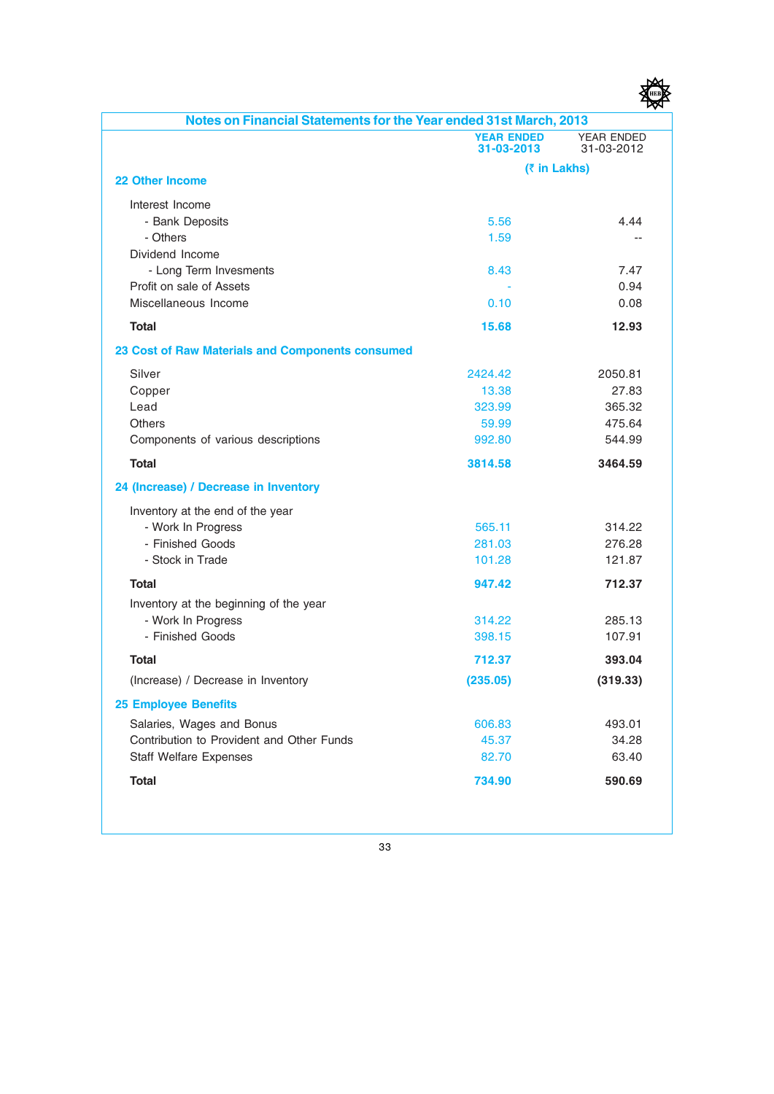| 1E F<br>н |
|-----------|
|           |

| Notes on Financial Statements for the Year ended 31st March, 2013 |                                 |                                 |
|-------------------------------------------------------------------|---------------------------------|---------------------------------|
|                                                                   | <b>YEAR ENDED</b><br>31-03-2013 | <b>YEAR ENDED</b><br>31-03-2012 |
|                                                                   |                                 | (₹ in Lakhs)                    |
| <b>22 Other Income</b>                                            |                                 |                                 |
| Interest Income                                                   |                                 |                                 |
| - Bank Deposits                                                   | 5.56                            | 4.44                            |
| - Others                                                          | 1.59                            |                                 |
| Dividend Income                                                   |                                 |                                 |
| - Long Term Invesments                                            | 8.43                            | 7.47                            |
| Profit on sale of Assets                                          |                                 | 0.94                            |
| Miscellaneous Income                                              | 0.10                            | 0.08                            |
| <b>Total</b>                                                      | 15.68                           | 12.93                           |
| 23 Cost of Raw Materials and Components consumed                  |                                 |                                 |
| Silver                                                            | 2424.42                         | 2050.81                         |
| Copper                                                            | 13.38                           | 27.83                           |
| Lead                                                              | 323.99                          | 365.32                          |
| <b>Others</b>                                                     | 59.99                           | 475.64                          |
| Components of various descriptions                                | 992.80                          | 544.99                          |
| <b>Total</b>                                                      | 3814.58                         | 3464.59                         |
| 24 (Increase) / Decrease in Inventory                             |                                 |                                 |
| Inventory at the end of the year                                  |                                 |                                 |
| - Work In Progress                                                | 565.11                          | 314.22                          |
| - Finished Goods                                                  | 281.03                          | 276.28                          |
| - Stock in Trade                                                  | 101.28                          | 121.87                          |
| <b>Total</b>                                                      | 947.42                          | 712.37                          |
| Inventory at the beginning of the year                            |                                 |                                 |
| - Work In Progress                                                | 314.22                          | 285.13                          |
| - Finished Goods                                                  | 398.15                          | 107.91                          |
| <b>Total</b>                                                      | 712.37                          | 393.04                          |
| (Increase) / Decrease in Inventory                                | (235.05)                        | (319.33)                        |
| <b>25 Employee Benefits</b>                                       |                                 |                                 |
| Salaries, Wages and Bonus                                         | 606.83                          | 493.01                          |
| Contribution to Provident and Other Funds                         | 45.37                           | 34.28                           |
| <b>Staff Welfare Expenses</b>                                     | 82.70                           | 63.40                           |
| <b>Total</b>                                                      | 734.90                          | 590.69                          |
|                                                                   |                                 |                                 |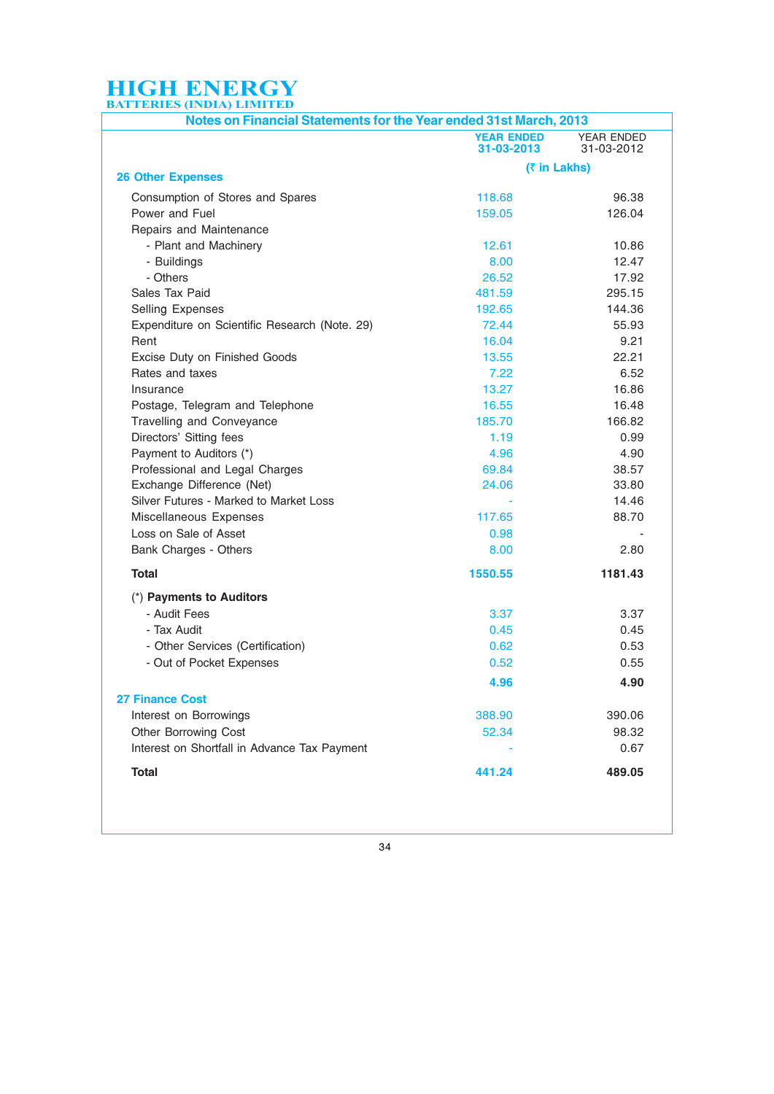| Notes on Financial Statements for the Year ended 31st March, 2013 |                                 |                          |
|-------------------------------------------------------------------|---------------------------------|--------------------------|
|                                                                   | <b>YEAR ENDED</b><br>31-03-2013 | YEAR ENDED<br>31-03-2012 |
|                                                                   | (₹ in Lakhs)                    |                          |
| <b>26 Other Expenses</b>                                          |                                 |                          |
| Consumption of Stores and Spares                                  | 118.68                          | 96.38                    |
| Power and Fuel                                                    | 159.05                          | 126.04                   |
| Repairs and Maintenance                                           |                                 |                          |
| - Plant and Machinery                                             | 12.61                           | 10.86                    |
| - Buildings                                                       | 8.00                            | 12.47                    |
| - Others                                                          | 26.52                           | 17.92                    |
| Sales Tax Paid                                                    | 481.59                          | 295.15                   |
| Selling Expenses                                                  | 192.65                          | 144.36                   |
| Expenditure on Scientific Research (Note. 29)                     | 72.44                           | 55.93                    |
| Rent                                                              | 16.04                           | 9.21                     |
| Excise Duty on Finished Goods                                     | 13.55                           | 22.21                    |
| Rates and taxes                                                   | 7.22                            | 6.52                     |
| Insurance                                                         | 13.27                           | 16.86                    |
| Postage, Telegram and Telephone                                   | 16.55                           | 16.48                    |
| Travelling and Conveyance                                         | 185.70                          | 166.82                   |
| Directors' Sitting fees                                           | 1.19                            | 0.99                     |
| Payment to Auditors (*)                                           | 4.96                            | 4.90                     |
| Professional and Legal Charges                                    | 69.84                           | 38.57                    |
| Exchange Difference (Net)                                         | 24.06                           | 33.80                    |
| Silver Futures - Marked to Market Loss                            |                                 | 14.46                    |
| Miscellaneous Expenses                                            | 117.65                          | 88.70                    |
| Loss on Sale of Asset                                             | 0.98                            |                          |
| Bank Charges - Others                                             | 8.00                            | 2.80                     |
| Total                                                             | 1550.55                         | 1181.43                  |
| (*) Payments to Auditors                                          |                                 |                          |
| - Audit Fees                                                      | 3.37                            | 3.37                     |
| - Tax Audit                                                       | 0.45                            | 0.45                     |
| - Other Services (Certification)                                  | 0.62                            | 0.53                     |
| - Out of Pocket Expenses                                          | 0.52                            | 0.55                     |
|                                                                   | 4.96                            | 4.90                     |
| <b>27 Finance Cost</b>                                            |                                 |                          |
| Interest on Borrowings                                            | 388.90                          | 390.06                   |
| Other Borrowing Cost                                              | 52.34                           | 98.32                    |
| Interest on Shortfall in Advance Tax Payment                      |                                 | 0.67                     |
| <b>Total</b>                                                      | 441.24                          | 489.05                   |
|                                                                   |                                 |                          |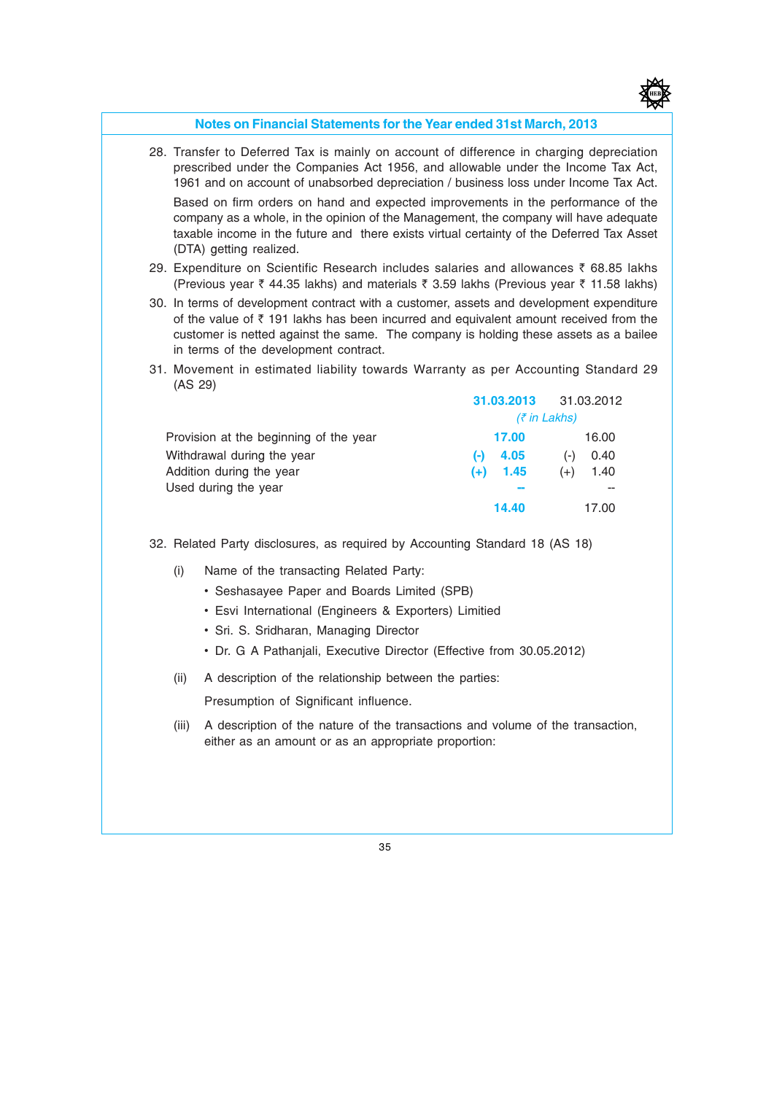

#### Notes on Financial Statements for the Year ended 31st March, 2013

28. Transfer to Deferred Tax is mainly on account of difference in charging depreciation prescribed under the Companies Act 1956, and allowable under the Income Tax Act, 1961 and on account of unabsorbed depreciation / business loss under Income Tax Act.

Based on firm orders on hand and expected improvements in the performance of the company as a whole, in the opinion of the Management, the company will have adequate taxable income in the future and there exists virtual certainty of the Deferred Tax Asset (DTA) getting realized.

- 29. Expenditure on Scientific Research includes salaries and allowances  $\bar{\tau}$  68.85 lakhs (Previous year  $\bar{\zeta}$  44.35 lakhs) and materials  $\bar{\zeta}$  3.59 lakhs (Previous year  $\bar{\zeta}$  11.58 lakhs)
- 30. In terms of development contract with a customer, assets and development expenditure of the value of  $\bar{\tau}$  191 lakhs has been incurred and equivalent amount received from the customer is netted against the same. The company is holding these assets as a bailee in terms of the development contract.
- 31. Movement in estimated liability towards Warranty as per Accounting Standard 29 (AS 29) 31.03.2013 31.03.2012

|                                        | 31.03.2013      | 31.03.2012    |  |  |
|----------------------------------------|-----------------|---------------|--|--|
|                                        | $($ ₹ in Lakhs) |               |  |  |
| Provision at the beginning of the year | 17.00           | 16.00         |  |  |
| Withdrawal during the year             | 4.05<br>(-)     | 0.40<br>( – ) |  |  |
| Addition during the year               | 1.45<br>$(+)$   | 1.40<br>$(+)$ |  |  |
| Used during the year                   |                 |               |  |  |
|                                        | 14.40           | 17.00         |  |  |

32. Related Party disclosures, as required by Accounting Standard 18 (AS 18)

- (i) Name of the transacting Related Party:
	- Seshasayee Paper and Boards Limited (SPB)
	- Esvi International (Engineers & Exporters) Limitied
	- Sri. S. Sridharan, Managing Director
	- Dr. G A Pathanjali, Executive Director (Effective from 30.05.2012)
- (ii) A description of the relationship between the parties:

Presumption of Significant influence.

(iii) A description of the nature of the transactions and volume of the transaction, either as an amount or as an appropriate proportion: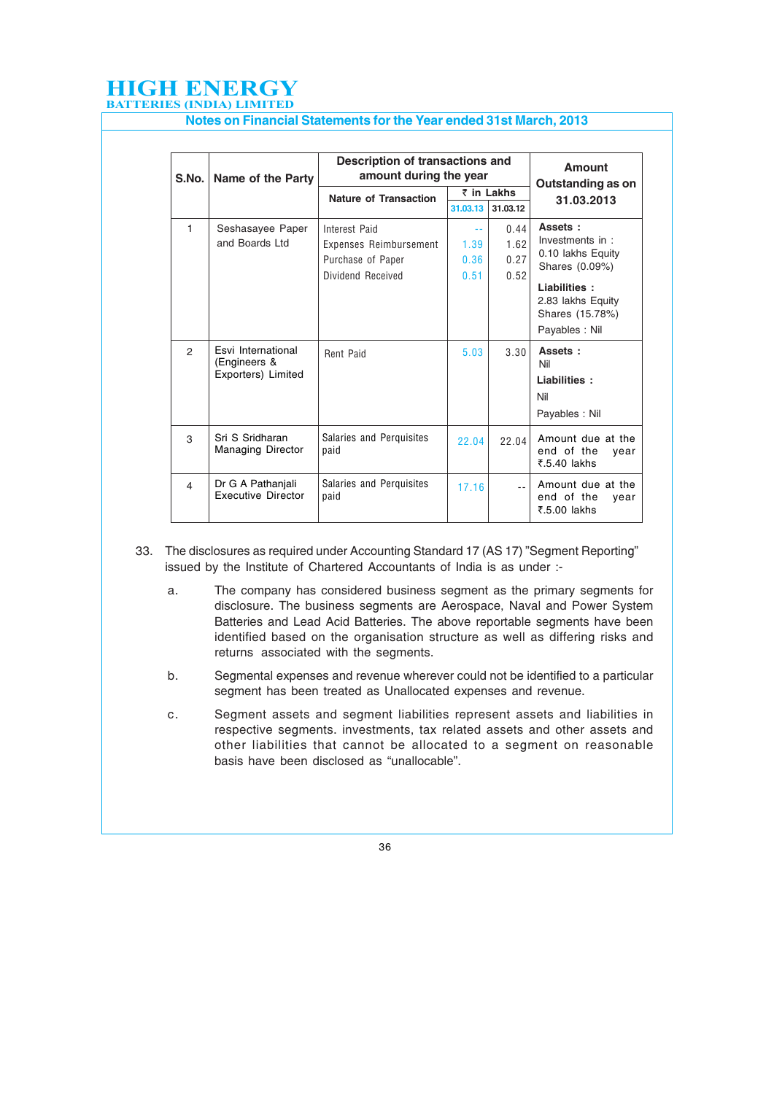Notes on Financial Statements for the Year ended 31st March, 2013

| S.No.          | Name of the Party                                        | Description of transactions and<br>amount during the year |            |          | Amount<br><b>Outstanding as on</b>                      |
|----------------|----------------------------------------------------------|-----------------------------------------------------------|------------|----------|---------------------------------------------------------|
|                |                                                          | <b>Nature of Transaction</b>                              | ₹ in Lakhs |          | 31.03.2013                                              |
|                |                                                          |                                                           | 31.03.13   | 31.03.12 |                                                         |
| $\mathbf{1}$   | Seshasayee Paper                                         | Interest Paid                                             | $\sim$ $-$ | 0.44     | Assets:                                                 |
|                | and Boards Ltd                                           | Expenses Reimbursement                                    | 1.39       | 1.62     | Investments in :                                        |
|                |                                                          | Purchase of Paper                                         | 0.36       | 0.27     | 0.10 lakhs Equity<br>Shares (0.09%)                     |
|                |                                                          | Dividend Received                                         | 0.51       | 0.52     |                                                         |
|                |                                                          |                                                           |            |          | Liabilities:<br>2.83 lakhs Equity<br>Shares (15.78%)    |
|                |                                                          |                                                           |            |          | Payables: Nil                                           |
| $\mathfrak{p}$ | Esvi International<br>(Engineers &<br>Exporters) Limited | Rent Paid                                                 | 5.03       | 3.30     | Assets:<br>Nil                                          |
|                |                                                          |                                                           |            |          | Liabilities:                                            |
|                |                                                          |                                                           |            |          | Nil                                                     |
|                |                                                          |                                                           |            |          | Payables: Nil                                           |
| 3              | Sri S Sridharan<br><b>Managing Director</b>              | Salaries and Perquisites<br>paid                          | 22.04      | 22.04    | Amount due at the<br>end of the<br>year<br>₹.5.40 lakhs |
| 4              | Dr G A Pathanjali<br><b>Executive Director</b>           | Salaries and Perquisites<br>paid                          | 17.16      | $\sim$   | Amount due at the<br>end of the<br>vear<br>₹.5.00 lakhs |

33. The disclosures as required under Accounting Standard 17 (AS 17) "Segment Reporting" issued by the Institute of Chartered Accountants of India is as under :-

- a. The company has considered business segment as the primary segments for disclosure. The business segments are Aerospace, Naval and Power System Batteries and Lead Acid Batteries. The above reportable segments have been identified based on the organisation structure as well as differing risks and returns associated with the segments.
- b. Segmental expenses and revenue wherever could not be identified to a particular segment has been treated as Unallocated expenses and revenue.
- c. Segment assets and segment liabilities represent assets and liabilities in respective segments. investments, tax related assets and other assets and other liabilities that cannot be allocated to a segment on reasonable basis have been disclosed as "unallocable".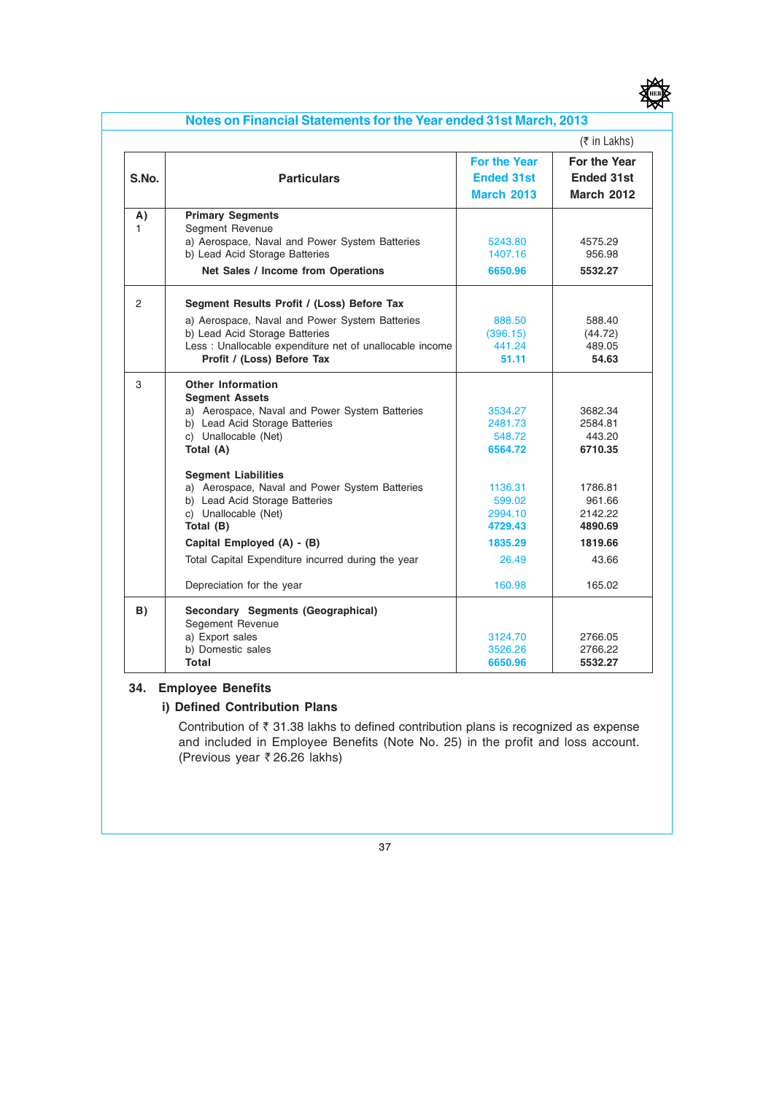

|       |                                                          |                     | $($ ₹ in Lakhs)    |
|-------|----------------------------------------------------------|---------------------|--------------------|
|       |                                                          | <b>For the Year</b> | For the Year       |
| S.No. | <b>Particulars</b>                                       | <b>Ended 31st</b>   | <b>Ended 31st</b>  |
|       |                                                          | <b>March 2013</b>   | <b>March 2012</b>  |
| A)    | <b>Primary Segments</b>                                  |                     |                    |
| 1.    | Segment Revenue                                          |                     |                    |
|       | a) Aerospace, Naval and Power System Batteries           | 5243.80             | 4575.29            |
|       | b) Lead Acid Storage Batteries                           | 1407.16             | 956.98             |
|       | Net Sales / Income from Operations                       | 6650.96             | 5532.27            |
| 2     | Segment Results Profit / (Loss) Before Tax               |                     |                    |
|       | a) Aerospace, Naval and Power System Batteries           | 888.50              | 588.40             |
|       | b) Lead Acid Storage Batteries                           | (396.15)            | (44.72)            |
|       | Less : Unallocable expenditure net of unallocable income | 441.24              | 489.05             |
|       | Profit / (Loss) Before Tax                               | 51.11               | 54.63              |
| 3     | <b>Other Information</b>                                 |                     |                    |
|       | <b>Segment Assets</b>                                    |                     |                    |
|       | a) Aerospace, Naval and Power System Batteries           | 3534.27             | 3682.34            |
|       | b) Lead Acid Storage Batteries                           | 2481.73<br>548.72   | 2584.81<br>443.20  |
|       | c) Unallocable (Net)<br>Total (A)                        | 6564.72             | 6710.35            |
|       |                                                          |                     |                    |
|       | <b>Segment Liabilities</b>                               |                     |                    |
|       | a) Aerospace, Naval and Power System Batteries           | 1136.31             | 1786.81            |
|       | b) Lead Acid Storage Batteries                           | 599.02              | 961.66             |
|       | c) Unallocable (Net)<br>Total (B)                        | 2994.10<br>4729.43  | 2142.22<br>4890.69 |
|       |                                                          |                     |                    |
|       | Capital Employed (A) - (B)                               | 1835.29             | 1819.66            |
|       | Total Capital Expenditure incurred during the year       | 26.49               | 43.66              |
|       | Depreciation for the year                                | 160.98              | 165.02             |
| B)    | Secondary Segments (Geographical)                        |                     |                    |
|       | Segement Revenue                                         |                     |                    |
|       | a) Export sales                                          | 3124.70             | 2766.05            |
|       | b) Domestic sales                                        | 3526.26             | 2766.22            |
|       | Total                                                    | 6650.96             | 5532.27            |

#### 34. Employee Benefits

#### i) Defined Contribution Plans

Contribution of  $\bar{\tau}$  31.38 lakhs to defined contribution plans is recognized as expense and included in Employee Benefits (Note No. 25) in the profit and loss account. (Previous year  $\bar{\tau}$  26.26 lakhs)

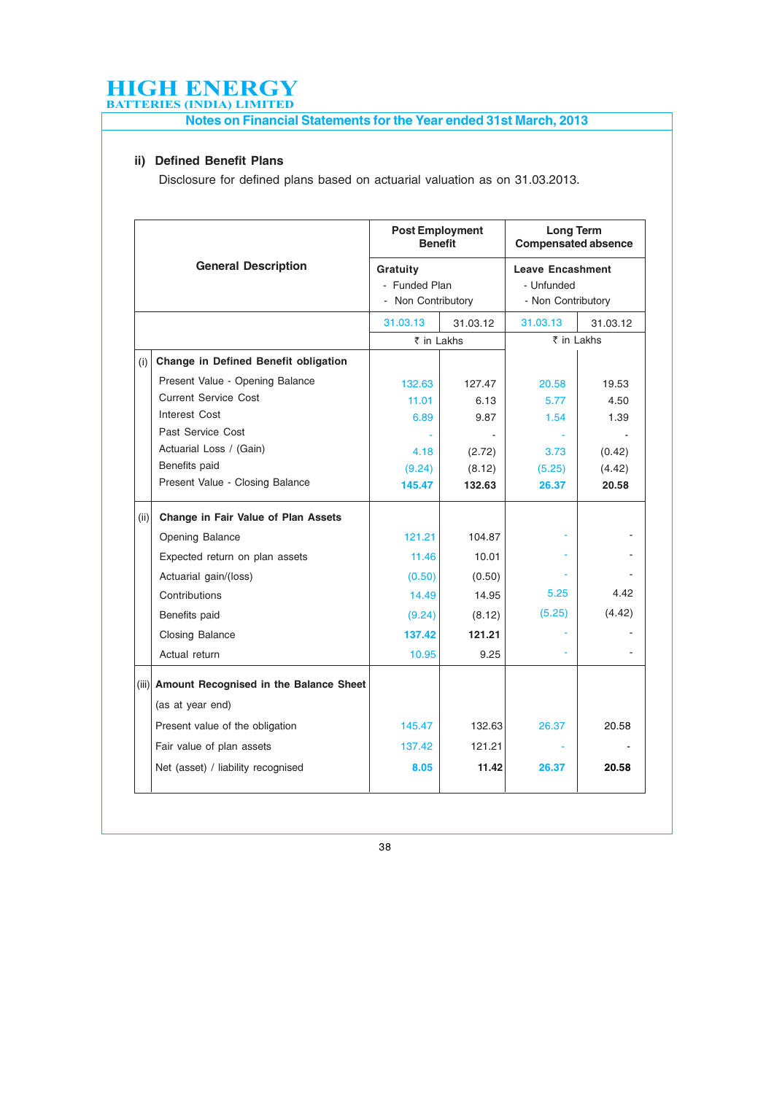Notes on Financial Statements for the Year ended 31st March, 2013

#### ii) Defined Benefit Plans

Disclosure for defined plans based on actuarial valuation as on 31.03.2013.

|      |                                              | <b>Post Employment</b><br><b>Benefit</b> |          | Long Term<br><b>Compensated absence</b> |          |  |
|------|----------------------------------------------|------------------------------------------|----------|-----------------------------------------|----------|--|
|      | <b>General Description</b>                   | Gratuity                                 |          | <b>Leave Encashment</b>                 |          |  |
|      |                                              | - Funded Plan                            |          | - Unfunded                              |          |  |
|      |                                              | - Non Contributory                       |          | - Non Contributory                      |          |  |
|      |                                              | 31.03.13                                 | 31.03.12 | 31.03.13                                | 31.03.12 |  |
|      |                                              | ₹ in Lakhs                               |          | ₹ in Lakhs                              |          |  |
| (i)  | Change in Defined Benefit obligation         |                                          |          |                                         |          |  |
|      | Present Value - Opening Balance              | 132.63                                   | 127.47   | 20.58                                   | 19.53    |  |
|      | <b>Current Service Cost</b>                  | 11.01                                    | 6.13     | 5.77                                    | 4.50     |  |
|      | Interest Cost                                | 6.89                                     | 9.87     | 1.54                                    | 1.39     |  |
|      | Past Service Cost                            |                                          |          |                                         |          |  |
|      | Actuarial Loss / (Gain)                      | 4.18                                     | (2.72)   | 3.73                                    | (0.42)   |  |
|      | Benefits paid                                | (9.24)                                   | (8.12)   | (5.25)                                  | (4.42)   |  |
|      | Present Value - Closing Balance              | 145.47                                   | 132.63   | 26.37                                   | 20.58    |  |
| (ii) | <b>Change in Fair Value of Plan Assets</b>   |                                          |          |                                         |          |  |
|      | Opening Balance                              | 121.21                                   | 104.87   |                                         |          |  |
|      | Expected return on plan assets               | 11.46                                    | 10.01    |                                         |          |  |
|      | Actuarial gain/(loss)                        | (0.50)                                   | (0.50)   |                                         |          |  |
|      | Contributions                                | 14.49                                    | 14.95    | 5.25                                    | 4.42     |  |
|      | Benefits paid                                | (9.24)                                   | (8.12)   | (5.25)                                  | (4.42)   |  |
|      | <b>Closing Balance</b>                       | 137.42                                   | 121.21   |                                         |          |  |
|      | Actual return                                | 10.95                                    | 9.25     |                                         |          |  |
|      | (iii) Amount Recognised in the Balance Sheet |                                          |          |                                         |          |  |
|      | (as at year end)                             |                                          |          |                                         |          |  |
|      | Present value of the obligation              | 145.47                                   | 132.63   | 26.37                                   | 20.58    |  |
|      | Fair value of plan assets                    | 137.42                                   | 121.21   |                                         |          |  |
|      | Net (asset) / liability recognised           | 8.05                                     | 11.42    | 26.37                                   | 20.58    |  |
|      |                                              |                                          |          |                                         |          |  |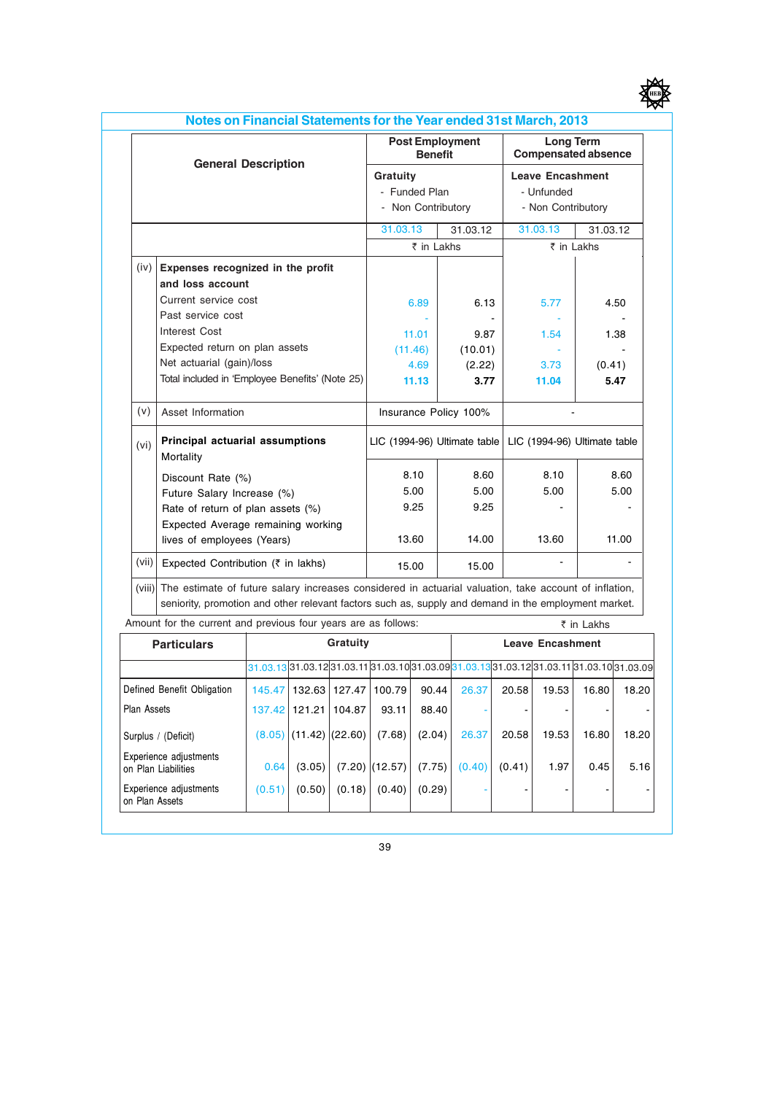| v |
|---|
|   |

|        |                                                                                                                                                                                                               | <b>Post Employment</b><br><b>Benefit</b> |          | <b>Long Term</b><br><b>Compensated absence</b><br><b>Leave Encashment</b> |          |  |
|--------|---------------------------------------------------------------------------------------------------------------------------------------------------------------------------------------------------------------|------------------------------------------|----------|---------------------------------------------------------------------------|----------|--|
|        | <b>General Description</b>                                                                                                                                                                                    | Gratuity                                 |          |                                                                           |          |  |
|        |                                                                                                                                                                                                               | - Funded Plan                            |          | - Unfunded                                                                |          |  |
|        |                                                                                                                                                                                                               | - Non Contributory                       |          | - Non Contributory                                                        |          |  |
|        |                                                                                                                                                                                                               | 31.03.13                                 | 31.03.12 | 31.03.13                                                                  | 31.03.12 |  |
|        |                                                                                                                                                                                                               | ₹ in Lakhs                               |          | ₹ in Lakhs                                                                |          |  |
| (iv)   | Expenses recognized in the profit                                                                                                                                                                             |                                          |          |                                                                           |          |  |
|        | and loss account                                                                                                                                                                                              |                                          |          |                                                                           |          |  |
|        | Current service cost                                                                                                                                                                                          | 6.89                                     | 6.13     | 5.77                                                                      | 4.50     |  |
|        | Past service cost                                                                                                                                                                                             |                                          |          |                                                                           |          |  |
|        | <b>Interest Cost</b>                                                                                                                                                                                          | 11.01                                    | 9.87     | 1.54                                                                      | 1.38     |  |
|        | Expected return on plan assets                                                                                                                                                                                | (11.46)                                  | (10.01)  |                                                                           |          |  |
|        | Net actuarial (gain)/loss                                                                                                                                                                                     | 4.69                                     | (2.22)   | 3.73                                                                      | (0.41)   |  |
|        | Total included in 'Employee Benefits' (Note 25)                                                                                                                                                               | 11.13                                    | 3.77     | 11.04                                                                     | 5.47     |  |
| (v)    | Asset Information                                                                                                                                                                                             | Insurance Policy 100%                    |          |                                                                           |          |  |
| (vi)   | Principal actuarial assumptions<br>Mortality                                                                                                                                                                  | LIC (1994-96) Ultimate table             |          | LIC (1994-96) Ultimate table                                              |          |  |
|        | Discount Rate (%)                                                                                                                                                                                             | 8.10                                     | 8.60     | 8.10                                                                      | 8.60     |  |
|        | Future Salary Increase (%)                                                                                                                                                                                    | 5.00                                     | 5.00     | 5.00                                                                      | 5.00     |  |
|        | Rate of return of plan assets (%)                                                                                                                                                                             | 9.25                                     | 9.25     |                                                                           |          |  |
|        | Expected Average remaining working                                                                                                                                                                            |                                          |          |                                                                           |          |  |
|        | lives of employees (Years)                                                                                                                                                                                    | 13.60                                    | 14.00    | 13.60                                                                     | 11.00    |  |
| (vii)  | Expected Contribution (₹ in lakhs)                                                                                                                                                                            | 15.00                                    | 15.00    |                                                                           |          |  |
| (viii) | The estimate of future salary increases considered in actuarial valuation, take account of inflation,<br>seniority, promotion and other relevant factors such as, supply and demand in the employment market. |                                          |          |                                                                           |          |  |

| $\overline{\phantom{a}}$ and $\overline{\phantom{a}}$ and $\overline{\phantom{a}}$ and $\overline{\phantom{a}}$ and $\overline{\phantom{a}}$ and $\overline{\phantom{a}}$ and $\overline{\phantom{a}}$ and $\overline{\phantom{a}}$ |                                     | \ III LANIS       |               |                  |                                                                                           |        |        |       |       |       |
|-------------------------------------------------------------------------------------------------------------------------------------------------------------------------------------------------------------------------------------|-------------------------------------|-------------------|---------------|------------------|-------------------------------------------------------------------------------------------|--------|--------|-------|-------|-------|
| <b>Particulars</b>                                                                                                                                                                                                                  | Gratuity<br><b>Leave Encashment</b> |                   |               |                  |                                                                                           |        |        |       |       |       |
|                                                                                                                                                                                                                                     |                                     |                   |               |                  | 31.03.13 31.03.12 31.03.11 31.03.10 31.03.09 31.03.13 31.03.12 31.03.11 31.03.10 31.03.09 |        |        |       |       |       |
| Defined Benefit Obligation                                                                                                                                                                                                          | 145.47                              |                   | 132.63 127.47 | 100.79           | 90.44                                                                                     | 26.37  | 20.58  | 19.53 | 16.80 | 18.20 |
| <b>Plan Assets</b>                                                                                                                                                                                                                  | 137.42                              | 121.21            | 104.87        | 93.11            | 88.40                                                                                     |        |        |       |       |       |
| Surplus / (Deficit)                                                                                                                                                                                                                 | (8.05)                              | $(11.42)$ (22.60) |               | (7.68)           | (2.04)                                                                                    | 26.37  | 20.58  | 19.53 | 16.80 | 18.20 |
| Experience adjustments<br>on Plan Liabilities                                                                                                                                                                                       | 0.64                                | (3.05)            |               | $(7.20)$ (12.57) | (7.75)                                                                                    | (0.40) | (0.41) | 1.97  | 0.45  | 5.16  |
| Experience adjustments<br>on Plan Assets                                                                                                                                                                                            | (0.51)                              | (0.50)            | (0.18)        | (0.40)           | (0.29)                                                                                    |        |        |       |       |       |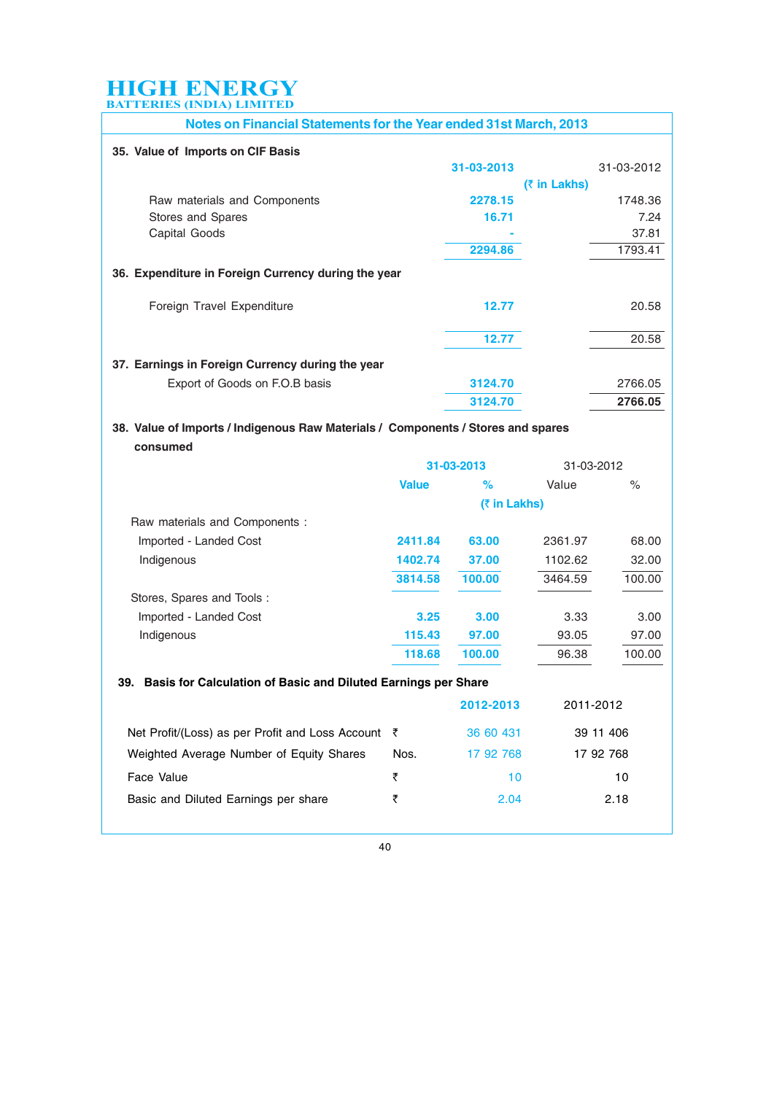| Notes on Financial Statements for the Year ended 31st March, 2013 |            |                          |            |  |  |
|-------------------------------------------------------------------|------------|--------------------------|------------|--|--|
| 35. Value of Imports on CIF Basis                                 |            |                          |            |  |  |
|                                                                   | 31-03-2013 |                          | 31-03-2012 |  |  |
|                                                                   |            | $(3 \in \mathsf{Lakhs})$ |            |  |  |
| Raw materials and Components                                      | 2278.15    |                          | 1748.36    |  |  |
| Stores and Spares                                                 | 16.71      |                          | 7.24       |  |  |
| Capital Goods                                                     |            |                          | 37.81      |  |  |
|                                                                   | 2294.86    |                          | 1793.41    |  |  |
| 36. Expenditure in Foreign Currency during the year               |            |                          |            |  |  |
| Foreign Travel Expenditure                                        | 12.77      |                          | 20.58      |  |  |
|                                                                   | 12.77      |                          | 20.58      |  |  |
| 37. Earnings in Foreign Currency during the year                  |            |                          |            |  |  |
| Export of Goods on F.O.B basis                                    | 3124.70    |                          | 2766.05    |  |  |
|                                                                   | 3124.70    |                          | 2766.05    |  |  |

#### 38. Value of Imports / Indigenous Raw Materials / Components / Stores and spares consumed

|                                | 31-03-2013   |                          | 31-03-2012 |        |
|--------------------------------|--------------|--------------------------|------------|--------|
|                                | <b>Value</b> | $\%$                     | Value      | $\%$   |
|                                |              | $(3 \in \mathsf{Lakhs})$ |            |        |
| Raw materials and Components : |              |                          |            |        |
| Imported - Landed Cost         | 2411.84      | 63.00                    | 2361.97    | 68.00  |
| Indigenous                     | 1402.74      | 37.00                    | 1102.62    | 32.00  |
|                                | 3814.58      | 100.00                   | 3464.59    | 100.00 |
| Stores, Spares and Tools:      |              |                          |            |        |
| Imported - Landed Cost         | 3.25         | 3.00                     | 3.33       | 3.00   |
| Indigenous                     | 115.43       | 97.00                    | 93.05      | 97.00  |
|                                | 118.68       | 100.00                   | 96.38      | 100.00 |

#### 39. Basis for Calculation of Basic and Diluted Earnings per Share

|                                                               |      | 2012-2013 | 2011-2012 |  |
|---------------------------------------------------------------|------|-----------|-----------|--|
| Net Profit/(Loss) as per Profit and Loss Account $\bar{\tau}$ |      | 36 60 431 | 39 11 406 |  |
| Weighted Average Number of Equity Shares                      | Nos. | 17 92 768 | 17 92 768 |  |
| Face Value                                                    | ₹    | 10        | 10        |  |
| Basic and Diluted Earnings per share                          | ₹    | 2.04      | 2.18      |  |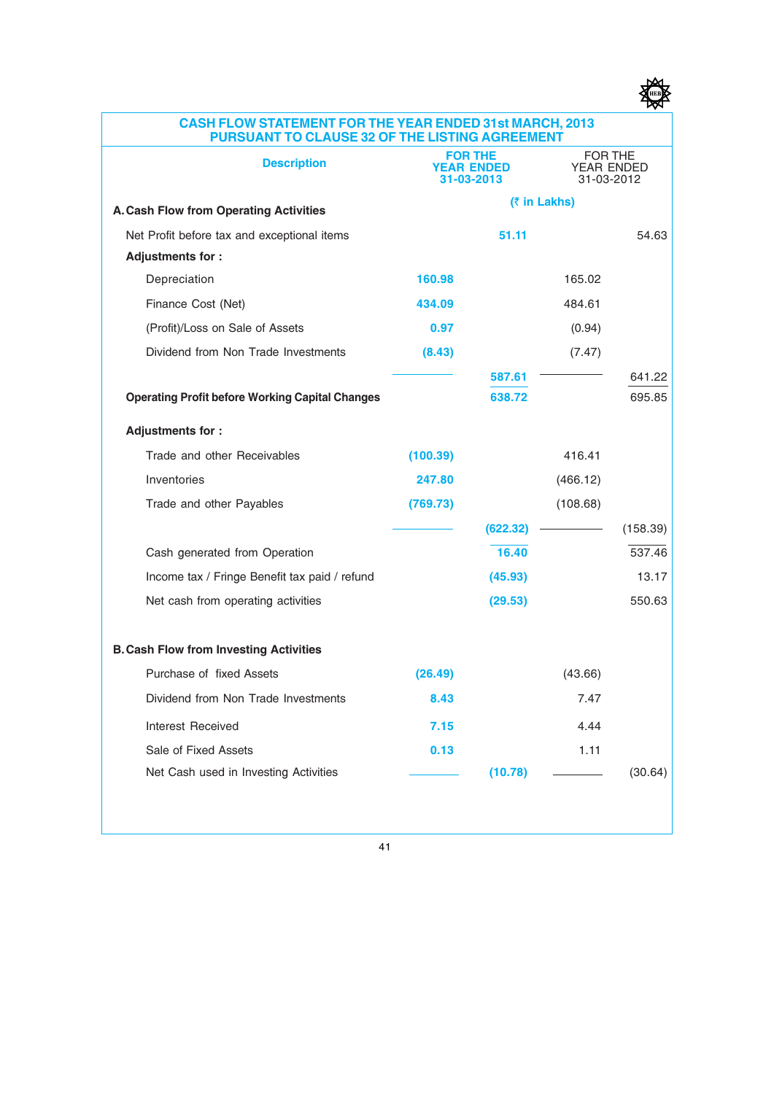

#### CASH FLOW STATEMENT FOR THE YEAR ENDED 31st MARCH, 2013 PURSUANT TO CLAUSE 32 OF THE LISTING AGREEMENT

| <b>Description</b>                                     | <b>FOR THE</b><br><b>YEAR ENDED</b><br>31-03-2013 |          | FOR THE<br>YEAR ENDED<br>31-03-2012 |          |
|--------------------------------------------------------|---------------------------------------------------|----------|-------------------------------------|----------|
| A. Cash Flow from Operating Activities                 |                                                   |          | (₹ in Lakhs)                        |          |
| Net Profit before tax and exceptional items            |                                                   | 51.11    |                                     | 54.63    |
| Adjustments for:                                       |                                                   |          |                                     |          |
| Depreciation                                           | 160.98                                            |          | 165.02                              |          |
| Finance Cost (Net)                                     | 434.09                                            |          | 484.61                              |          |
| (Profit)/Loss on Sale of Assets                        | 0.97                                              |          | (0.94)                              |          |
| Dividend from Non Trade Investments                    | (8.43)                                            |          | (7.47)                              |          |
|                                                        |                                                   | 587.61   |                                     | 641.22   |
| <b>Operating Profit before Working Capital Changes</b> |                                                   | 638.72   |                                     | 695.85   |
| <b>Adjustments for:</b>                                |                                                   |          |                                     |          |
| Trade and other Receivables                            | (100.39)                                          |          | 416.41                              |          |
| Inventories                                            | 247.80                                            |          | (466.12)                            |          |
| Trade and other Payables                               | (769.73)                                          |          | (108.68)                            |          |
|                                                        |                                                   | (622.32) |                                     | (158.39) |
| Cash generated from Operation                          |                                                   | 16.40    |                                     | 537.46   |
| Income tax / Fringe Benefit tax paid / refund          |                                                   | (45.93)  |                                     | 13.17    |
| Net cash from operating activities                     |                                                   | (29.53)  |                                     | 550.63   |
| <b>B. Cash Flow from Investing Activities</b>          |                                                   |          |                                     |          |
| Purchase of fixed Assets                               | (26.49)                                           |          | (43.66)                             |          |
| Dividend from Non Trade Investments                    | 8.43                                              |          | 7.47                                |          |
| Interest Received                                      | 7.15                                              |          | 4.44                                |          |
| Sale of Fixed Assets                                   | 0.13                                              |          | 1.11                                |          |
| Net Cash used in Investing Activities                  |                                                   | (10.78)  |                                     | (30.64)  |
|                                                        |                                                   |          |                                     |          |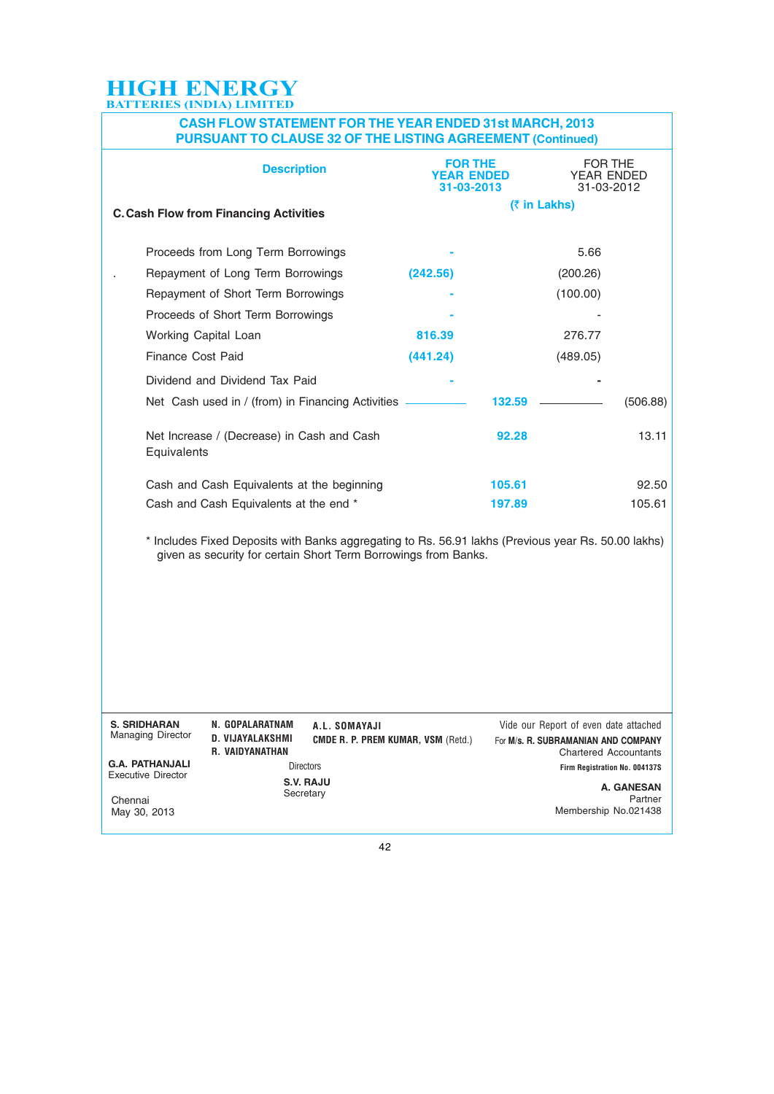#### CASH FLOW STATEMENT FOR THE YEAR ENDED 31st MARCH, 2013 PURSUANT TO CLAUSE 32 OF THE LISTING AGREEMENT (Continued)

|                                                     | <b>Description</b>                                                                                                                                                     |                                                            | <b>FOR THE</b><br><b>YEAR ENDED</b><br>31-03-2013 |              | FOR THE<br>YEAR ENDED<br>31-03-2012                                                                          |                       |
|-----------------------------------------------------|------------------------------------------------------------------------------------------------------------------------------------------------------------------------|------------------------------------------------------------|---------------------------------------------------|--------------|--------------------------------------------------------------------------------------------------------------|-----------------------|
|                                                     | <b>C. Cash Flow from Financing Activities</b>                                                                                                                          |                                                            |                                                   | (₹ in Lakhs) |                                                                                                              |                       |
|                                                     | Proceeds from Long Term Borrowings                                                                                                                                     |                                                            |                                                   |              | 5.66                                                                                                         |                       |
|                                                     | Repayment of Long Term Borrowings                                                                                                                                      |                                                            | (242.56)                                          |              | (200.26)                                                                                                     |                       |
|                                                     | Repayment of Short Term Borrowings                                                                                                                                     |                                                            |                                                   |              | (100.00)                                                                                                     |                       |
|                                                     | Proceeds of Short Term Borrowings                                                                                                                                      |                                                            |                                                   |              |                                                                                                              |                       |
|                                                     | Working Capital Loan                                                                                                                                                   |                                                            | 816.39                                            |              | 276.77                                                                                                       |                       |
| Finance Cost Paid                                   |                                                                                                                                                                        |                                                            | (441.24)                                          |              | (489.05)                                                                                                     |                       |
|                                                     | Dividend and Dividend Tax Paid                                                                                                                                         |                                                            |                                                   |              |                                                                                                              |                       |
|                                                     | Net Cash used in / (from) in Financing Activities                                                                                                                      |                                                            |                                                   | 132.59       |                                                                                                              | (506.88)              |
| Equivalents                                         | Net Increase / (Decrease) in Cash and Cash                                                                                                                             |                                                            |                                                   | 92.28        |                                                                                                              | 13.11                 |
|                                                     | Cash and Cash Equivalents at the beginning                                                                                                                             |                                                            |                                                   | 105.61       |                                                                                                              | 92.50                 |
|                                                     | Cash and Cash Equivalents at the end *                                                                                                                                 |                                                            |                                                   | 197.89       |                                                                                                              | 105.61                |
|                                                     | * Includes Fixed Deposits with Banks aggregating to Rs. 56.91 lakhs (Previous year Rs. 50.00 lakhs)<br>given as security for certain Short Term Borrowings from Banks. |                                                            |                                                   |              |                                                                                                              |                       |
| <b>S. SRIDHARAN</b><br>Managing Director            | N. GOPALARATNAM<br>D. VIJAYALAKSHMI<br><b>R. VAIDYANATHAN</b>                                                                                                          | A.L. SOMAYAJI<br><b>CMDE R. P. PREM KUMAR, VSM (Retd.)</b> |                                                   |              | Vide our Report of even date attached<br>For M/s. R. SUBRAMANIAN AND COMPANY<br><b>Chartered Accountants</b> |                       |
| <b>G.A. PATHANJALI</b><br><b>Executive Director</b> |                                                                                                                                                                        | <b>Directors</b>                                           |                                                   |              | Firm Registration No. 004137S                                                                                |                       |
| Chennai<br>May 30, 2013                             |                                                                                                                                                                        | S.V. RAJU<br>Secretary                                     |                                                   |              | Membership No.021438                                                                                         | A. GANESAN<br>Partner |
|                                                     |                                                                                                                                                                        | 42                                                         |                                                   |              |                                                                                                              |                       |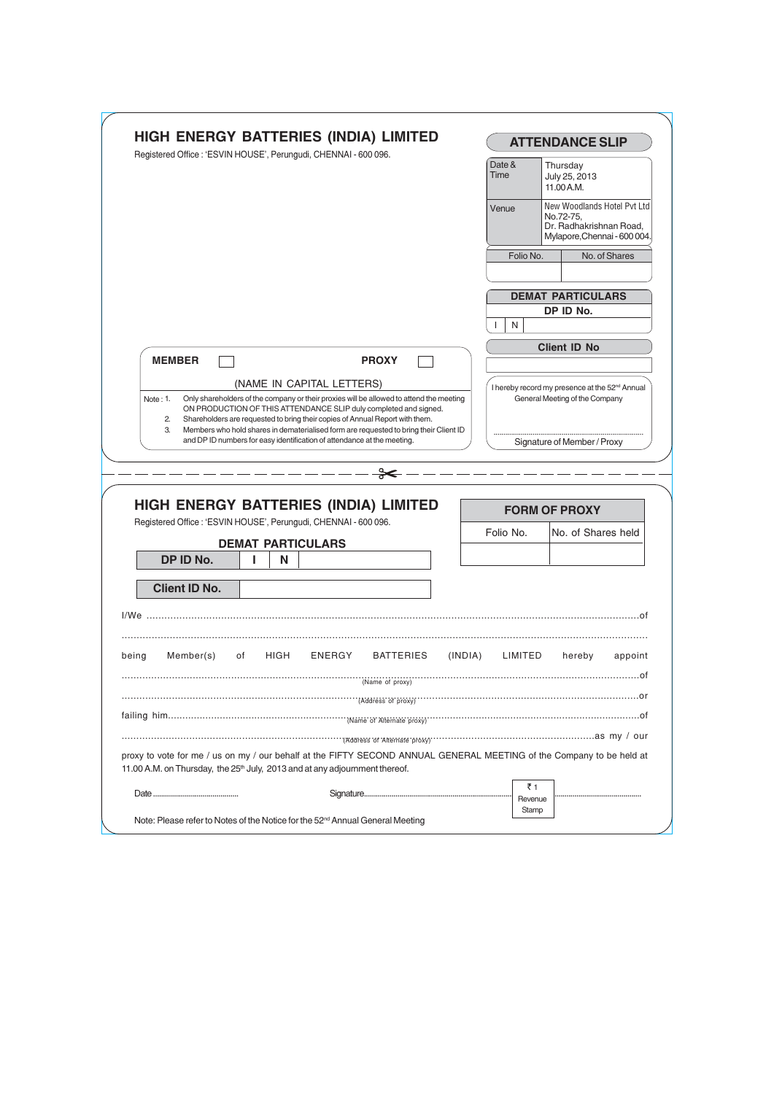|                                                                                         | <b>HIGH ENERGY BATTERIES (INDIA) LIMITED</b><br>Registered Office : 'ESVIN HOUSE', Perungudi, CHENNAI - 600 096.                                                                                                                                                                                                                                                                                                |      |                           |                                              |         | <b>ATTENDANCE SLIP</b>                                        |                                                                                                                      |  |
|-----------------------------------------------------------------------------------------|-----------------------------------------------------------------------------------------------------------------------------------------------------------------------------------------------------------------------------------------------------------------------------------------------------------------------------------------------------------------------------------------------------------------|------|---------------------------|----------------------------------------------|---------|---------------------------------------------------------------|----------------------------------------------------------------------------------------------------------------------|--|
|                                                                                         |                                                                                                                                                                                                                                                                                                                                                                                                                 |      |                           |                                              |         | Date &<br>Time                                                | Thursday<br>July 25, 2013<br>11.00 A.M.                                                                              |  |
|                                                                                         |                                                                                                                                                                                                                                                                                                                                                                                                                 |      |                           |                                              |         | Venue                                                         | New Woodlands Hotel Pvt Ltd<br>No.72-75,<br>Dr. Radhakrishnan Road,<br>Mylapore, Chennai - 600 004.                  |  |
|                                                                                         |                                                                                                                                                                                                                                                                                                                                                                                                                 |      |                           |                                              |         | Folio No.                                                     | No. of Shares                                                                                                        |  |
|                                                                                         |                                                                                                                                                                                                                                                                                                                                                                                                                 |      |                           |                                              |         |                                                               | <b>DEMAT PARTICULARS</b>                                                                                             |  |
|                                                                                         |                                                                                                                                                                                                                                                                                                                                                                                                                 |      |                           |                                              |         |                                                               | DP ID No.                                                                                                            |  |
|                                                                                         |                                                                                                                                                                                                                                                                                                                                                                                                                 |      |                           |                                              |         | N                                                             |                                                                                                                      |  |
| <b>MEMBER</b>                                                                           |                                                                                                                                                                                                                                                                                                                                                                                                                 |      |                           | <b>PROXY</b>                                 |         |                                                               | <b>Client ID No</b>                                                                                                  |  |
|                                                                                         |                                                                                                                                                                                                                                                                                                                                                                                                                 |      | (NAME IN CAPITAL LETTERS) |                                              |         |                                                               | I hereby record my presence at the 52 <sup>nd</sup> Annual                                                           |  |
| Note: 1.<br>$\overline{2}$<br>3.                                                        | Only shareholders of the company or their proxies will be allowed to attend the meeting<br>ON PRODUCTION OF THIS ATTENDANCE SLIP duly completed and signed.<br>Shareholders are requested to bring their copies of Annual Report with them.<br>Members who hold shares in dematerialised form are requested to bring their Client ID<br>and DP ID numbers for easy identification of attendance at the meeting. |      |                           |                                              |         | General Meeting of the Company<br>Signature of Member / Proxy |                                                                                                                      |  |
|                                                                                         |                                                                                                                                                                                                                                                                                                                                                                                                                 |      |                           |                                              |         |                                                               |                                                                                                                      |  |
|                                                                                         |                                                                                                                                                                                                                                                                                                                                                                                                                 |      |                           |                                              |         |                                                               |                                                                                                                      |  |
|                                                                                         |                                                                                                                                                                                                                                                                                                                                                                                                                 |      |                           | ╬                                            |         |                                                               |                                                                                                                      |  |
|                                                                                         |                                                                                                                                                                                                                                                                                                                                                                                                                 |      |                           |                                              |         |                                                               |                                                                                                                      |  |
|                                                                                         |                                                                                                                                                                                                                                                                                                                                                                                                                 |      |                           | <b>HIGH ENERGY BATTERIES (INDIA) LIMITED</b> |         |                                                               | <b>FORM OF PROXY</b>                                                                                                 |  |
| Registered Office : 'ESVIN HOUSE', Perungudi, CHENNAI - 600 096.                        |                                                                                                                                                                                                                                                                                                                                                                                                                 |      |                           |                                              |         | Folio No.                                                     | No. of Shares held                                                                                                   |  |
|                                                                                         |                                                                                                                                                                                                                                                                                                                                                                                                                 |      | <b>DEMAT PARTICULARS</b>  |                                              |         |                                                               |                                                                                                                      |  |
| DP ID No.                                                                               | L                                                                                                                                                                                                                                                                                                                                                                                                               | Ν    |                           |                                              |         |                                                               |                                                                                                                      |  |
| <b>Client ID No.</b>                                                                    |                                                                                                                                                                                                                                                                                                                                                                                                                 |      |                           |                                              |         |                                                               |                                                                                                                      |  |
|                                                                                         |                                                                                                                                                                                                                                                                                                                                                                                                                 |      |                           |                                              |         |                                                               |                                                                                                                      |  |
|                                                                                         |                                                                                                                                                                                                                                                                                                                                                                                                                 |      |                           |                                              |         |                                                               |                                                                                                                      |  |
| Member(s)                                                                               | of                                                                                                                                                                                                                                                                                                                                                                                                              | HIGH | ENERGY                    | <b>BATTERIES</b>                             | (INDIA) | LIMITED                                                       | hereby<br>appoint                                                                                                    |  |
|                                                                                         |                                                                                                                                                                                                                                                                                                                                                                                                                 |      |                           | (Name of proxy)                              |         |                                                               |                                                                                                                      |  |
|                                                                                         |                                                                                                                                                                                                                                                                                                                                                                                                                 |      |                           | (Address of proxy)                           |         |                                                               |                                                                                                                      |  |
|                                                                                         |                                                                                                                                                                                                                                                                                                                                                                                                                 |      |                           |                                              |         |                                                               |                                                                                                                      |  |
| I/We<br>being                                                                           |                                                                                                                                                                                                                                                                                                                                                                                                                 |      |                           |                                              |         |                                                               |                                                                                                                      |  |
| 11.00 A.M. on Thursday, the 25 <sup>th</sup> July, 2013 and at any adjournment thereof. |                                                                                                                                                                                                                                                                                                                                                                                                                 |      |                           |                                              |         |                                                               | proxy to vote for me / us on my / our behalf at the FIFTY SECOND ANNUAL GENERAL MEETING of the Company to be held at |  |